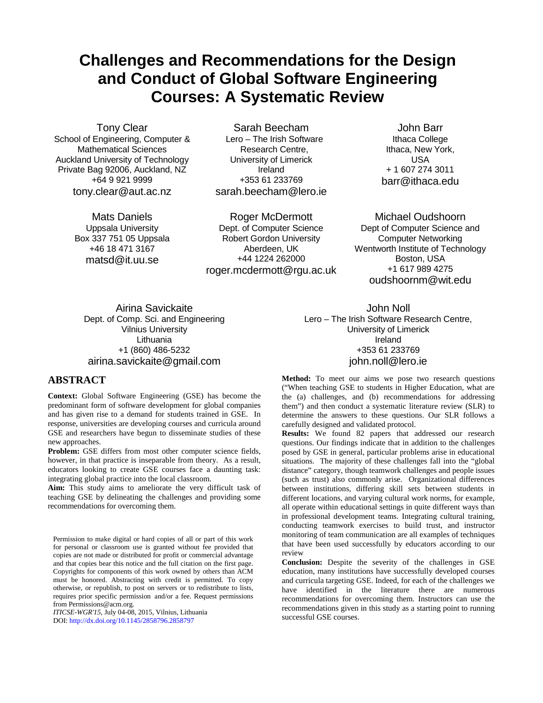# **Challenges and Recommendations for the Design and Conduct of Global Software Engineering Courses: A Systematic Review**

Tony Clear School of Engineering, Computer & Mathematical Sciences Auckland University of Technology Private Bag 92006, Auckland, NZ +64 9 921 9999 tony.clear@aut.ac.nz

> Mats Daniels Uppsala University Box 337 751 05 Uppsala +46 18 471 3167 matsd@it.uu.se

Sarah Beecham Lero – The Irish Software Research Centre, University of Limerick Ireland +353 61 233769 sarah.beecham@lero.ie

Roger McDermott Dept. of Computer Science Robert Gordon University Aberdeen, UK +44 1224 262000 roger.mcdermott@rgu.ac.uk

John Barr Ithaca College Ithaca, New York, USA + 1 607 274 3011 barr@ithaca.edu

Michael Oudshoorn Dept of Computer Science and Computer Networking Wentworth Institute of Technology Boston, USA +1 617 989 4275 oudshoornm@wit.edu

Airina Savickaite Dept. of Comp. Sci. and Engineering Vilnius University Lithuania +1 (860) 486-5232 airina.savickaite@gmail.com

# **ABSTRACT**

**Context:** Global Software Engineering (GSE) has become the predominant form of software development for global companies and has given rise to a demand for students trained in GSE. In response, universities are developing courses and curricula around GSE and researchers have begun to disseminate studies of these new approaches.

**Problem:** GSE differs from most other computer science fields, however, in that practice is inseparable from theory. As a result, educators looking to create GSE courses face a daunting task: integrating global practice into the local classroom.

**Aim:** This study aims to ameliorate the very difficult task of teaching GSE by delineating the challenges and providing some recommendations for overcoming them.

Permission to make digital or hard copies of all or part of this work for personal or classroom use is granted without fee provided that copies are not made or distributed for profit or commercial advantage and that copies bear this notice and the full citation on the first page. Copyrights for components of this work owned by others than ACM must be honored. Abstracting with credit is permitted. To copy otherwise, or republish, to post on servers or to redistribute to lists, requires prior specific permission and/or a fee. Request permissions from Permissions@acm.org.

*ITICSE-WGR'15,* July 04-08, 2015, Vilnius, Lithuania DOI: <http://dx.doi.org/10.1145/2858796.2858797>

John Noll Lero – The Irish Software Research Centre, University of Limerick Ireland +353 61 233769 john.noll@lero.ie

**Method:** To meet our aims we pose two research questions ("When teaching GSE to students in Higher Education, what are the (a) challenges, and (b) recommendations for addressing them") and then conduct a systematic literature review (SLR) to determine the answers to these questions. Our SLR follows a carefully designed and validated protocol.

**Results:** We found 82 papers that addressed our research questions. Our findings indicate that in addition to the challenges posed by GSE in general, particular problems arise in educational situations. The majority of these challenges fall into the "global distance" category, though teamwork challenges and people issues (such as trust) also commonly arise. Organizational differences between institutions, differing skill sets between students in different locations, and varying cultural work norms, for example, all operate within educational settings in quite different ways than in professional development teams. Integrating cultural training, conducting teamwork exercises to build trust, and instructor monitoring of team communication are all examples of techniques that have been used successfully by educators according to our review

**Conclusion:** Despite the severity of the challenges in GSE education, many institutions have successfully developed courses and curricula targeting GSE. Indeed, for each of the challenges we have identified in the literature there are numerous recommendations for overcoming them. Instructors can use the recommendations given in this study as a starting point to running successful GSE courses.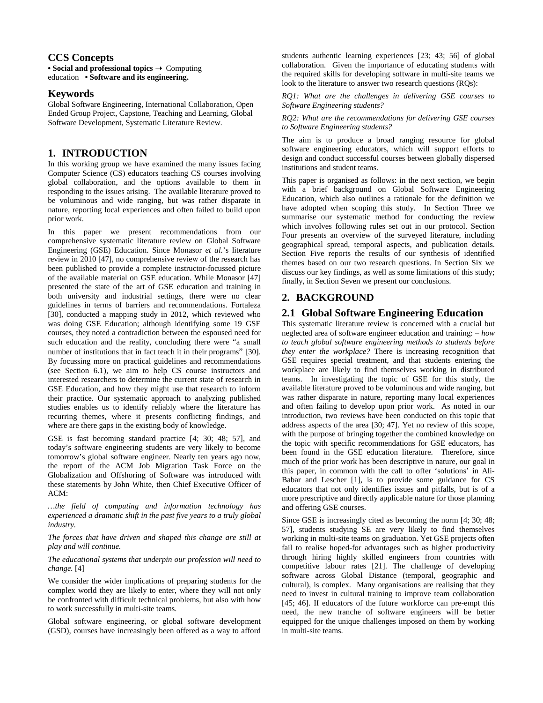# **CCS Concepts**

**• Social and professional topics** ➝ Computing education **• Software and its engineering.**

# **Keywords**

Global Software Engineering, International Collaboration, Open Ended Group Project, Capstone, Teaching and Learning, Global Software Development, Systematic Literature Review.

# **1. INTRODUCTION**

In this working group we have examined the many issues facing Computer Science (CS) educators teaching CS courses involving global collaboration, and the options available to them in responding to the issues arising. The available literature proved to be voluminous and wide ranging, but was rather disparate in nature, reporting local experiences and often failed to build upon prior work.

In this paper we present recommendations from our comprehensive systematic literature review on Global Software Engineering (GSE) Education. Since Monasor *et al.*'s literature review in 2010 [47], no comprehensive review of the research has been published to provide a complete instructor-focussed picture of the available material on GSE education. While Monasor [47] presented the state of the art of GSE education and training in both university and industrial settings, there were no clear guidelines in terms of barriers and recommendations. Fortaleza [30], conducted a mapping study in 2012, which reviewed who was doing GSE Education; although identifying some 19 GSE courses, they noted a contradiction between the espoused need for such education and the reality, concluding there were "a small number of institutions that in fact teach it in their programs" [30]. By focussing more on practical guidelines and recommendations (see Section [6.1\)](#page-20-0), we aim to help CS course instructors and interested researchers to determine the current state of research in GSE Education, and how they might use that research to inform their practice. Our systematic approach to analyzing published studies enables us to identify reliably where the literature has recurring themes, where it presents conflicting findings, and where are there gaps in the existing body of knowledge.

GSE is fast becoming standard practice [4; 30; 48; 57], and today's software engineering students are very likely to become tomorrow's global software engineer. Nearly ten years ago now, the report of the ACM Job Migration Task Force on the Globalization and Offshoring of Software was introduced with these statements by John White, then Chief Executive Officer of ACM:

*…the field of computing and information technology has experienced a dramatic shift in the past five years to a truly global industry.* 

*The forces that have driven and shaped this change are still at play and will continue.* 

#### *The educational systems that underpin our profession will need to change.* [4]

We consider the wider implications of preparing students for the complex world they are likely to enter, where they will not only be confronted with difficult technical problems, but also with how to work successfully in multi-site teams.

Global software engineering, or global software development (GSD), courses have increasingly been offered as a way to afford

students authentic learning experiences [23; 43; 56] of global collaboration.Given the importance of educating students with the required skills for developing software in multi-site teams we look to the literature to answer two research questions (RQs):

*RQ1: What are the challenges in delivering GSE courses to Software Engineering students?* 

#### *RQ2: What are the recommendations for delivering GSE courses to Software Engineering students?*

The aim is to produce a broad ranging resource for global software engineering educators, which will support efforts to design and conduct successful courses between globally dispersed institutions and student teams.

This paper is organised as follows: in the next section, we begin with a brief background on Global Software Engineering Education, which also outlines a rationale for the definition we have adopted when scoping this study. In Section Three we summarise our systematic method for conducting the review which involves following rules set out in our protocol. Section Four presents an overview of the surveyed literature, including geographical spread, temporal aspects, and publication details. Section Five reports the results of our synthesis of identified themes based on our two research questions. In Section Six we discuss our key findings, as well as some limitations of this study; finally, in Section Seven we present our conclusions.

# **2. BACKGROUND**

# **2.1 Global Software Engineering Education**

This systematic literature review is concerned with a crucial but neglected area of software engineer education and training: – *how to teach global software engineering methods to students before they enter the workplace?* There is increasing recognition that GSE requires special treatment, and that students entering the workplace are likely to find themselves working in distributed teams. In investigating the topic of GSE for this study, the available literature proved to be voluminous and wide ranging, but was rather disparate in nature, reporting many local experiences and often failing to develop upon prior work. As noted in our introduction, two reviews have been conducted on this topic that address aspects of the area [30; 47]. Yet no review of this scope, with the purpose of bringing together the combined knowledge on the topic with specific recommendations for GSE educators, has been found in the GSE education literature. Therefore, since much of the prior work has been descriptive in nature, our goal in this paper, in common with the call to offer 'solutions' in Ali-Babar and Lescher [1], is to provide some guidance for CS educators that not only identifies issues and pitfalls, but is of a more prescriptive and directly applicable nature for those planning and offering GSE courses.

Since GSE is increasingly cited as becoming the norm [4; 30; 48; 57], students studying SE are very likely to find themselves working in multi-site teams on graduation. Yet GSE projects often fail to realise hoped-for advantages such as higher productivity through hiring highly skilled engineers from countries with competitive labour rates [21]. The challenge of developing software across Global Distance (temporal, geographic and cultural), is complex. Many organisations are realising that they need to invest in cultural training to improve team collaboration [45; 46]. If educators of the future workforce can pre-empt this need, the new tranche of software engineers will be better equipped for the unique challenges imposed on them by working in multi-site teams.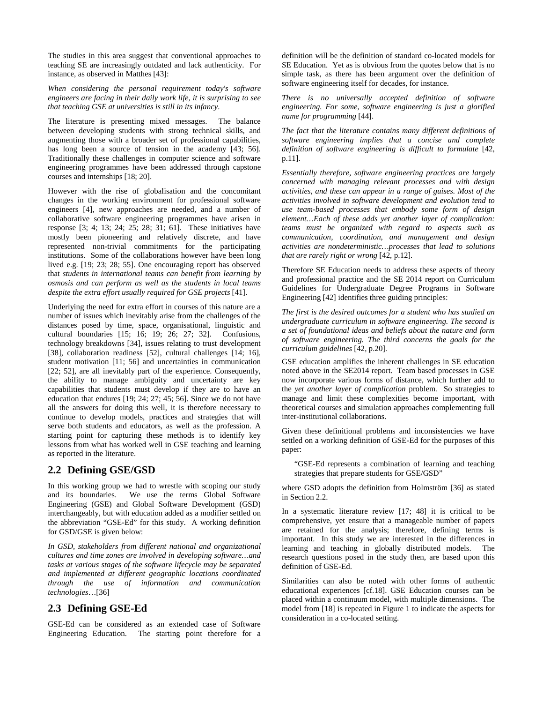The studies in this area suggest that conventional approaches to teaching SE are increasingly outdated and lack authenticity. For instance, as observed in Matthes [43]:

*When considering the personal requirement today's software engineers are facing in their daily work life, it is surprising to see that teaching GSE at universities is still in its infancy*.

The literature is presenting mixed messages. The balance between developing students with strong technical skills, and augmenting those with a broader set of professional capabilities, has long been a source of tension in the academy [43; 56]. Traditionally these challenges in computer science and software engineering programmes have been addressed through capstone courses and internships [18; 20].

However with the rise of globalisation and the concomitant changes in the working environment for professional software engineers [4], new approaches are needed, and a number of collaborative software engineering programmes have arisen in response [3; 4; 13; 24; 25; 28; 31; 61]. These initiatives have mostly been pioneering and relatively discrete, and have represented non-trivial commitments for the participating institutions. Some of the collaborations however have been long lived e.g. [19; 23; 28; 55]. One encouraging report has observed that *students in international teams can benefit from learning by osmosis and can perform as well as the students in local teams despite the extra effort usually required for GSE projects* [41].

Underlying the need for extra effort in courses of this nature are a number of issues which inevitably arise from the challenges of the distances posed by time, space, organisational, linguistic and cultural boundaries [15; 16; 19; 26; 27; 32]. Confusions, technology breakdowns [34], issues relating to trust development [38], collaboration readiness [52], cultural challenges [14; 16], student motivation [11; 56] and uncertainties in communication [22; 52], are all inevitably part of the experience. Consequently, the ability to manage ambiguity and uncertainty are key capabilities that students must develop if they are to have an education that endures [19; 24; 27; 45; 56]. Since we do not have all the answers for doing this well, it is therefore necessary to continue to develop models, practices and strategies that will serve both students and educators, as well as the profession. A starting point for capturing these methods is to identify key lessons from what has worked well in GSE teaching and learning as reported in the literature.

# **2.2 Defining GSE/GSD**

In this working group we had to wrestle with scoping our study and its boundaries. We use the terms Global Software Engineering (GSE) and Global Software Development (GSD) interchangeably, but with education added as a modifier settled on the abbreviation "GSE-Ed" for this study. A working definition for GSD/GSE is given below:

*In GSD, stakeholders from different national and organizational cultures and time zones are involved in developing software…and tasks at various stages of the software lifecycle may be separated and implemented at different geographic locations coordinated through the use of information and communication technologies*…[36]

# **2.3 Defining GSE-Ed**

GSE-Ed can be considered as an extended case of Software Engineering Education. The starting point therefore for a

definition will be the definition of standard co-located models for SE Education. Yet as is obvious from the quotes below that is no simple task, as there has been argument over the definition of software engineering itself for decades, for instance.

*There is no universally accepted definition of software engineering. For some, software engineering is just a glorified name for programming* [44].

*The fact that the literature contains many different definitions of software engineering implies that a concise and complete definition of software engineering is difficult to formulate* [42, p.11].

*Essentially therefore, software engineering practices are largely concerned with managing relevant processes and with design activities, and these can appear in a range of guises. Most of the activities involved in software development and evolution tend to use team-based processes that embody some form of design element…Each of these adds yet another layer of complication: teams must be organized with regard to aspects such as communication, coordination, and management and design activities are nondeterministic…processes that lead to solutions that are rarely right or wrong* [42, p.12]*.*

Therefore SE Education needs to address these aspects of theory and professional practice and the SE 2014 report on Curriculum Guidelines for Undergraduate Degree Programs in Software Engineering [42] identifies three guiding principles:

*The first is the desired outcomes for a student who has studied an undergraduate curriculum in software engineering. The second is a set of foundational ideas and beliefs about the nature and form of software engineering. The third concerns the goals for the curriculum guidelines* [42, p.20]*.*

GSE education amplifies the inherent challenges in SE education noted above in the SE2014 report. Team based processes in GSE now incorporate various forms of distance, which further add to the *yet another layer of complication* problem. So strategies to manage and limit these complexities become important, with theoretical courses and simulation approaches complementing full inter-institutional collaborations.

Given these definitional problems and inconsistencies we have settled on a working definition of GSE-Ed for the purposes of this paper:

"GSE-Ed represents a combination of learning and teaching strategies that prepare students for GSE/GSD"

where GSD adopts the definition from Holmström [36] as stated in Section 2.2.

In a systematic literature review [17; 48] it is critical to be comprehensive, yet ensure that a manageable number of papers are retained for the analysis; therefore, defining terms is important. In this study we are interested in the differences in learning and teaching in globally distributed models. The research questions posed in the study then, are based upon this definition of GSE-Ed.

Similarities can also be noted with other forms of authentic educational experiences [cf.18]. GSE Education courses can be placed within a continuum model, with multiple dimensions. The model from [18] is repeated in Figure 1 to indicate the aspects for consideration in a co-located setting.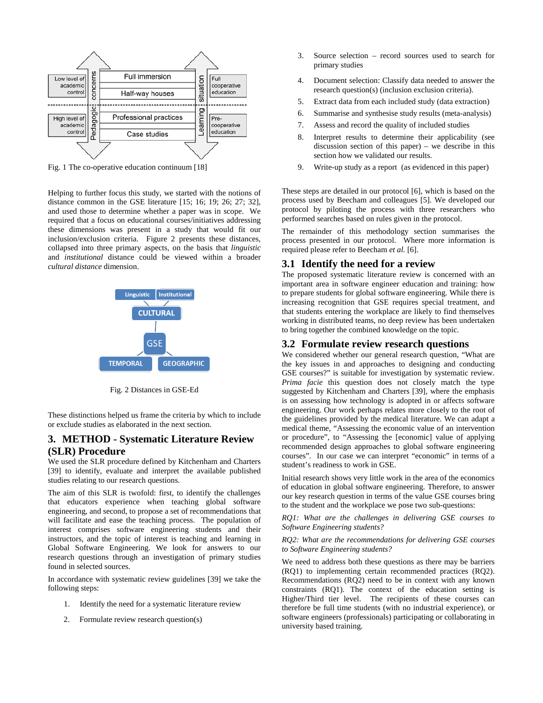

Fig. 1 The co-operative education continuum [18]

Helping to further focus this study, we started with the notions of distance common in the GSE literature [15; 16; 19; 26; 27; 32], and used those to determine whether a paper was in scope. We required that a focus on educational courses/initiatives addressing these dimensions was present in a study that would fit our inclusion/exclusion criteria. Figure 2 presents these distances, collapsed into three primary aspects, on the basis that *linguistic* and *institutional* distance could be viewed within a broader *cultural distance* dimension.



Fig. 2 Distances in GSE-Ed

These distinctions helped us frame the criteria by which to include or exclude studies as elaborated in the next section.

# **3. METHOD - Systematic Literature Review (SLR) Procedure**

We used the SLR procedure defined by Kitchenham and Charters [39] to identify, evaluate and interpret the available published studies relating to our research questions.

The aim of this SLR is twofold: first, to identify the challenges that educators experience when teaching global software engineering, and second, to propose a set of recommendations that will facilitate and ease the teaching process. The population of interest comprises software engineering students and their instructors, and the topic of interest is teaching and learning in Global Software Engineering. We look for answers to our research questions through an investigation of primary studies found in selected sources.

In accordance with systematic review guidelines [39] we take the following steps:

- 1. Identify the need for a systematic literature review
- 2. Formulate review research question(s)
- 3. Source selection record sources used to search for primary studies
- 4. Document selection: Classify data needed to answer the research question(s) (inclusion exclusion criteria).
- 5. Extract data from each included study (data extraction)
- 6. Summarise and synthesise study results (meta-analysis)
- 7. Assess and record the quality of included studies
- 8. Interpret results to determine their applicability (see discussion section of this paper) – we describe in this section how we validated our results.
- 9. Write-up study as a report (as evidenced in this paper)

These steps are detailed in our protocol [6], which is based on the process used by Beecham and colleagues [5]. We developed our protocol by piloting the process with three researchers who performed searches based on rules given in the protocol.

The remainder of this methodology section summarises the process presented in our protocol. Where more information is required please refer to Beecham *et al.* [6].

#### **3.1 Identify the need for a review**

The proposed systematic literature review is concerned with an important area in software engineer education and training: how to prepare students for global software engineering. While there is increasing recognition that GSE requires special treatment, and that students entering the workplace are likely to find themselves working in distributed teams, no deep review has been undertaken to bring together the combined knowledge on the topic.

#### <span id="page-3-0"></span>**3.2 Formulate review research questions**

We considered whether our general research question, "What are the key issues in and approaches to designing and conducting GSE courses?" is suitable for investigation by systematic review. *Prima facie* this question does not closely match the type suggested by Kitchenham and Charters [39], where the emphasis is on assessing how technology is adopted in or affects software engineering. Our work perhaps relates more closely to the root of the guidelines provided by the medical literature. We can adapt a medical theme, "Assessing the economic value of an intervention or procedure", to "Assessing the [economic] value of applying recommended design approaches to global software engineering courses". In our case we can interpret "economic" in terms of a student's readiness to work in GSE.

Initial research shows very little work in the area of the economics of education in global software engineering. Therefore, to answer our key research question in terms of the value GSE courses bring to the student and the workplace we pose two sub-questions:

*RQ1: What are the challenges in delivering GSE courses to Software Engineering students?* 

#### *RQ2: What are the recommendations for delivering GSE courses to Software Engineering students?*

We need to address both these questions as there may be barriers (RQ1) to implementing certain recommended practices (RQ2). Recommendations (RQ2) need to be in context with any known constraints (RQ1). The context of the education setting is Higher/Third tier level. The recipients of these courses can therefore be full time students (with no industrial experience), or software engineers (professionals) participating or collaborating in university based training.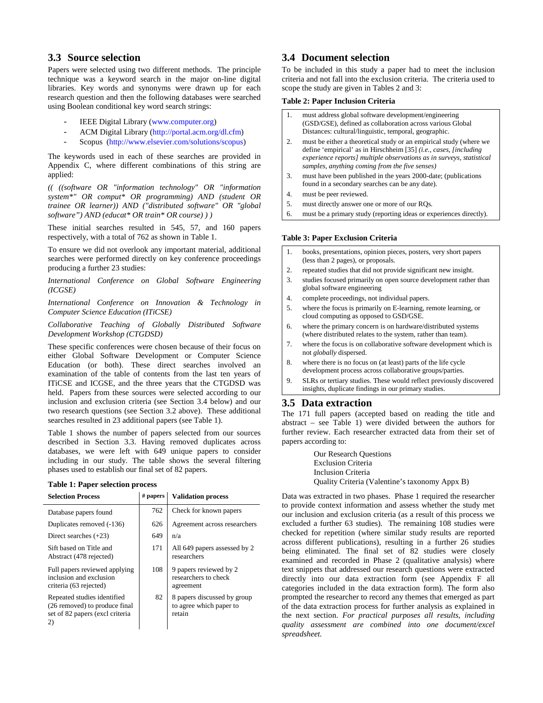## **3.3 Source selection**

Papers were selected using two different methods. The principle technique was a keyword search in the major on-line digital libraries. Key words and synonyms were drawn up for each research question and then the following databases were searched using Boolean conditional key word search strings:

- IEEE Digital Library (www.computer.org)
- ACM Digital Library (http://portal.acm.org/dl.cfm)
- Scopus [\(http://www.elsevier.com/solutions/scopus\)](http://www.elsevier.com/solutions/scopus)

The keywords used in each of these searches are provided in Appendix C, where different combinations of this string are applied:

*(( ((software OR "information technology" OR "information system\*" OR comput\* OR programming) AND (student OR trainee OR learner)) AND ("distributed software" OR "global software") AND (educat\* OR train\* OR course) ) )* 

These initial searches resulted in 545, 57, and 160 papers respectively, with a total of 762 as shown in Table 1.

To ensure we did not overlook any important material, additional searches were performed directly on key conference proceedings producing a further 23 studies:

*International Conference on Global Software Engineering (ICGSE)*

*International Conference on Innovation & Technology in Computer Science Education (ITiCSE)*

*Collaborative Teaching of Globally Distributed Software Development Workshop (CTGDSD)*

These specific conferences were chosen because of their focus on either Global Software Development or Computer Science Education (or both). These direct searches involved an examination of the table of contents from the last ten years of ITiCSE and ICGSE, and the three years that the CTGDSD was held. Papers from these sources were selected according to our inclusion and exclusion criteria (see Section [3.4](#page-4-0) below) and our two research questions (see Section [3.2](#page-3-0) above). These additional searches resulted in 23 additional papers (see Table 1).

Table 1 shows the number of papers selected from our sources described in Section 3.3. Having removed duplicates across databases, we were left with 649 unique papers to consider including in our study. The table shows the several filtering phases used to establish our final set of 82 papers.

#### **Table 1: Paper selection process**

| <b>Selection Process</b>                                                                              | $#$ papers | <b>Validation process</b>                                        |
|-------------------------------------------------------------------------------------------------------|------------|------------------------------------------------------------------|
| Database papers found                                                                                 | 762        | Check for known papers                                           |
| Duplicates removed (-136)                                                                             | 626        | Agreement across researchers                                     |
| Direct searches $(+23)$                                                                               | 649        | n/a                                                              |
| Sift based on Title and<br>Abstract (478 rejected)                                                    | 171        | All 649 papers assessed by 2<br>researchers                      |
| Full papers reviewed applying<br>inclusion and exclusion<br>criteria (63 rejected)                    | 108        | 9 papers reviewed by 2<br>researchers to check<br>agreement      |
| Repeated studies identified<br>(26 removed) to produce final<br>set of 82 papers (excl criteria<br>2) | 82         | 8 papers discussed by group<br>to agree which paper to<br>retain |

# <span id="page-4-0"></span>**3.4 Document selection**

To be included in this study a paper had to meet the inclusion criteria and not fall into the exclusion criteria. The criteria used to scope the study are given in Tables 2 and 3:

#### **Table 2: Paper Inclusion Criteria**

- 1. must address global software development/engineering (GSD/GSE), defined as collaboration across various Global Distances: cultural/linguistic, temporal, geographic.
- 2. must be either a theoretical study or an empirical study (where we define 'empirical' as in Hirschheim [35] *(i.e., cases, [including experience reports] multiple observations as in surveys, statistical samples, anything coming from the five senses)*
- 3. must have been published in the years 2000-date; (publications found in a secondary searches can be any date).
- 4. must be peer reviewed.
- 5. must directly answer one or more of our RQs.
- 6. must be a primary study (reporting ideas or experiences directly).

#### **Table 3: Paper Exclusion Criteria**

- 1. books, presentations, opinion pieces, posters, very short papers (less than 2 pages), or proposals.
- 2. repeated studies that did not provide significant new insight.
- 3. studies focused primarily on open source development rather than global software engineering
- 4. complete proceedings, not individual papers.
- 5. where the focus is primarily on E-learning, remote learning, or cloud computing as opposed to GSD/GSE.
- 6. where the primary concern is on hardware/distributed systems (where distributed relates to the system, rather than team).
- 7. where the focus is on collaborative software development which is not *globally* dispersed.
- 8. where there is no focus on (at least) parts of the life cycle development process across collaborative groups/parties.
- 9. SLRs or tertiary studies. These would reflect previously discovered insights, duplicate findings in our primary studies.

# **3.5 Data extraction**

The 171 full papers (accepted based on reading the title and abstract – see Table 1) were divided between the authors for further review. Each researcher extracted data from their set of papers according to:

> Our Research Questions Exclusion Criteria Inclusion Criteria Quality Criteria (Valentine's taxonomy Appx B)

Data was extracted in two phases. Phase 1 required the researcher to provide context information and assess whether the study met our inclusion and exclusion criteria (as a result of this process we excluded a further 63 studies). The remaining 108 studies were checked for repetition (where similar study results are reported across different publications), resulting in a further 26 studies being eliminated. The final set of 82 studies were closely examined and recorded in Phase 2 (qualitative analysis) where text snippets that addressed our research questions were extracted directly into our data extraction form (see Appendix F all categories included in the data extraction form). The form also prompted the researcher to record any themes that emerged as part of the data extraction process for further analysis as explained in the next section. *For practical purposes all results, including quality assessment are combined into one document/excel spreadsheet.*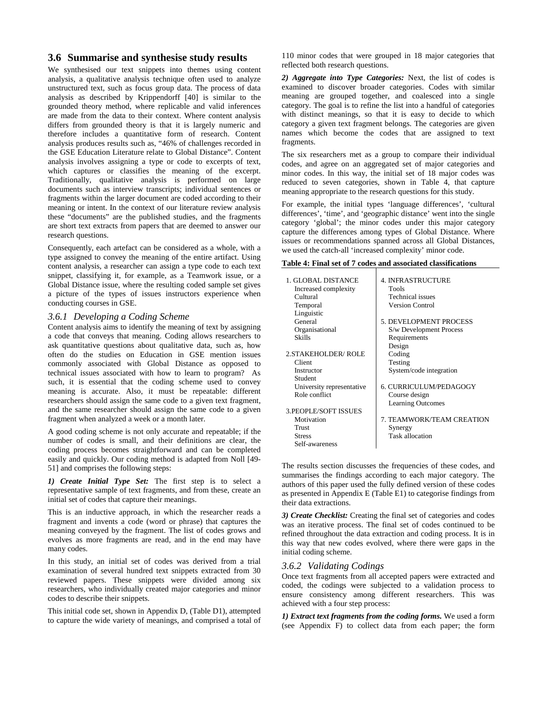## **3.6 Summarise and synthesise study results**

We synthesised our text snippets into themes using content analysis, a qualitative analysis technique often used to analyze unstructured text, such as focus group data. The process of data analysis as described by Krippendorff [40] is similar to the grounded theory method, where replicable and valid inferences are made from the data to their context. Where content analysis differs from grounded theory is that it is largely numeric and therefore includes a quantitative form of research. Content analysis produces results such as, "46% of challenges recorded in the GSE Education Literature relate to Global Distance". Content analysis involves assigning a type or code to excerpts of text, which captures or classifies the meaning of the excerpt. Traditionally, qualitative analysis is performed on large documents such as interview transcripts; individual sentences or fragments within the larger document are coded according to their meaning or intent. In the context of our literature review analysis these "documents" are the published studies, and the fragments are short text extracts from papers that are deemed to answer our research questions.

Consequently, each artefact can be considered as a whole, with a type assigned to convey the meaning of the entire artifact. Using content analysis, a researcher can assign a type code to each text snippet, classifying it, for example, as a Teamwork issue, or a Global Distance issue, where the resulting coded sample set gives a picture of the types of issues instructors experience when conducting courses in GSE.

#### *3.6.1 Developing a Coding Scheme*

Content analysis aims to identify the meaning of text by assigning a code that conveys that meaning. Coding allows researchers to ask quantitative questions about qualitative data, such as, how often do the studies on Education in GSE mention issues commonly associated with Global Distance as opposed to technical issues associated with how to learn to program? As such, it is essential that the coding scheme used to convey meaning is accurate. Also, it must be repeatable: different researchers should assign the same code to a given text fragment, and the same researcher should assign the same code to a given fragment when analyzed a week or a month later.

A good coding scheme is not only accurate and repeatable; if the number of codes is small, and their definitions are clear, the coding process becomes straightforward and can be completed easily and quickly. Our coding method is adapted from Noll [49- 51] and comprises the following steps:

*1) Create Initial Type Set:* The first step is to select a representative sample of text fragments, and from these, create an initial set of codes that capture their meanings.

This is an inductive approach, in which the researcher reads a fragment and invents a code (word or phrase) that captures the meaning conveyed by the fragment. The list of codes grows and evolves as more fragments are read, and in the end may have many codes.

In this study, an initial set of codes was derived from a trial examination of several hundred text snippets extracted from 30 reviewed papers. These snippets were divided among six researchers, who individually created major categories and minor codes to describe their snippets.

This initial code set, shown in Appendix D, (Table D1), attempted to capture the wide variety of meanings, and comprised a total of

110 minor codes that were grouped in 18 major categories that reflected both research questions.

*2) Aggregate into Type Categories:* Next, the list of codes is examined to discover broader categories. Codes with similar meaning are grouped together, and coalesced into a single category. The goal is to refine the list into a handful of categories with distinct meanings, so that it is easy to decide to which category a given text fragment belongs. The categories are given names which become the codes that are assigned to text fragments.

The six researchers met as a group to compare their individual codes, and agree on an aggregated set of major categories and minor codes. In this way, the initial set of 18 major codes was reduced to seven categories, shown in Table 4, that capture meaning appropriate to the research questions for this study.

For example, the initial types 'language differences', 'cultural differences', 'time', and 'geographic distance' went into the single category 'global'; the minor codes under this major category capture the differences among types of Global Distance. Where issues or recommendations spanned across all Global Distances, we used the catch-all 'increased complexity' minor code.

**Table 4: Final set of 7 codes and associated classifications**

| 1. GLOBAL DISTANCE<br>Increased complexity<br>Cultural<br>Temporal<br>Linguistic | <b>4. INFRASTRUCTURE</b><br>Tools<br>Technical issues<br><b>Version Control</b> |
|----------------------------------------------------------------------------------|---------------------------------------------------------------------------------|
| General                                                                          | 5. DEVELOPMENT PROCESS                                                          |
| Organisational                                                                   | S/w Development Process                                                         |
| <b>Skills</b>                                                                    | Requirements                                                                    |
|                                                                                  | Design                                                                          |
| 2.STAKEHOLDER/ROLE                                                               | Coding                                                                          |
| Client                                                                           | Testing                                                                         |
| Instructor                                                                       | System/code integration                                                         |
| Student                                                                          |                                                                                 |
| University representative                                                        | 6. CURRICULUM/PEDAGOGY                                                          |
| Role conflict                                                                    | Course design                                                                   |
|                                                                                  | <b>Learning Outcomes</b>                                                        |
| <b>3. PEOPLE/SOFT ISSUES</b>                                                     |                                                                                 |
| Motivation                                                                       | 7. TEAMWORK/TEAM CREATION                                                       |
| Trust                                                                            | Synergy                                                                         |
| <b>Stress</b>                                                                    | Task allocation                                                                 |
| Self-awareness                                                                   |                                                                                 |

The results section discusses the frequencies of these codes, and summarises the findings according to each major category. The authors of this paper used the fully defined version of these codes as presented in Appendix E (Table E1) to categorise findings from their data extractions.

*3) Create Checklist:* Creating the final set of categories and codes was an iterative process. The final set of codes continued to be refined throughout the data extraction and coding process. It is in this way that new codes evolved, where there were gaps in the initial coding scheme.

#### <span id="page-5-0"></span>*3.6.2 Validating Codings*

Once text fragments from all accepted papers were extracted and coded, the codings were subjected to a validation process to ensure consistency among different researchers. This was achieved with a four step process:

*1) Extract text fragments from the coding forms.* We used a form (see Appendix F) to collect data from each paper; the form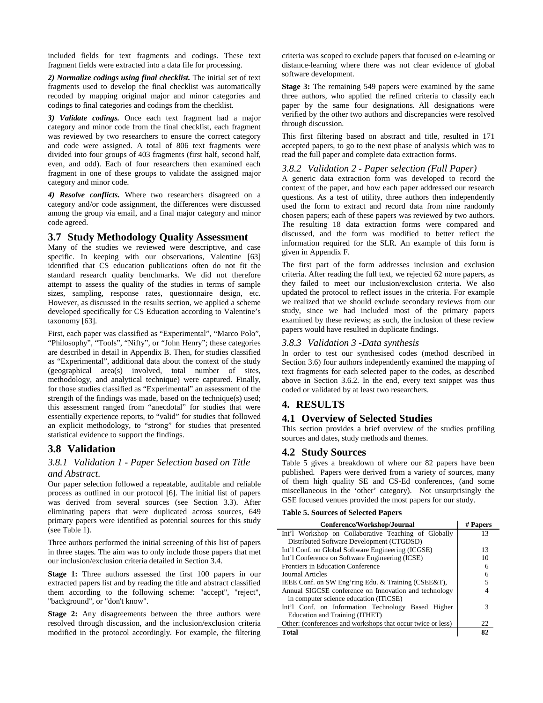included fields for text fragments and codings. These text fragment fields were extracted into a data file for processing.

*2) Normalize codings using final checklist.* The initial set of text fragments used to develop the final checklist was automatically recoded by mapping original major and minor categories and codings to final categories and codings from the checklist.

*3) Validate codings.* Once each text fragment had a major category and minor code from the final checklist, each fragment was reviewed by two researchers to ensure the correct category and code were assigned. A total of 806 text fragments were divided into four groups of 403 fragments (first half, second half, even, and odd). Each of four researchers then examined each fragment in one of these groups to validate the assigned major category and minor code.

*4) Resolve conflicts.* Where two researchers disagreed on a category and/or code assignment, the differences were discussed among the group via email, and a final major category and minor code agreed.

# **3.7 Study Methodology Quality Assessment**

Many of the studies we reviewed were descriptive, and case specific. In keeping with our observations, Valentine [63] identified that CS education publications often do not fit the standard research quality benchmarks. We did not therefore attempt to assess the quality of the studies in terms of sample sizes, sampling, response rates, questionnaire design, etc. However, as discussed in the results section, we applied a scheme developed specifically for CS Education according to Valentine's taxonomy [63].

First, each paper was classified as "Experimental", "Marco Polo", "Philosophy", "Tools", "Nifty", or "John Henry"; these categories are described in detail in Appendix B. Then, for studies classified as "Experimental", additional data about the context of the study (geographical area(s) involved, total number of sites, methodology, and analytical technique) were captured. Finally, for those studies classified as "Experimental" an assessment of the strength of the findings was made, based on the technique(s) used; this assessment ranged from "anecdotal" for studies that were essentially experience reports, to "valid" for studies that followed an explicit methodology, to "strong" for studies that presented statistical evidence to support the findings.

# <span id="page-6-0"></span>**3.8 Validation**

## *3.8.1 Validation 1 - Paper Selection based on Title and Abstract.*

Our paper selection followed a repeatable, auditable and reliable process as outlined in our protocol [6]. The initial list of papers was derived from several sources (see Section 3.3). After eliminating papers that were duplicated across sources, 649 primary papers were identified as potential sources for this study (see Table 1).

Three authors performed the initial screening of this list of papers in three stages. The aim was to only include those papers that met our inclusion/exclusion criteria detailed in Section 3.4.

**Stage 1:** Three authors assessed the first 100 papers in our extracted papers list and by reading the title and abstract classified them according to the following scheme: "accept", "reject", "background", or "don't know".

**Stage 2:** Any disagreements between the three authors were resolved through discussion, and the inclusion/exclusion criteria modified in the protocol accordingly. For example, the filtering

criteria was scoped to exclude papers that focused on e-learning or distance-learning where there was not clear evidence of global software development.

**Stage 3:** The remaining 549 papers were examined by the same three authors, who applied the refined criteria to classify each paper by the same four designations. All designations were verified by the other two authors and discrepancies were resolved through discussion.

This first filtering based on abstract and title, resulted in 171 accepted papers, to go to the next phase of analysis which was to read the full paper and complete data extraction forms.

#### *3.8.2 Validation 2 - Paper selection (Full Paper)*

A generic data extraction form was developed to record the context of the paper, and how each paper addressed our research questions. As a test of utility, three authors then independently used the form to extract and record data from nine randomly chosen papers; each of these papers was reviewed by two authors. The resulting 18 data extraction forms were compared and discussed, and the form was modified to better reflect the information required for the SLR. An example of this form is given in Appendix F.

The first part of the form addresses inclusion and exclusion criteria. After reading the full text, we rejected 62 more papers, as they failed to meet our inclusion/exclusion criteria. We also updated the protocol to reflect issues in the criteria. For example we realized that we should exclude secondary reviews from our study, since we had included most of the primary papers examined by these reviews; as such, the inclusion of these review papers would have resulted in duplicate findings.

#### *3.8.3 Validation 3 -Data synthesis*

In order to test our synthesised codes (method described in Section 3.6) four authors independently examined the mapping of text fragments for each selected paper to the codes, as described above in Section [3.6.2.](#page-5-0) In the end, every text snippet was thus coded or validated by at least two researchers.

# **4. RESULTS**

# **4.1 Overview of Selected Studies**

This section provides a brief overview of the studies profiling sources and dates, study methods and themes.

## **4.2 Study Sources**

Table 5 gives a breakdown of where our 82 papers have been published. Papers were derived from a variety of sources, many of them high quality SE and CS-Ed conferences, (and some miscellaneous in the 'other' category). Not unsurprisingly the GSE focused venues provided the most papers for our study.

#### **Table 5. Sources of Selected Papers**

| Conference/Workshop/Journal                                 | # Papers |
|-------------------------------------------------------------|----------|
| Int'l Workshop on Collaborative Teaching of Globally        | 13       |
| Distributed Software Development (CTGDSD)                   |          |
| Int'l Conf. on Global Software Engineering (ICGSE)          | 13       |
| Int'l Conference on Software Engineering (ICSE)             | 10       |
| Frontiers in Education Conference                           | 6        |
| Journal Articles                                            | 6        |
| IEEE Conf. on SW Eng'ring Edu. & Training (CSEE&T),         | 5        |
| Annual SIGCSE conference on Innovation and technology       |          |
| in computer science education (ITiCSE)                      |          |
| Int'l Conf. on Information Technology Based Higher          | 3        |
| Education and Training (ITHET)                              |          |
| Other: (conferences and workshops that occur twice or less) | 22       |
| <b>Total</b>                                                | 82       |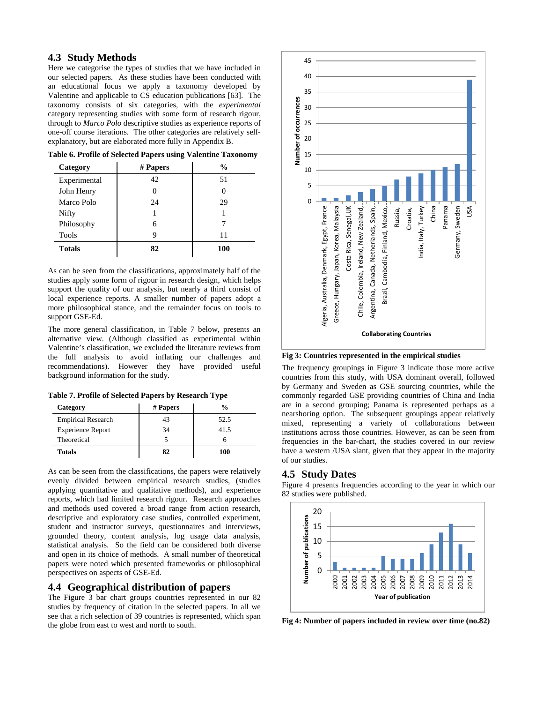### **4.3 Study Methods**

Here we categorise the types of studies that we have included in our selected papers. As these studies have been conducted with an educational focus we apply a taxonomy developed by Valentine and applicable to CS education publications [63]. The taxonomy consists of six categories, with the *experimental* category representing studies with some form of research rigour, through to *Marco Polo* descriptive studies as experience reports of one-off course iterations. The other categories are relatively selfexplanatory, but are elaborated more fully in Appendix B.

**Table 6. Profile of Selected Papers using Valentine Taxonomy**

| Category      | # Papers | $\frac{0}{0}$ |
|---------------|----------|---------------|
| Experimental  | 42       | 51            |
| John Henry    |          |               |
| Marco Polo    | 24       | 29            |
| Nifty         |          |               |
| Philosophy    | 6        |               |
| Tools         | 9        | 11            |
| <b>Totals</b> | 82       | 100           |

As can be seen from the classifications, approximately half of the studies apply some form of rigour in research design, which helps support the quality of our analysis, but nearly a third consist of local experience reports. A smaller number of papers adopt a more philosophical stance, and the remainder focus on tools to support GSE-Ed.

The more general classification, in Table 7 below, presents an alternative view. (Although classified as experimental within Valentine's classification, we excluded the literature reviews from the full analysis to avoid inflating our challenges and recommendations). However they have provided useful background information for the study.

**Table 7. Profile of Selected Papers by Research Type**

| Category                  | # Papers | $\frac{0}{0}$ |
|---------------------------|----------|---------------|
| <b>Empirical Research</b> | 43       | 52.5          |
| <b>Experience Report</b>  | 34       | 41.5          |
| Theoretical               |          |               |
| <b>Totals</b>             | 82       | 100           |

As can be seen from the classifications, the papers were relatively evenly divided between empirical research studies, (studies applying quantitative and qualitative methods), and experience reports, which had limited research rigour. Research approaches and methods used covered a broad range from action research, descriptive and exploratory case studies, controlled experiment, student and instructor surveys, questionnaires and interviews, grounded theory, content analysis, log usage data analysis, statistical analysis. So the field can be considered both diverse and open in its choice of methods. A small number of theoretical papers were noted which presented frameworks or philosophical perspectives on aspects of GSE-Ed.

# **4.4 Geographical distribution of papers**

The Figure 3 bar chart groups countries represented in our 82 studies by frequency of citation in the selected papers. In all we see that a rich selection of 39 countries is represented, which span the globe from east to west and north to south.



**Fig 3: Countries represented in the empirical studies**

The frequency groupings in Figure 3 indicate those more active countries from this study, with USA dominant overall, followed by Germany and Sweden as GSE sourcing countries, while the commonly regarded GSE providing countries of China and India are in a second grouping; Panama is represented perhaps as a nearshoring option. The subsequent groupings appear relatively mixed, representing a variety of collaborations between institutions across those countries. However, as can be seen from frequencies in the bar-chart, the studies covered in our review have a western /USA slant, given that they appear in the majority of our studies.

# **4.5 Study Dates**

Figure 4 presents frequencies according to the year in which our 82 studies were published.



**Fig 4: Number of papers included in review over time (no.82)**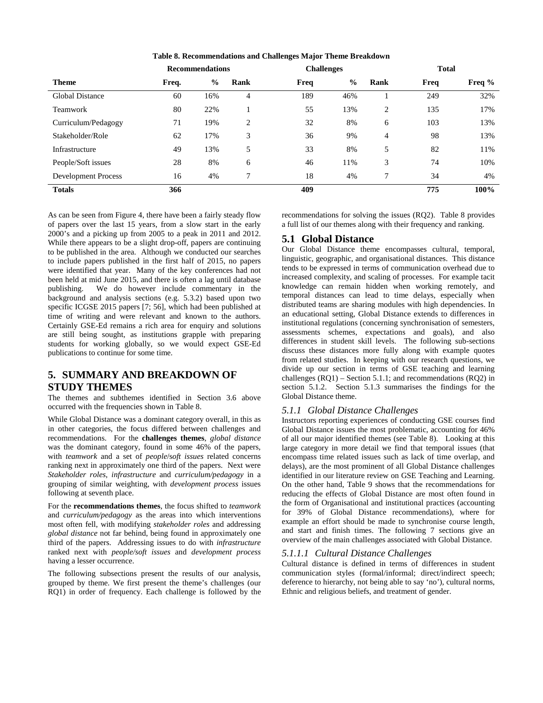|                            |       | <b>Recommendations</b> |      | <b>Challenges</b> |               |      | <b>Total</b> |          |
|----------------------------|-------|------------------------|------|-------------------|---------------|------|--------------|----------|
| <b>Theme</b>               | Freq. | $\frac{6}{6}$          | Rank | Freq              | $\frac{6}{6}$ | Rank | Freq         | Freq $%$ |
| Global Distance            | 60    | 16%                    | 4    | 189               | 46%           |      | 249          | 32%      |
| Teamwork                   | 80    | 22%                    |      | 55                | 13%           | 2    | 135          | 17%      |
| Curriculum/Pedagogy        | 71    | 19%                    | 2    | 32                | 8%            | 6    | 103          | 13%      |
| Stakeholder/Role           | 62    | 17%                    | 3    | 36                | 9%            | 4    | 98           | 13%      |
| Infrastructure             | 49    | 13%                    | 5    | 33                | 8%            | 5    | 82           | 11%      |
| People/Soft issues         | 28    | 8%                     | 6    | 46                | 11%           | 3    | 74           | 10%      |
| <b>Development Process</b> | 16    | 4%                     | 7    | 18                | 4%            | 7    | 34           | 4%       |
| <b>Totals</b>              | 366   |                        |      | 409               |               |      | 775          | 100%     |

## **Table 8. Recommendations and Challenges Major Theme Breakdown**

As can be seen from Figure 4, there have been a fairly steady flow of papers over the last 15 years, from a slow start in the early 2000's and a picking up from 2005 to a peak in 2011 and 2012. While there appears to be a slight drop-off, papers are continuing to be published in the area. Although we conducted our searches to include papers published in the first half of 2015, no papers were identified that year. Many of the key conferences had not been held at mid June 2015, and there is often a lag until database publishing. We do however include commentary in the background and analysis sections (e.g. 5.3.2) based upon two specific ICGSE 2015 papers [7; 56], which had been published at time of writing and were relevant and known to the authors. Certainly GSE-Ed remains a rich area for enquiry and solutions are still being sought, as institutions grapple with preparing students for working globally, so we would expect GSE-Ed publications to continue for some time.

# **5. SUMMARY AND BREAKDOWN OF STUDY THEMES**

The themes and subthemes identified in Section 3.6 above occurred with the frequencies shown in Table 8.

While Global Distance was a dominant category overall, in this as in other categories, the focus differed between challenges and recommendations. For the **challenges themes**, *global distance*  was the dominant category, found in some 46% of the papers, with *teamwork* and a set of *people*/s*oft issues* related concerns ranking next in approximately one third of the papers. Next were *Stakeholder roles*, *infrastructure* and *curriculum/pedagogy* in a grouping of similar weighting, with *development process* issues following at seventh place.

For the **recommendations themes**, the focus shifted to *teamwork* and *curriculum/pedagogy* as the areas into which interventions most often fell, with modifying *stakeholder roles* and addressing *global distance* not far behind, being found in approximately one third of the papers. Addressing issues to do with *infrastructure* ranked next with *people/soft issues* and *development process* having a lesser occurrence.

The following subsections present the results of our analysis, grouped by theme. We first present the theme's challenges (our RQ1) in order of frequency. Each challenge is followed by the

recommendations for solving the issues (RQ2). Table 8 provides a full list of our themes along with their frequency and ranking.

# <span id="page-8-0"></span>**5.1 Global Distance**

Our Global Distance theme encompasses cultural, temporal, linguistic, geographic, and organisational distances. This distance tends to be expressed in terms of communication overhead due to increased complexity, and scaling of processes. For example tacit knowledge can remain hidden when working remotely, and temporal distances can lead to time delays, especially when distributed teams are sharing modules with high dependencies. In an educational setting, Global Distance extends to differences in institutional regulations (concerning synchronisation of semesters, assessments schemes, expectations and goals), and also differences in student skill levels. The following sub-sections discuss these distances more fully along with example quotes from related studies. In keeping with our research questions, we divide up our section in terms of GSE teaching and learning challenges (RQ1) – Section 5.1.1; and recommendations (RQ2) in section 5.1.2. Section 5.1.3 summarises the findings for the Global Distance theme.

## *5.1.1 Global Distance Challenges*

Instructors reporting experiences of conducting GSE courses find Global Distance issues the most problematic, accounting for 46% of all our major identified themes (see Table 8). Looking at this large category in more detail we find that temporal issues (that encompass time related issues such as lack of time overlap, and delays), are the most prominent of all Global Distance challenges identified in our literature review on GSE Teaching and Learning. On the other hand, Table 9 shows that the recommendations for reducing the effects of Global Distance are most often found in the form of Organisational and institutional practices (accounting for 39% of Global Distance recommendations), where for example an effort should be made to synchronise course length, and start and finish times. The following 7 sections give an overview of the main challenges associated with Global Distance.

#### *5.1.1.1 Cultural Distance Challenges*

Cultural distance is defined in terms of differences in student communication styles (formal/informal; direct/indirect speech; deference to hierarchy, not being able to say 'no'), cultural norms, Ethnic and religious beliefs, and treatment of gender.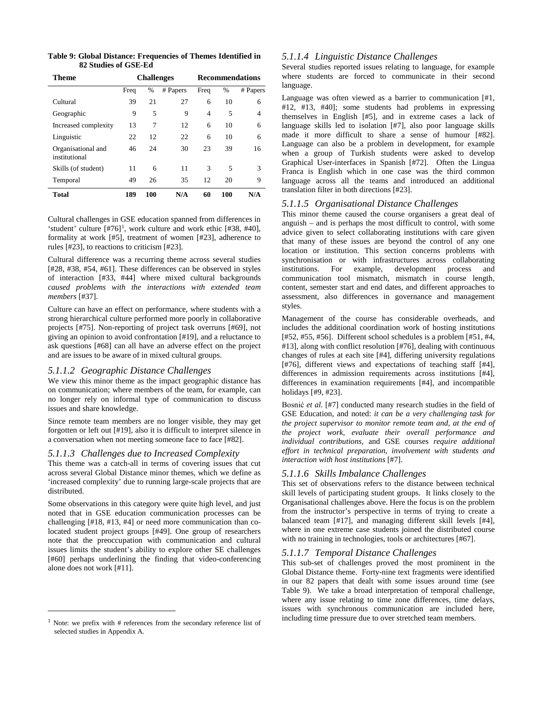| Table 9: Global Distance: Frequencies of Themes Identified in |  |  |
|---------------------------------------------------------------|--|--|
| 82 Studies of GSE-Ed                                          |  |  |

| Theme                               |      | <b>Challenges</b> |          |                |      | <b>Recommendations</b> |
|-------------------------------------|------|-------------------|----------|----------------|------|------------------------|
|                                     | Freq | $\%$              | # Papers | Freq           | $\%$ | # Papers               |
| Cultural                            | 39   | 21                | 27       | 6              | 10   | 6                      |
| Geographic                          | 9    | 5                 | 9        | $\overline{4}$ | 5    | $\overline{4}$         |
| Increased complexity                | 13   | 7                 | 12       | 6              | 10   | 6                      |
| Linguistic                          | 22   | 12                | 22       | 6              | 10   | 6                      |
| Organisational and<br>institutional | 46   | 24                | 30       | 23             | 39   | 16                     |
| Skills (of student)                 | 11   | 6                 | 11       | 3              | 5    | 3                      |
| Temporal                            | 49   | 26                | 35       | 12             | 20   | 9                      |
| <b>Total</b>                        | 189  | 100               | N/A      | 60             | 100  | N/A                    |

Cultural challenges in GSE education spanned from differences in 'student' culture  $[#76]$ <sup>[1](#page-9-0)</sup>, work culture and work ethic  $[#38, #40]$ , formality at work [#5], treatment of women [#23], adherence to rules [#23], to reactions to criticism [#23].

Cultural difference was a recurring theme across several studies [#28, #38, #54, #61]. These differences can be observed in styles of interaction [#33, #44] where mixed cultural backgrounds *caused problems with the interactions with extended team members* [#37].

Culture can have an effect on performance, where students with a strong hierarchical culture performed more poorly in collaborative projects [#75]. Non-reporting of project task overruns [#69], not giving an opinion to avoid confrontation [#19], and a reluctance to ask questions [#68] can all have an adverse effect on the project and are issues to be aware of in mixed cultural groups.

#### *5.1.1.2 Geographic Distance Challenges*

We view this minor theme as the impact geographic distance has on communication; where members of the team, for example, can no longer rely on informal type of communication to discuss issues and share knowledge.

Since remote team members are no longer visible, they may get forgotten or left out [#19], also it is difficult to interpret silence in a conversation when not meeting someone face to face [#82].

#### *5.1.1.3 Challenges due to Increased Complexity*

This theme was a catch-all in terms of covering issues that cut across several Global Distance minor themes, which we define as 'increased complexity' due to running large-scale projects that are distributed.

Some observations in this category were quite high level, and just noted that in GSE education communication processes can be challenging [#18, #13, #4] or need more communication than colocated student project groups [#49]. One group of researchers note that the preoccupation with communication and cultural issues limits the student's ability to explore other SE challenges [#60] perhaps underlining the finding that video-conferencing alone does not work [#11].

j

#### *5.1.1.4 Linguistic Distance Challenges*

Several studies reported issues relating to language, for example where students are forced to communicate in their second language.

Language was often viewed as a barrier to communication [#1, #12, #13, #40]; some students had problems in expressing themselves in English [#5], and in extreme cases a lack of language skills led to isolation [#7], also poor language skills made it more difficult to share a sense of humour [#82]. Language can also be a problem in development, for example when a group of Turkish students were asked to develop Graphical User-interfaces in Spanish [#72]. Often the Lingua Franca is English which in one case was the third common language across all the teams and introduced an additional translation filter in both directions [#23].

#### *5.1.1.5 Organisational Distance Challenges*

This minor theme caused the course organisers a great deal of anguish – and is perhaps the most difficult to control, with some advice given to select collaborating institutions with care given that many of these issues are beyond the control of any one location or institution. This section concerns problems with synchronisation or with infrastructures across collaborating institutions. For example, development process and communication tool mismatch, mismatch in course length, content, semester start and end dates, and different approaches to assessment, also differences in governance and management styles.

Management of the course has considerable overheads, and includes the additional coordination work of hosting institutions [#52, #55, #56]. Different school schedules is a problem [#51, #4, #13], along with conflict resolution [#76], dealing with continuous changes of rules at each site [#4], differing university regulations [#76], different views and expectations of teaching staff [#4], differences in admission requirements across institutions [#4], differences in examination requirements [#4], and incompatible holidays [#9, #23].

Bosnić *et al.* [#7] conducted many research studies in the field of GSE Education, and noted: *it can be a very challenging task for the project supervisor to monitor remote team and, at the end of the project work, evaluate their overall performance and individual contributions*, and GSE courses *require additional effort in technical preparation, involvement with students and interaction with host institutions* [#7].

## *5.1.1.6 Skills Imbalance Challenges*

This set of observations refers to the distance between technical skill levels of participating student groups. It links closely to the Organisational challenges above. Here the focus is on the problem from the instructor's perspective in terms of trying to create a balanced team [#17], and managing different skill levels [#4], where in one extreme case students joined the distributed course with no training in technologies, tools or architectures [#67].

#### *5.1.1.7 Temporal Distance Challenges*

This sub-set of challenges proved the most prominent in the Global Distance theme. Forty-nine text fragments were identified in our 82 papers that dealt with some issues around time (see Table 9). We take a broad interpretation of temporal challenge, where any issue relating to time zone differences, time delays, issues with synchronous communication are included here, including time pressure due to over stretched team members.

<span id="page-9-0"></span><sup>&</sup>lt;sup>1</sup> Note: we prefix with  $#$  references from the secondary reference list of selected studies in Appendix A.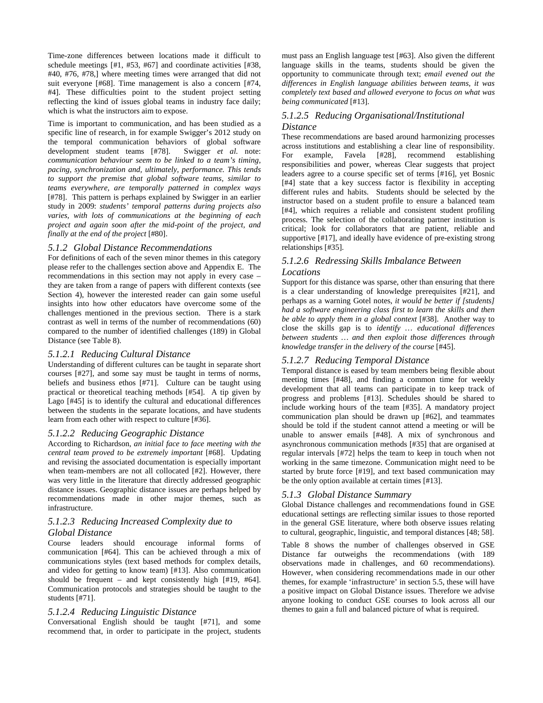Time-zone differences between locations made it difficult to schedule meetings [#1, #53, #67] and coordinate activities [#38, #40, #76, #78,] where meeting times were arranged that did not suit everyone [#68]. Time management is also a concern [#74, #4]. These difficulties point to the student project setting reflecting the kind of issues global teams in industry face daily; which is what the instructors aim to expose.

Time is important to communication, and has been studied as a specific line of research, in for example Swigger's 2012 study on the temporal communication behaviors of global software development student teams  $[#78]$ . Swigger *et al.* note: development student teams [#78]. *communication behaviour seem to be linked to a team's timing, pacing, synchronization and, ultimately, performance. This tends to support the premise that global software teams, similar to teams everywhere, are temporally patterned in complex ways* [#78]. This pattern is perhaps explained by Swigger in an earlier study in 2009: *students' temporal patterns during projects also varies, with lots of communications at the beginning of each project and again soon after the mid-point of the project, and finally at the end of the project* [#80].

#### *5.1.2 Global Distance Recommendations*

For definitions of each of the seven minor themes in this category please refer to the challenges section above and Appendix E. The recommendations in this section may not apply in every case – they are taken from a range of papers with different contexts (see Section 4), however the interested reader can gain some useful insights into how other educators have overcome some of the challenges mentioned in the previous section. There is a stark contrast as well in terms of the number of recommendations (60) compared to the number of identified challenges (189) in Global Distance (see Table 8).

#### *5.1.2.1 Reducing Cultural Distance*

Understanding of different cultures can be taught in separate short courses [#27], and some say must be taught in terms of norms, beliefs and business ethos [#71]. Culture can be taught using practical or theoretical teaching methods [#54]. A tip given by Lago [#45] is to identify the cultural and educational differences between the students in the separate locations, and have students learn from each other with respect to culture [#36].

#### *5.1.2.2 Reducing Geographic Distance*

According to Richardson, *an initial face to face meeting with the central team proved to be extremely important* [#68]. Updating and revising the associated documentation is especially important when team-members are not all collocated [#2]. However, there was very little in the literature that directly addressed geographic distance issues. Geographic distance issues are perhaps helped by recommendations made in other major themes, such as infrastructure.

## *5.1.2.3 Reducing Increased Complexity due to Global Distance*

Course leaders should encourage informal forms of communication [#64]. This can be achieved through a mix of communications styles (text based methods for complex details, and video for getting to know team) [#13]. Also communication should be frequent – and kept consistently high [#19, #64]. Communication protocols and strategies should be taught to the students [#71].

#### *5.1.2.4 Reducing Linguistic Distance*

Conversational English should be taught [#71], and some recommend that, in order to participate in the project, students

must pass an English language test [#63]. Also given the different language skills in the teams, students should be given the opportunity to communicate through text; *email evened out the differences in English language abilities between teams, it was completely text based and allowed everyone to focus on what was being communicated* [#13].

# *5.1.2.5 Reducing Organisational/Institutional*

# *Distance*

These recommendations are based around harmonizing processes across institutions and establishing a clear line of responsibility. For example, Favela [#28], recommend establishing responsibilities and power, whereas Clear suggests that project leaders agree to a course specific set of terms [#16], yet Bosnic [#4] state that a key success factor is flexibility in accepting different rules and habits. Students should be selected by the instructor based on a student profile to ensure a balanced team [#4], which requires a reliable and consistent student profiling process. The selection of the collaborating partner institution is critical; look for collaborators that are patient, reliable and supportive [#17], and ideally have evidence of pre-existing strong relationships [#35].

#### *5.1.2.6 Redressing Skills Imbalance Between Locations*

#### Support for this distance was sparse, other than ensuring that there is a clear understanding of knowledge prerequisites [#21], and perhaps as a warning Gotel notes, *it would be better if [students] had a software engineering class first to learn the skills and then be able to apply them in a global context* [#38]. Another way to close the skills gap is to *identify … educational differences between students … and then exploit those differences through knowledge transfer in the delivery of the course* [#45].

#### *5.1.2.7 Reducing Temporal Distance*

Temporal distance is eased by team members being flexible about meeting times [#48], and finding a common time for weekly development that all teams can participate in to keep track of progress and problems [#13]. Schedules should be shared to include working hours of the team [#35]. A mandatory project communication plan should be drawn up [#62], and teammates should be told if the student cannot attend a meeting or will be unable to answer emails [#48]. A mix of synchronous and asynchronous communication methods [#35] that are organised at regular intervals [#72] helps the team to keep in touch when not working in the same timezone. Communication might need to be started by brute force [#19], and text based communication may be the only option available at certain times [#13].

#### *5.1.3 Global Distance Summary*

Global Distance challenges and recommendations found in GSE educational settings are reflecting similar issues to those reported in the general GSE literature, where both observe issues relating to cultural, geographic, linguistic, and temporal distances [48; 58].

Table 8 shows the number of challenges observed in GSE Distance far outweighs the recommendations (with 189 observations made in challenges, and 60 recommendations). However, when considering recommendations made in our other themes, for example 'infrastructure' in section 5.5, these will have a positive impact on Global Distance issues. Therefore we advise anyone looking to conduct GSE courses to look across all our themes to gain a full and balanced picture of what is required.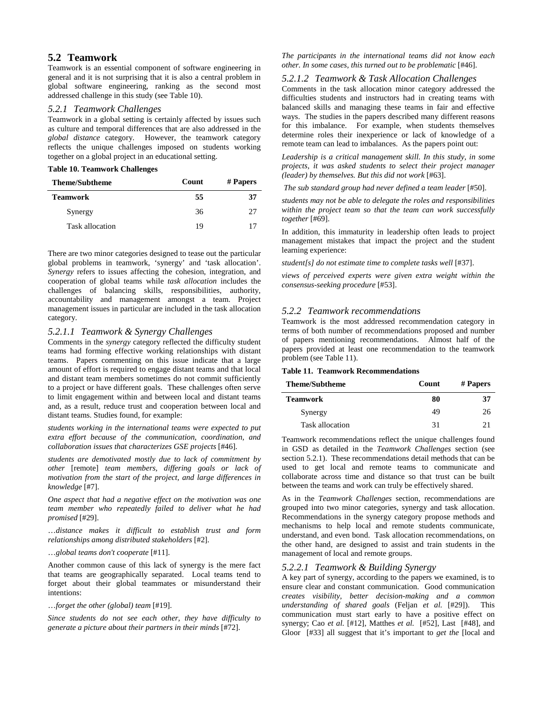## **5.2 Teamwork**

Teamwork is an essential component of software engineering in general and it is not surprising that it is also a central problem in global software engineering, ranking as the second most addressed challenge in this study (see Table 10).

#### *5.2.1 Teamwork Challenges*

Teamwork in a global setting is certainly affected by issues such as culture and temporal differences that are also addressed in the *global distance* category. However, the teamwork category reflects the unique challenges imposed on students working together on a global project in an educational setting.

#### **Table 10. Teamwork Challenges**

| <b>Theme/Subtheme</b> | Count | # Papers |
|-----------------------|-------|----------|
| <b>Teamwork</b>       | 55    | 37       |
| Synergy               | 36    | 27       |
| Task allocation       | 19    |          |

There are two minor categories designed to tease out the particular global problems in teamwork, 'synergy' and 'task allocation'. *Synergy* refers to issues affecting the cohesion, integration, and cooperation of global teams while *task allocation* includes the challenges of balancing skills, responsibilities, authority, accountability and management amongst a team. Project management issues in particular are included in the task allocation category.

#### *5.2.1.1 Teamwork & Synergy Challenges*

Comments in the *synergy* category reflected the difficulty student teams had forming effective working relationships with distant teams. Papers commenting on this issue indicate that a large amount of effort is required to engage distant teams and that local and distant team members sometimes do not commit sufficiently to a project or have different goals. These challenges often serve to limit engagement within and between local and distant teams and, as a result, reduce trust and cooperation between local and distant teams. Studies found, for example:

*students working in the international teams were expected to put extra effort because of the communication, coordination, and collaboration issues that characterizes GSE projects* [#46].

*students are demotivated mostly due to lack of commitment by other* [remote] *team members, differing goals or lack of motivation from the start of the project, and large differences in knowledge* [#7].

*One aspect that had a negative effect on the motivation was one team member who repeatedly failed to deliver what he had promised* [#29].

…*distance makes it difficult to establish trust and form relationships among distributed stakeholders* [#2].

…*global teams don't cooperate* [#11].

Another common cause of this lack of synergy is the mere fact that teams are geographically separated. Local teams tend to forget about their global teammates or misunderstand their intentions:

…*forget the other (global) team* [#19].

*Since students do not see each other, they have difficulty to generate a picture about their partners in their minds* [#72].

*The participants in the international teams did not know each other. In some cases, this turned out to be problematic* [#46].

#### *5.2.1.2 Teamwork & Task Allocation Challenges*

Comments in the task allocation minor category addressed the difficulties students and instructors had in creating teams with balanced skills and managing these teams in fair and effective ways. The studies in the papers described many different reasons for this imbalance. For example, when students themselves determine roles their inexperience or lack of knowledge of a remote team can lead to imbalances. As the papers point out:

*Leadership is a critical management skill. In this study, in some projects, it was asked students to select their project manager (leader) by themselves. But this did not work* [#63].

*The sub standard group had never defined a team leader* [#50].

*students may not be able to delegate the roles and responsibilities within the project team so that the team can work successfully together* [#69].

In addition, this immaturity in leadership often leads to project management mistakes that impact the project and the student learning experience:

*student[s] do not estimate time to complete tasks well* [#37].

*views of perceived experts were given extra weight within the consensus-seeking procedure* [#53].

#### *5.2.2 Teamwork recommendations*

Teamwork is the most addressed recommendation category in terms of both number of recommendations proposed and number of papers mentioning recommendations. Almost half of the papers provided at least one recommendation to the teamwork problem (see Table 11).

#### **Table 11. Teamwork Recommendations**

| <b>Theme/Subtheme</b> | Count | # Papers |
|-----------------------|-------|----------|
| <b>Teamwork</b>       | 80    | 37       |
| Synergy               | 49    | 26       |
| Task allocation       | 31    |          |

Teamwork recommendations reflect the unique challenges found in GSD as detailed in the *Teamwork Challenges* section (see section 5.2.1). These recommendations detail methods that can be used to get local and remote teams to communicate and collaborate across time and distance so that trust can be built between the teams and work can truly be effectively shared.

As in the *Teamwork Challenges* section, recommendations are grouped into two minor categories, synergy and task allocation. Recommendations in the synergy category propose methods and mechanisms to help local and remote students communicate, understand, and even bond. Task allocation recommendations, on the other hand, are designed to assist and train students in the management of local and remote groups.

#### *5.2.2.1 Teamwork & Building Synergy*

A key part of synergy, according to the papers we examined, is to ensure clear and constant communication. Good communication *creates visibility, better decision-making and a common understanding of shared goals* (Feljan *et al.* [#29]). This communication must start early to have a positive effect on synergy; Cao *et al.* [#12], Matthes *et al.* [#52], Last [#48], and Gloor [#33] all suggest that it's important to *get the* [local and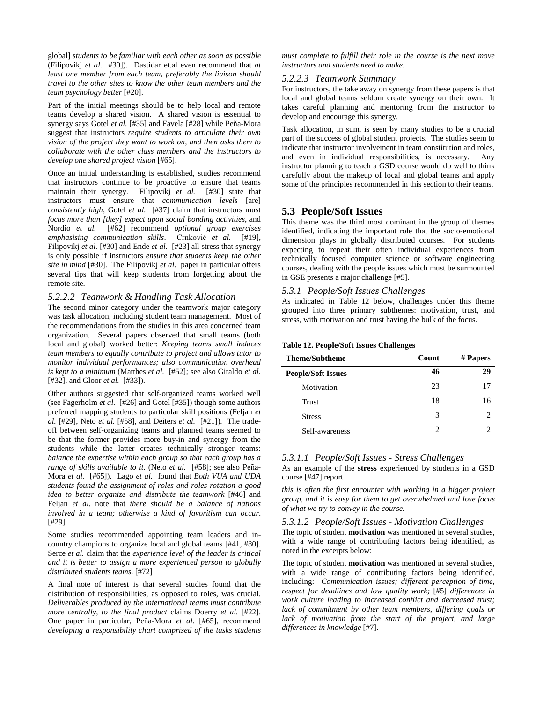global] *students to be familiar with each other as soon as possible* (Filipovikj *et al.* #30]). Dastidar et.al even recommend that *at least one member from each team, preferably the liaison should travel to the other sites to know the other team members and the team psychology better* [#20].

Part of the initial meetings should be to help local and remote teams develop a shared vision. A shared vision is essential to synergy says Gotel *et al.* [#35] and Favela [#28] while Peña-Mora suggest that instructors *require students to articulate their own vision of the project they want to work on, and then asks them to collaborate with the other class members and the instructors to develop one shared project vision* [#65].

Once an initial understanding is established, studies recommend that instructors continue to be proactive to ensure that teams maintain their synergy. Filipovikj *et al.* [#30] state that instructors must ensure that *communication levels* [are] *consistently high*, Gotel *et al.* [#37] claim that instructors must *focus more than [they] expect upon social bonding activities*, and Nordio *et al.* [#62] recommend *optional group exercises emphasising communication skills*. Crnković *et al.* [#19], Filipovikj *et al.* [#30] and Ende *et al.* [#23] all stress that synergy is only possible if instructors *ensure that students keep the other site in mind* [#30]. The Filipovikj *et al.* paper in particular offers several tips that will keep students from forgetting about the remote site.

#### *5.2.2.2 Teamwork & Handling Task Allocation*

The second minor category under the teamwork major category was task allocation, including student team management. Most of the recommendations from the studies in this area concerned team organization. Several papers observed that small teams (both local and global) worked better: *Keeping teams small induces team members to equally contribute to project and allows tutor to monitor individual performances; also communication overhead is kept to a minimum* (Matthes *et al.* [#52]; see also Giraldo *et al.* [#32], and Gloor *et al.* [#33]).

Other authors suggested that self-organized teams worked well (see Fagerholm *et al.* [#26] and Gotel [#35]) though some authors preferred mapping students to particular skill positions (Feljan *et al.* [#29], Neto *et al.* [#58], and Deiters *et al.* [#21]). The tradeoff between self-organizing teams and planned teams seemed to be that the former provides more buy-in and synergy from the students while the latter creates technically stronger teams: *balance the expertise within each group so that each group has a range of skills available to it*. (Neto *et al.* [#58]; see also Peña-Mora *et al.* [#65]). Lago *et al.* found that *Both VUA and UDA students found the assignment of roles and roles rotation a good idea to better organize and distribute the teamwork* [#46] and Feljan *et al.* note that *there should be a balance of nations involved in a team; otherwise a kind of favoritism can occur*. [#29]

Some studies recommended appointing team leaders and incountry champions to organize local and global teams [#41, #80]. Serce *et al.* claim that the *experience level of the leader is critical and it is better to assign a more experienced person to globally distributed students teams*. [#72]

A final note of interest is that several studies found that the distribution of responsibilities, as opposed to roles, was crucial. *Deliverables produced by the international teams must contribute more centrally, to the final product* claims Doerry *et al.* [#22]. One paper in particular, Peña-Mora *et al.* [#65], recommend *developing a responsibility chart comprised of the tasks students* 

*must complete to fulfill their role in the course is the next move instructors and students need to make*.

## *5.2.2.3 Teamwork Summary*

For instructors, the take away on synergy from these papers is that local and global teams seldom create synergy on their own. It takes careful planning and mentoring from the instructor to develop and encourage this synergy.

Task allocation, in sum, is seen by many studies to be a crucial part of the success of global student projects. The studies seem to indicate that instructor involvement in team constitution and roles, and even in individual responsibilities, is necessary. Any instructor planning to teach a GSD course would do well to think carefully about the makeup of local and global teams and apply some of the principles recommended in this section to their teams.

## **5.3 People/Soft Issues**

This theme was the third most dominant in the group of themes identified, indicating the important role that the socio-emotional dimension plays in globally distributed courses. For students expecting to repeat their often individual experiences from technically focused computer science or software engineering courses, dealing with the people issues which must be surmounted in GSE presents a major challenge [#5].

#### *5.3.1 People/Soft Issues Challenges*

As indicated in Table 12 below, challenges under this theme grouped into three primary subthemes: motivation, trust, and stress, with motivation and trust having the bulk of the focus.

#### **Table 12. People/Soft Issues Challenges**

| Theme/Subtheme            | Count | # Papers |
|---------------------------|-------|----------|
| <b>People/Soft Issues</b> | 46    | 29       |
| Motivation                | 23    | 17       |
| Trust                     | 18    | 16       |
| <b>Stress</b>             | 3     | 2        |
| Self-awareness            | 2     | 2        |

#### *5.3.1.1 People/Soft Issues - Stress Challenges*

As an example of the **stress** experienced by students in a GSD course [#47] report

*this is often the first encounter with working in a bigger project group, and it is easy for them to get overwhelmed and lose focus of what we try to convey in the course.*

#### *5.3.1.2 People/Soft Issues - Motivation Challenges*

The topic of student **motivation** was mentioned in several studies, with a wide range of contributing factors being identified, as noted in the excerpts below:

The topic of student **motivation** was mentioned in several studies, with a wide range of contributing factors being identified, including: *Communication issues; different perception of time, respect for deadlines and low quality work;* [#5] *differences in work culture leading to increased conflict and decreased trust; lack of commitment by other team members, differing goals or lack of motivation from the start of the project, and large differences in knowledge* [#7].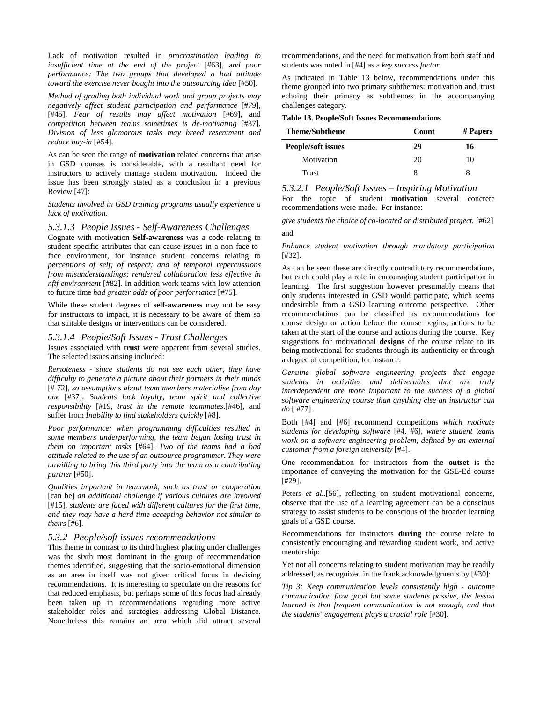Lack of motivation resulted in *procrastination leading to insufficient time at the end of the project* [#63], a*nd poor performance: The two groups that developed a bad attitude toward the exercise never bought into the outsourcing idea* [#50].

*Method of grading both individual work and group projects may negatively affect student participation and performance* [#79]*,*  [#45]. *Fear of results may affect motivation* [#69], and *competition between teams sometimes is de-motivating* [#37]. *Division of less glamorous tasks may breed resentment and reduce buy-in* [#54].

As can be seen the range of **motivation** related concerns that arise in GSD courses is considerable, with a resultant need for instructors to actively manage student motivation. Indeed the issue has been strongly stated as a conclusion in a previous Review [47]:

*Students involved in GSD training programs usually experience a lack of motivation.*

#### *5.3.1.3 People Issues - Self-Awareness Challenges*

Cognate with motivation **Self-awareness** was a code relating to student specific attributes that can cause issues in a non face-toface environment, for instance student concerns relating to *perceptions of self; of respect; and of temporal repercussions from misunderstandings; rendered collaboration less effective in nftf environment* [#82]*.* In addition work teams with low attention to future time *had greater odds of poor performance* [#75].

While these student degrees of **self-awareness** may not be easy for instructors to impact, it is necessary to be aware of them so that suitable designs or interventions can be considered.

#### *5.3.1.4 People/Soft Issues - Trust Challenges*

Issues associated with **trust** were apparent from several studies. The selected issues arising included:

*Remoteness - since students do not see each other, they have difficulty to generate a picture about their partners in their minds* [# 72], *so assumptions about team members materialise from day one* [#37]. S*tudents lack loyalty, team spirit and collective responsibility* [#19, *trust in the remote teammates*.[#46], and suffer from *Inability to find stakeholders quickly* [#8].

*Poor performance: when programming difficulties resulted in some members underperforming, the team began losing trust in them on important tasks* [#64], *Two of the teams had a bad attitude related to the use of an outsource programmer. They were unwilling to bring this third party into the team as a contributing partner* [#50].

*Qualities important in teamwork, such as trust or cooperation*  [can be] *an additional challenge if various cultures are involved*  [#15], *students are faced with different cultures for the first time, and they may have a hard time accepting behavior not similar to theirs* [#6].

#### *5.3.2 People/soft issues recommendations*

This theme in contrast to its third highest placing under challenges was the sixth most dominant in the group of recommendation themes identified, suggesting that the socio-emotional dimension as an area in itself was not given critical focus in devising recommendations. It is interesting to speculate on the reasons for that reduced emphasis, but perhaps some of this focus had already been taken up in recommendations regarding more active stakeholder roles and strategies addressing Global Distance. Nonetheless this remains an area which did attract several

recommendations, and the need for motivation from both staff and students was noted in [#4] as a *key success factor*.

As indicated in Table 13 below, recommendations under this theme grouped into two primary subthemes: motivation and, trust echoing their primacy as subthemes in the accompanying challenges category.

#### **Table 13. People/Soft Issues Recommendations**

| <b>Theme/Subtheme</b>     | Count | # Papers |  |
|---------------------------|-------|----------|--|
| <b>People/soft issues</b> | 29    | 16       |  |
| Motivation                | 20    | 10       |  |
| Trust                     | 8     |          |  |

#### *5.3.2.1 People/Soft Issues – Inspiring Motivation*

For the topic of student **motivation** several concrete recommendations were made. For instance:

*give students the choice of co-located or distributed project.* [#62] and

*Enhance student motivation through mandatory participation*  [#32].

As can be seen these are directly contradictory recommendations, but each could play a role in encouraging student participation in learning. The first suggestion however presumably means that only students interested in GSD would participate, which seems undesirable from a GSD learning outcome perspective. Other recommendations can be classified as recommendations for course design or action before the course begins, actions to be taken at the start of the course and actions during the course. Key suggestions for motivational **designs** of the course relate to its being motivational for students through its authenticity or through a degree of competition, for instance:

*Genuine global software engineering projects that engage students in activities and deliverables that are truly interdependent are more important to the success of a global software engineering course than anything else an instructor can do* [ #77].

Both [#4] and [#6] recommend competitions *which motivate students for developing software* [#4, #6], *where student teams work on a software engineering problem, defined by an external customer from a foreign university* [#4].

One recommendation for instructors from the **outset** is the importance of conveying the motivation for the GSE-Ed course [#29].

Peters *et al..*[56], reflecting on student motivational concerns, observe that the use of a learning agreement can be a conscious strategy to assist students to be conscious of the broader learning goals of a GSD course.

Recommendations for instructors **during** the course relate to consistently encouraging and rewarding student work, and active mentorship:

Yet not all concerns relating to student motivation may be readily addressed, as recognized in the frank acknowledgments by [#30]:

*Tip 3: Keep communication levels consistently high - outcome communication flow good but some students passive, the lesson learned is that frequent communication is not enough, and that the students' engagement plays a crucial role* [#30].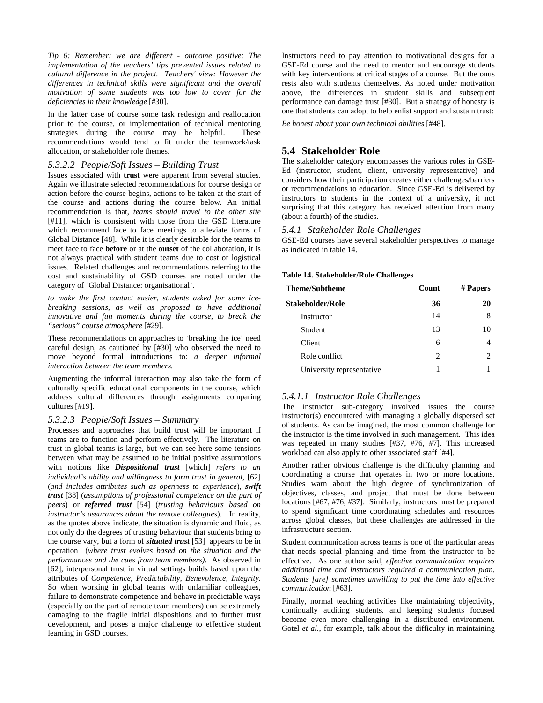*Tip 6: Remember: we are different - outcome positive: The implementation of the teachers' tips prevented issues related to cultural difference in the project. Teachers' view: However the differences in technical skills were significant and the overall motivation of some students was too low to cover for the deficiencies in their knowledge* [#30].

In the latter case of course some task redesign and reallocation prior to the course, or implementation of technical mentoring strategies during the course may be helpful. These recommendations would tend to fit under the teamwork/task allocation, or stakeholder role themes.

#### *5.3.2.2 People/Soft Issues – Building Trust*

Issues associated with **trust** were apparent from several studies. Again we illustrate selected recommendations for course design or action before the course begins, actions to be taken at the start of the course and actions during the course below. An initial recommendation is that, *teams should travel to the other site*  [#11], which is consistent with those from the GSD literature which recommend face to face meetings to alleviate forms of Global Distance [48]. While it is clearly desirable for the teams to meet face to face **before** or at the **outset** of the collaboration, it is not always practical with student teams due to cost or logistical issues. Related challenges and recommendations referring to the cost and sustainability of GSD courses are noted under the category of 'Global Distance: organisational'.

*to make the first contact easier, students asked for some icebreaking sessions, as well as proposed to have additional innovative and fun moments during the course, to break the "serious" course atmosphere* [#29]*.*

These recommendations on approaches to 'breaking the ice' need careful design, as cautioned by [#30] who observed the need to move beyond formal introductions to: *a deeper informal interaction between the team members.* 

Augmenting the informal interaction may also take the form of culturally specific educational components in the course, which address cultural differences through assignments comparing cultures [#19].

#### *5.3.2.3 People/Soft Issues – Summary*

Processes and approaches that build trust will be important if teams are to function and perform effectively. The literature on trust in global teams is large, but we can see here some tensions between what may be assumed to be initial positive assumptions with notions like *Dispositional trust* [which] *refers to an individual's ability and willingness to form trust in general*, [62] (*and includes attributes such as openness to experience*), *swift trust* [38] (*assumptions of professional competence on the part of peers*) or *referred trust* [54] (*trusting behaviours based on instructor's assurances about the remote colleagues*). In reality, as the quotes above indicate, the situation is dynamic and fluid, as not only do the degrees of trusting behaviour that students bring to the course vary, but a form of *situated trust* [53] appears to be in operation (*where trust evolves based on the situation and the performances and the cues from team members)*. As observed in [62], interpersonal trust in virtual settings builds based upon the attributes of *Competence, Predictability, Benevolence, Integrity*. So when working in global teams with unfamiliar colleagues, failure to demonstrate competence and behave in predictable ways (especially on the part of remote team members) can be extremely damaging to the fragile initial dispositions and to further trust development, and poses a major challenge to effective student learning in GSD courses.

Instructors need to pay attention to motivational designs for a GSE-Ed course and the need to mentor and encourage students with key interventions at critical stages of a course. But the onus rests also with students themselves. As noted under motivation above, the differences in student skills and subsequent performance can damage trust [#30]. But a strategy of honesty is one that students can adopt to help enlist support and sustain trust:

*Be honest about your own technical abilities* [#48]*.*

# **5.4 Stakeholder Role**

The stakeholder category encompasses the various roles in GSE-Ed (instructor, student, client, university representative) and considers how their participation creates either challenges/barriers or recommendations to education. Since GSE-Ed is delivered by instructors to students in the context of a university, it not surprising that this category has received attention from many (about a fourth) of the studies.

#### *5.4.1 Stakeholder Role Challenges*

GSE-Ed courses have several stakeholder perspectives to manage as indicated in table 14.

#### **Table 14. Stakeholder/Role Challenges**

| <b>Theme/Subtheme</b>     | Count                       | # Papers       |
|---------------------------|-----------------------------|----------------|
| Stakeholder/Role          | 36                          | 20             |
| Instructor                | 14                          | 8              |
| Student                   | 13                          | 10             |
| Client                    | 6                           |                |
| Role conflict             | $\mathcal{D}_{\mathcal{L}}$ | $\mathfrak{D}$ |
| University representative |                             |                |

## *5.4.1.1 Instructor Role Challenges*

The instructor sub-category involved issues the course instructor(s) encountered with managing a globally dispersed set of students. As can be imagined, the most common challenge for the instructor is the time involved in such management. This idea was repeated in many studies [#37, #76, #7]. This increased workload can also apply to other associated staff [#4].

Another rather obvious challenge is the difficulty planning and coordinating a course that operates in two or more locations. Studies warn about the high degree of synchronization of objectives, classes, and project that must be done between locations [#67, #76, #37]. Similarly, instructors must be prepared to spend significant time coordinating schedules and resources across global classes, but these challenges are addressed in the infrastructure section.

Student communication across teams is one of the particular areas that needs special planning and time from the instructor to be effective. As one author said, *effective communication requires additional time and instructors required a communication plan. Students [are] sometimes unwilling to put the time into effective communication* [#63].

Finally, normal teaching activities like maintaining objectivity, continually auditing students, and keeping students focused become even more challenging in a distributed environment. Gotel *et al.*, for example, talk about the difficulty in maintaining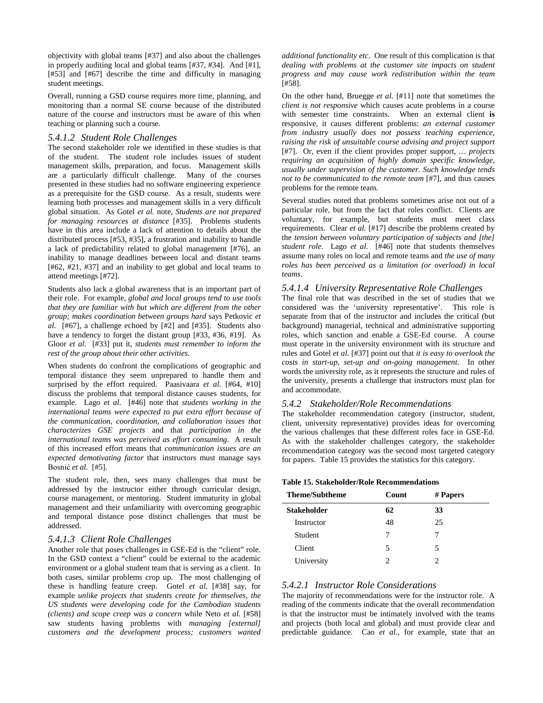objectivity with global teams [#37] and also about the challenges in properly auditing local and global teams [#37, #34]. And [#1], [#53] and [#67] describe the time and difficulty in managing student meetings.

Overall, running a GSD course requires more time, planning, and monitoring than a normal SE course because of the distributed nature of the course and instructors must be aware of this when teaching or planning such a course.

### *5.4.1.2 Student Role Challenges*

The second stakeholder role we identified in these studies is that of the student. The student role includes issues of student management skills, preparation, and focus. Management skills are a particularly difficult challenge. Many of the courses presented in these studies had no software engineering experience as a prerequisite for the GSD course. As a result, students were learning both processes and management skills in a very difficult global situation. As Gotel *et al.* note, *Students are not prepared for managing resources at distance* [#35]. Problems students have in this area include a lack of attention to details about the distributed process [#53, #35], a frustration and inability to handle a lack of predictability related to global management [#76], an inability to manage deadlines between local and distant teams [#62, #21, #37] and an inability to get global and local teams to attend meetings [#72].

Students also lack a global awareness that is an important part of their role. For example, *global and local groups tend to use tools that they are familiar with but which are different from the other group; makes coordination between groups hard* says Petkovic *et al.* [#67], a challenge echoed by [#2] and [#35]. Students also have a tendency to forget the distant group [#33, #36, #19]. As Gloor *et al.* [#33] put it, *students must remember to inform the rest of the group about their other activities*.

When students do confront the complications of geographic and temporal distance they seem unprepared to handle them and surprised by the effort required. Paasivaara *et al.* [#64, #10] discuss the problems that temporal distance causes students, for example. Lago *et al.* [#46] note that *students working in the international teams were expected to put extra effort because of the communication, coordination, and collaboration issues that characterizes GSE projects* and that *participation in the international teams was perceived as effort consuming*. A result of this increased effort means that *communication issues are an expected demotivating factor* that instructors must manage says Bosnić *et al.* [#5].

The student role, then, sees many challenges that must be addressed by the instructor either through curricular design, course management, or mentoring. Student immaturity in global management and their unfamiliarity with overcoming geographic and temporal distance pose distinct challenges that must be addressed.

#### *5.4.1.3 Client Role Challenges*

Another role that poses challenges in GSE-Ed is the "client" role. In the GSD context a "client" could be external to the academic environment or a global student team that is serving as a client. In both cases, similar problems crop up. The most challenging of these is handling feature creep. Gotel *et al.* [#38] say, for example *unlike projects that students create for themselves, the US students were developing code for the Cambodian students (clients) and scope creep was a concern* while Neto *et al.* [#58] saw students having problems with *managing [external] customers and the development process; customers wanted* 

*additional functionality etc*. One result of this complication is that *dealing with problems at the customer site impacts on student progress and may cause work redistribution within the team* [#58].

On the other hand, Bruegge *et al.* [#11] note that sometimes the *client is not responsive* which causes acute problems in a course with semester time constraints. When an external client **is**  responsive, it causes different problems: *an external customer from industry usually does not possess teaching experience, raising the risk of unsuitable course advising and project support* [#7]. Or, even if the client provides proper support, *… projects requiring an acquisition of highly domain specific knowledge, usually under supervision of the customer. Such knowledge tends not to be communicated to the remote team* [#7], and thus causes problems for the remote team.

Several studies noted that problems sometimes arise not out of a particular role, but from the fact that roles conflict. Clients are voluntary, for example, but students must meet class requirements. Clear *et al.* [#17] describe the problems created by the *tension between voluntary participation of subjects and [the] student role*. Lago *et al.* [#46] note that students themselves assume many roles on local and remote teams and *the use of many roles has been perceived as a limitation (or overload) in local teams*.

## *5.4.1.4 University Representative Role Challenges*

The final role that was described in the set of studies that we considered was the 'university representative'. This role is separate from that of the instructor and includes the critical (but background) managerial, technical and administrative supporting roles, which sanction and enable a GSE-Ed course. A course must operate in the university environment with its structure and rules and Gotel *et al.* [#37] point out that *it is easy to overlook the costs in start-up, set-up and on-going management*. In other words the university role, as it represents the structure and rules of the university, presents a challenge that instructors must plan for and accommodate.

# *5.4.2 Stakeholder/Role Recommendations*

The stakeholder recommendation category (instructor, student, client, university representative) provides ideas for overcoming the various challenges that these different roles face in GSE-Ed. As with the stakeholder challenges category, the stakeholder recommendation category was the second most targeted category for papers. Table 15 provides the statistics for this category.

#### **Table 15. Stakeholder/Role Recommendations**

| <b>Theme/Subtheme</b> | Count | # Papers |  |
|-----------------------|-------|----------|--|
| <b>Stakeholder</b>    | 62    | 33       |  |
| Instructor            | 48    | 25       |  |
| Student               | 7     |          |  |
| Client                | 5     | 5        |  |
| University            |       |          |  |

#### *5.4.2.1 Instructor Role Considerations*

The majority of recommendations were for the instructor role. A reading of the comments indicate that the overall recommendation is that the instructor must be intimately involved with the teams and projects (both local and global) and must provide clear and predictable guidance. Cao *et al.*, for example, state that an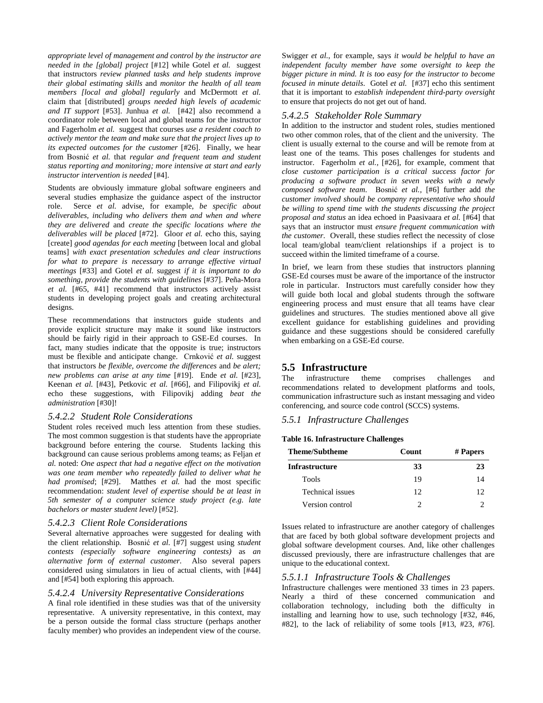*appropriate level of management and control by the instructor are needed in the [global] project* [#12] while Gotel *et al.* suggest that instructors *review planned tasks and help students improve their global estimating skills* and *monitor the health of all team members [local and global] regularly* and McDermott *et al.* claim that [distributed] *groups needed high levels of academic and IT support* [#53]. Junhua *et al.* [#42] also recommend a coordinator role between local and global teams for the instructor and Fagerholm *et al.* suggest that courses *use a resident coach to actively mentor the team and make sure that the project lives up to its expected outcomes for the customer* [#26]. Finally, we hear from Bosnić *et al.* that *regular and frequent team and student status reporting and monitoring; more intensive at start and early instructor intervention is needed* [#4].

Students are obviously immature global software engineers and several studies emphasize the guidance aspect of the instructor role. Serce *et al.* advise, for example, *be specific about deliverables, including who delivers them and when and where they are delivered* and *create the specific locations where the deliverables will be placed* [#72]. Gloor *et al.* echo this, saying [create] *good agendas for each meeting* [between local and global teams] *with exact presentation schedules and clear instructions for what to prepare is necessary to arrange effective virtual meetings* [#33] and Gotel *et al.* suggest *if it is important to do something, provide the students with guidelines* [#37]. Peña-Mora *et al.* [#65, #41] recommend that instructors actively assist students in developing project goals and creating architectural designs.

These recommendations that instructors guide students and provide explicit structure may make it sound like instructors should be fairly rigid in their approach to GSE-Ed courses. In fact, many studies indicate that the opposite is true; instructors must be flexible and anticipate change. Crnković *et al.* suggest that instructors *be flexible, overcome the differences* and *be alert; new problems can arise at any time* [#19]. Ende *et al.* [#23], Keenan *et al.* [#43], Petkovic *et al.* [#66], and Filipovikj *et al.* echo these suggestions, with Filipovikj adding *beat the administration* [#30]!

#### *5.4.2.2 Student Role Considerations*

Student roles received much less attention from these studies. The most common suggestion is that students have the appropriate background before entering the course. Students lacking this background can cause serious problems among teams; as Feljan *et al.* noted: *One aspect that had a negative effect on the motivation was one team member who repeatedly failed to deliver what he had promised*; [#29]. Matthes *et al.* had the most specific recommendation: *student level of expertise should be at least in 5th semester of a computer science study project (e.g. late bachelors or master student level)* [#52].

#### *5.4.2.3 Client Role Considerations*

Several alternative approaches were suggested for dealing with the client relationship. Bosnić *et al.* [#7] suggest using *student contests (especially software engineering contests)* as *an alternative form of external customer*. Also several papers considered using simulators in lieu of actual clients, with [#44] and [#54] both exploring this approach.

#### *5.4.2.4 University Representative Considerations*

A final role identified in these studies was that of the university representative. A university representative, in this context, may be a person outside the formal class structure (perhaps another faculty member) who provides an independent view of the course.

Swigger *et al.*, for example, says *it would be helpful to have an independent faculty member have some oversight to keep the bigger picture in mind. It is too easy for the instructor to become focused in minute details*. Gotel *et al.* [#37] echo this sentiment that it is important to *establish independent third-party oversight* to ensure that projects do not get out of hand.

#### *5.4.2.5 Stakeholder Role Summary*

In addition to the instructor and student roles, studies mentioned two other common roles, that of the client and the university. The client is usually external to the course and will be remote from at least one of the teams. This poses challenges for students and instructor. Fagerholm *et al.,* [#26], for example, comment that *close customer participation is a critical success factor for producing a software product in seven weeks with a newly composed software team*. Bosnić *et al.,* [#6] further add *the customer involved should be company representative who should be willing to spend time with the students discussing the project proposal and status* an idea echoed in Paasivaara *et al.* [#64] that says that an instructor must *ensure frequent communication with the customer*. Overall, these studies reflect the necessity of close local team/global team/client relationships if a project is to succeed within the limited timeframe of a course.

In brief, we learn from these studies that instructors planning GSE-Ed courses must be aware of the importance of the instructor role in particular. Instructors must carefully consider how they will guide both local and global students through the software engineering process and must ensure that all teams have clear guidelines and structures. The studies mentioned above all give excellent guidance for establishing guidelines and providing guidance and these suggestions should be considered carefully when embarking on a GSE-Ed course.

#### **5.5 Infrastructure**

The infrastructure theme comprises challenges and recommendations related to development platforms and tools, communication infrastructure such as instant messaging and video conferencing, and source code control (SCCS) systems.

# *5.5.1 Infrastructure Challenges*

#### **Table 16. Infrastructure Challenges**

| Theme/Subtheme          | Count | # Papers |
|-------------------------|-------|----------|
| Infrastructure          | 33    | 23       |
| <b>Tools</b>            | 19    | 14       |
| <b>Technical issues</b> | 12    | 12       |
| Version control         |       |          |

Issues related to infrastructure are another category of challenges that are faced by both global software development projects and global software development courses. And, like other challenges discussed previously, there are infrastructure challenges that are unique to the educational context.

## *5.5.1.1 Infrastructure Tools & Challenges*

Infrastructure challenges were mentioned 33 times in 23 papers. Nearly a third of these concerned communication and collaboration technology, including both the difficulty in installing and learning how to use, such technology [#32, #46, #82], to the lack of reliability of some tools [#13, #23, #76].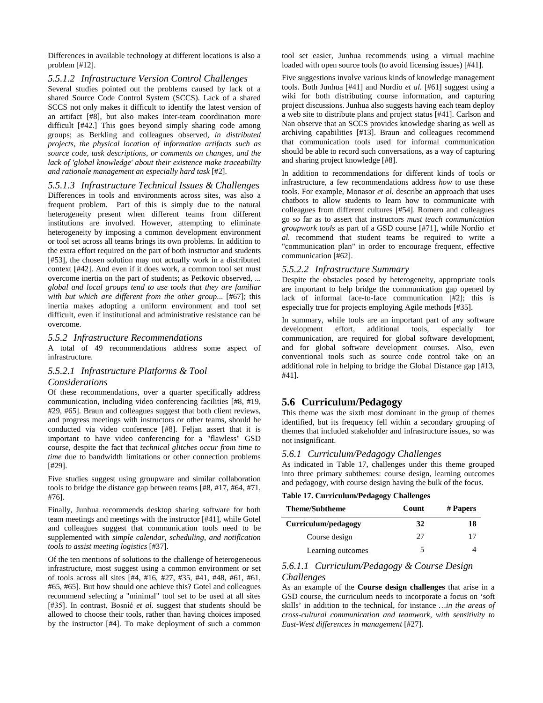Differences in available technology at different locations is also a problem [#12].

#### *5.5.1.2 Infrastructure Version Control Challenges*

Several studies pointed out the problems caused by lack of a shared Source Code Control System (SCCS). Lack of a shared SCCS not only makes it difficult to identify the latest version of an artifact [#8], but also makes inter-team coordination more difficult [#42.] This goes beyond simply sharing code among groups; as Berkling and colleagues observed, *in distributed projects, the physical location of information artifacts such as source code, task descriptions, or comments on changes, and the lack of 'global knowledge' about their existence make traceability and rationale management an especially hard task* [#2].

## *5.5.1.3 Infrastructure Technical Issues & Challenges*

Differences in tools and environments across sites, was also a frequent problem. Part of this is simply due to the natural heterogeneity present when different teams from different institutions are involved. However, attempting to eliminate heterogeneity by imposing a common development environment or tool set across all teams brings its own problems. In addition to the extra effort required on the part of both instructor and students [#53], the chosen solution may not actually work in a distributed context [#42]. And even if it does work, a common tool set must overcome inertia on the part of students; as Petkovic observed, ... *global and local groups tend to use tools that they are familiar with but which are different from the other group*... [#67]; this inertia makes adopting a uniform environment and tool set difficult, even if institutional and administrative resistance can be overcome.

#### *5.5.2 Infrastructure Recommendations*

A total of 49 recommendations address some aspect of infrastructure.

#### *5.5.2.1 Infrastructure Platforms & Tool*

### *Considerations*

Of these recommendations, over a quarter specifically address communication, including video conferencing facilities [#8, #19, #29, #65]. Braun and colleagues suggest that both client reviews, and progress meetings with instructors or other teams, should be conducted via video conference [#8]. Feljan assert that it is important to have video conferencing for a "flawless" GSD course, despite the fact that *technical glitches occur from time to time* due to bandwidth limitations or other connection problems [#29].

Five studies suggest using groupware and similar collaboration tools to bridge the distance gap between teams [#8, #17, #64, #71, #76].

Finally, Junhua recommends desktop sharing software for both team meetings and meetings with the instructor [#41], while Gotel and colleagues suggest that communication tools need to be supplemented with *simple calendar, scheduling, and notification tools to assist meeting logistics* [#37].

Of the ten mentions of solutions to the challenge of heterogeneous infrastructure, most suggest using a common environment or set of tools across all sites [#4, #16, #27, #35, #41, #48, #61, #61, #65, #65]. But how should one achieve this? Gotel and colleagues recommend selecting a "minimal" tool set to be used at all sites [#35]. In contrast, Bosnić et al. suggest that students should be allowed to choose their tools, rather than having choices imposed by the instructor [#4]. To make deployment of such a common

tool set easier, Junhua recommends using a virtual machine loaded with open source tools (to avoid licensing issues) [#41].

Five suggestions involve various kinds of knowledge management tools. Both Junhua [#41] and Nordio *et al.* [#61] suggest using a wiki for both distributing course information, and capturing project discussions. Junhua also suggests having each team deploy a web site to distribute plans and project status [#41]. Carlson and Nan observe that an SCCS provides knowledge sharing as well as archiving capabilities [#13]. Braun and colleagues recommend that communication tools used for informal communication should be able to record such conversations, as a way of capturing and sharing project knowledge [#8].

In addition to recommendations for different kinds of tools or infrastructure, a few recommendations address *how* to use these tools. For example, Monasor *et al.* describe an approach that uses chatbots to allow students to learn how to communicate with colleagues from different cultures [#54]. Romero and colleagues go so far as to assert that instructors *must teach communication groupwork tools* as part of a GSD course [#71], while Nordio *et al.* recommend that student teams be required to write a "communication plan" in order to encourage frequent, effective communication [#62].

#### *5.5.2.2 Infrastructure Summary*

Despite the obstacles posed by heterogeneity, appropriate tools are important to help bridge the communication gap opened by lack of informal face-to-face communication [#2]; this is especially true for projects employing Agile methods [#35].

In summary, while tools are an important part of any software development effort, additional tools, especially for communication, are required for global software development, and for global software development courses. Also, even conventional tools such as source code control take on an additional role in helping to bridge the Global Distance gap [#13, #41].

# **5.6 Curriculum/Pedagogy**

This theme was the sixth most dominant in the group of themes identified, but its frequency fell within a secondary grouping of themes that included stakeholder and infrastructure issues, so was not insignificant.

#### *5.6.1 Curriculum/Pedagogy Challenges*

As indicated in Table 17, challenges under this theme grouped into three primary subthemes: course design, learning outcomes and pedagogy, with course design having the bulk of the focus.

#### **Table 17. Curriculum/Pedagogy Challenges**

| <b>Theme/Subtheme</b> | Count | $#$ Papers |
|-----------------------|-------|------------|
| Curriculum/pedagogy   | 32    | 18         |
| Course design         | 27    |            |
| Learning outcomes     |       |            |

# *5.6.1.1 Curriculum/Pedagogy & Course Design Challenges*

As an example of the **Course design challenges** that arise in a GSD course, the curriculum needs to incorporate a focus on 'soft skills' in addition to the technical, for instance *…in the areas of cross-cultural communication and teamwork, with sensitivity to East-West differences in management* [#27].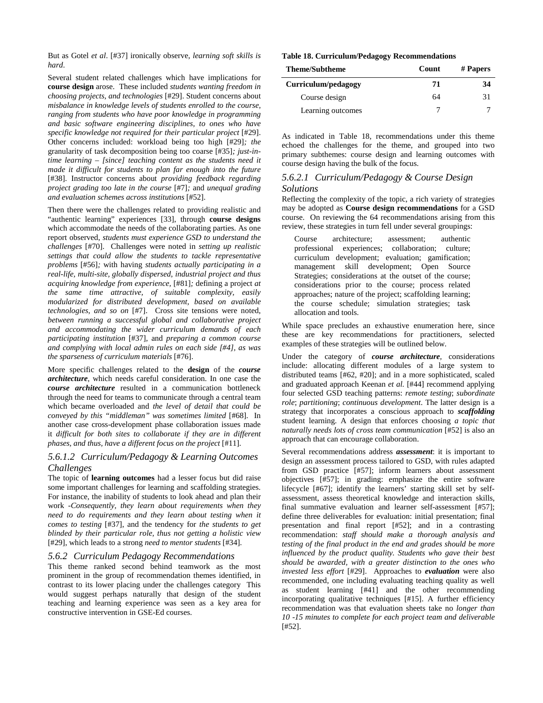But as Gotel *et al*. [#37] ironically observe, *learning soft skills is hard*.

Several student related challenges which have implications for **course design** arose. These included *students wanting freedom in choosing projects, and technologies* [#29]. Student concerns about *misbalance in knowledge levels of students enrolled to the course, ranging from students who have poor knowledge in programming and basic software engineering disciplines, to ones who have specific knowledge not required for their particular project* [#29]. Other concerns included: workload being too high [#29]*; the*  granularity of task decomposition being too coarse [#35]*; just-intime learning – [since] teaching content as the students need it made it difficult for students to plan far enough into the future*  [#38]*.* Instructor concerns about *providing feedback regarding project grading too late in the course* [#7]*;* and *unequal grading and evaluation schemes across institutions* [#52].

Then there were the challenges related to providing realistic and "authentic learning" experiences [33], through **course designs** which accommodate the needs of the collaborating parties. As one report observed, *students must experience GSD to understand the challenges* [#70]. Challenges were noted in *setting up realistic settings that could allow the students to tackle representative problems* [#56]*;* with having *students actually participating in a real-life, multi-site, globally dispersed, industrial project and thus acquiring knowledge from experience,* [#81]*;* defining a project *at the same time attractive, of suitable complexity, easily modularized for distributed development, based on available technologies, and so on* [#7]. Cross site tensions were noted, *between running a successful global and collaborative project and accommodating the wider curriculum demands of each participating institution* [#37]*,* and *preparing a common course and complying with local admin rules on each side [#4], as was the sparseness of curriculum materials* [#76].

More specific challenges related to the **design** of the *course architecture*, which needs careful consideration. In one case the *course architecture* resulted in a communication bottleneck through the need for teams to communicate through a central team which became overloaded and *the level of detail that could be conveyed by this "middleman" was sometimes limited* [#68]. In another case cross-development phase collaboration issues made it *difficult for both sites to collaborate if they are in different phases, and thus, have a different focus on the project* [#11].

## *5.6.1.2 Curriculum/Pedagogy & Learning Outcomes Challenges*

The topic of **learning outcomes** had a lesser focus but did raise some important challenges for learning and scaffolding strategies. For instance, the inability of students to look ahead and plan their work *-Consequently, they learn about requirements when they need to do requirements and they learn about testing when it comes to testing* [#37], and the tendency for *the students to get blinded by their particular role, thus not getting a holistic view*  [#29], which leads to a strong *need to mentor students* [#34].

#### *5.6.2 Curriculum Pedagogy Recommendations*

This theme ranked second behind teamwork as the most prominent in the group of recommendation themes identified, in contrast to its lower placing under the challenges category This would suggest perhaps naturally that design of the student teaching and learning experience was seen as a key area for constructive intervention in GSE-Ed courses.

#### **Table 18. Curriculum/Pedagogy Recommendations**

| <b>Theme/Subtheme</b> | Count | # Papers |
|-----------------------|-------|----------|
| Curriculum/pedagogy   | 71    | 34       |
| Course design         | 64    | 31       |
| Learning outcomes     |       |          |

As indicated in Table 18, recommendations under this theme echoed the challenges for the theme, and grouped into two primary subthemes: course design and learning outcomes with course design having the bulk of the focus.

## *5.6.2.1 Curriculum/Pedagogy & Course Design Solutions*

Reflecting the complexity of the topic, a rich variety of strategies may be adopted as **Course design recommendations** for a GSD course. On reviewing the 64 recommendations arising from this review, these strategies in turn fell under several groupings:

Course architecture; assessment; authentic professional experiences; collaboration; culture; curriculum development; evaluation; gamification; management skill development; Open Source Strategies; considerations at the outset of the course; considerations prior to the course; process related approaches; nature of the project; scaffolding learning; the course schedule; simulation strategies; task allocation and tools.

While space precludes an exhaustive enumeration here, since these are key recommendations for practitioners, selected examples of these strategies will be outlined below.

Under the category of *course architecture,* considerations include: allocating different modules of a large system to distributed teams [#62, #20]; and in a more sophisticated, scaled and graduated approach Keenan *et al.* [#44] recommend applying four selected GSD teaching patterns: *remote testing*; *subordinate role*; *partitioning*; *continuous development*. The latter design is a strategy that incorporates a conscious approach to *scaffolding* student learning. A design that enforces choosing *a topic that naturally needs lots of cross team communication* [#52] is also an approach that can encourage collaboration.

Several recommendations address *assessment*: it is important to design an assessment process tailored to GSD, with rules adapted from GSD practice [#57]; inform learners about assessment objectives [#57]; in grading: emphasize the entire software lifecycle [#67]; identify the learners' starting skill set by selfassessment, assess theoretical knowledge and interaction skills, final summative evaluation and learner self-assessment [#57]; define three deliverables for evaluation: initial presentation; final presentation and final report [#52]; and in a contrasting recommendation: *staff should make a thorough analysis and testing of the final product in the end and grades should be more influenced by the product quality. Students who gave their best should be awarded, with a greater distinction to the ones who invested less effort* [#29]. Approaches to *evaluation* were also recommended, one including evaluating teaching quality as well as student learning [#41] and the other recommending incorporating qualitative techniques [#15]. A further efficiency recommendation was that evaluation sheets take no *longer than 10 -15 minutes to complete for each project team and deliverable* [#52].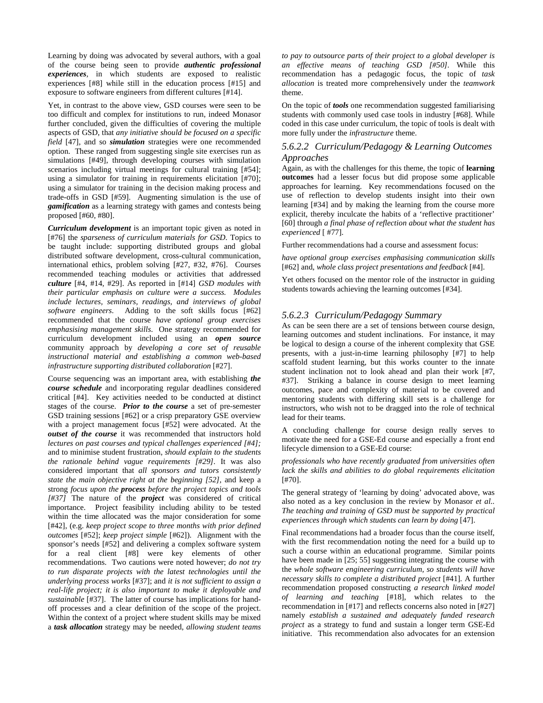Learning by doing was advocated by several authors, with a goal of the course being seen to provide *authentic professional experiences,* in which students are exposed to realistic experiences [#8] while still in the education process [#15] and exposure to software engineers from different cultures [#14].

Yet, in contrast to the above view, GSD courses were seen to be too difficult and complex for institutions to run, indeed Monasor further concluded, given the difficulties of covering the multiple aspects of GSD, that *any initiative should be focused on a specific field* [47], and so *simulation* strategies were one recommended option. These ranged from suggesting single site exercises run as simulations [#49], through developing courses with simulation scenarios including virtual meetings for cultural training [#54]; using a simulator for training in requirements elicitation [#70]; using a simulator for training in the decision making process and trade-offs in GSD [#59]. Augmenting simulation is the use of *gamification* as a learning strategy with games and contests being proposed [#60, #80].

*Curriculum development* is an important topic given as noted in [#76] the *sparseness of curriculum materials for GSD*. Topics to be taught include: supporting distributed groups and global distributed software development, cross-cultural communication, international ethics, problem solving [#27, #32, #76]. Courses recommended teaching modules or activities that addressed *culture* [#4, #14, #29]. As reported in [#14] *GSD modules with their particular emphasis on culture were a success. Modules include lectures, seminars, readings, and interviews of global software engineers*. Adding to the soft skills focus [#62] recommended that the course *have optional group exercises emphasising management skills*. One strategy recommended for curriculum development included using an *open source* community approach by *developing a core set of reusable instructional material and establishing a common web-based infrastructure supporting distributed collaboration* [#27].

Course sequencing was an important area, with establishing *the course schedule* and incorporating regular deadlines considered critical [#4]. Key activities needed to be conducted at distinct stages of the course. *Prior to the course* a set of pre-semester GSD training sessions [#62] or a crisp preparatory GSE overview with a project management focus [#52] were advocated. At the *outset of the course* it was recommended that instructors hold *lectures on past courses and typical challenges experienced [#4];*  and to minimise student frustration, *should explain to the students the rationale behind vague requirements [#29]*. It was also considered important that *all sponsors and tutors consistently state the main objective right at the beginning [52],* and keep a strong *focus upon the process before the project topics and tools [#37]* The nature of the *project* was considered of critical importance. Project feasibility including ability to be tested within the time allocated was the major consideration for some [#42], (e.g. *keep project scope to three months with prior defined outcomes* [#52]; *keep project simple* [#62]). Alignment with the sponsor's needs [#52] and delivering a complex software system for a real client [#8] were key elements of other recommendations. Two cautions were noted however; *do not try to run disparate projects with the latest technologies until the underlying process works* [#37]; and *it is not sufficient to assign a real-life project; it is also important to make it deployable and sustainable* [#37]. The latter of course has implications for handoff processes and a clear definition of the scope of the project. Within the context of a project where student skills may be mixed a *task allocation* strategy may be needed, *allowing student teams*  *to pay to outsource parts of their project to a global developer is an effective means of teaching GSD [#50].* While this recommendation has a pedagogic focus, the topic of *task allocation* is treated more comprehensively under the *teamwork* theme.

On the topic of *tools* one recommendation suggested familiarising students with commonly used case tools in industry [#68]. While coded in this case under curriculum, the topic of tools is dealt with more fully under the *infrastructure* theme.

## *5.6.2.2 Curriculum/Pedagogy & Learning Outcomes Approaches*

Again, as with the challenges for this theme, the topic of **learning outcomes** had a lesser focus but did propose some applicable approaches for learning. Key recommendations focused on the use of reflection to develop students insight into their own learning [#34] and by making the learning from the course more explicit, thereby inculcate the habits of a 'reflective practitioner' [60] through *a final phase of reflection about what the student has experienced* [ #77]*.*

Further recommendations had a course and assessment focus:

*have optional group exercises emphasising communication skills* [#62] and*, whole class project presentations and feedback* [#4].

Yet others focused on the mentor role of the instructor in guiding students towards achieving the learning outcomes [#34].

#### *5.6.2.3 Curriculum/Pedagogy Summary*

As can be seen there are a set of tensions between course design, learning outcomes and student inclinations. For instance, it may be logical to design a course of the inherent complexity that GSE presents, with a just-in-time learning philosophy [#7] to help scaffold student learning, but this works counter to the innate student inclination not to look ahead and plan their work [#7, #37]. Striking a balance in course design to meet learning outcomes, pace and complexity of material to be covered and mentoring students with differing skill sets is a challenge for instructors, who wish not to be dragged into the role of technical lead for their teams.

A concluding challenge for course design really serves to motivate the need for a GSE-Ed course and especially a front end lifecycle dimension to a GSE-Ed course:

*professionals who have recently graduated from universities often lack the skills and abilities to do global requirements elicitation* [#70].

The general strategy of 'learning by doing' advocated above, was also noted as a key conclusion in the review by Monasor *et al.. The teaching and training of GSD must be supported by practical experiences through which students can learn by doing* [47].

Final recommendations had a broader focus than the course itself, with the first recommendation noting the need for a build up to such a course within an educational programme. Similar points have been made in [25; 55] suggesting integrating the course with the *whole software engineering curriculum, so students will have necessary skills to complete a distributed project* [#41]*.* A further recommendation proposed constructing *a research linked model of learning and teaching* [#18], which relates to the recommendation in [#17] and reflects concerns also noted in [#27] namely *establish a sustained and adequately funded research project* as a strategy to fund and sustain a longer term GSE-Ed initiative. This recommendation also advocates for an extension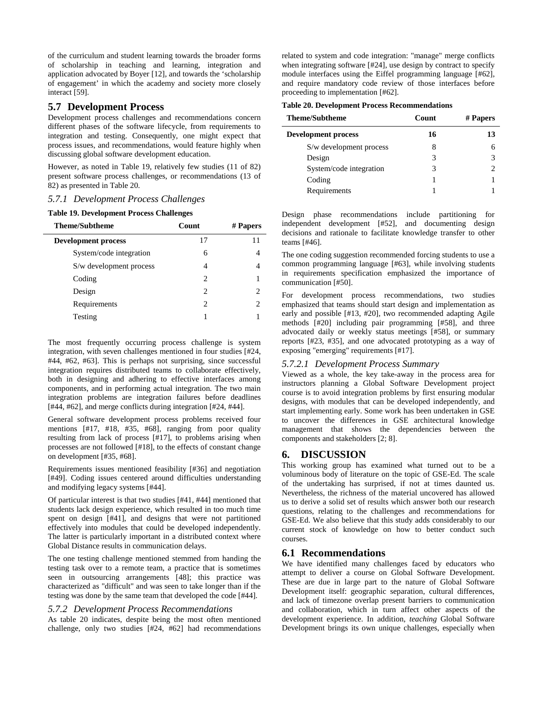of the curriculum and student learning towards the broader forms of scholarship in teaching and learning, integration and application advocated by Boyer [12], and towards the 'scholarship of engagement' in which the academy and society more closely interact [59].

# **5.7 Development Process**

Development process challenges and recommendations concern different phases of the software lifecycle, from requirements to integration and testing. Consequently, one might expect that process issues, and recommendations, would feature highly when discussing global software development education.

However, as noted in Table 19, relatively few studies (11 of 82) present software process challenges, or recommendations (13 of 82) as presented in Table 20.

## *5.7.1 Development Process Challenges*

**Table 19. Development Process Challenges** 

| <b>Theme/Subtheme</b>      | Count          | # Papers |
|----------------------------|----------------|----------|
| <b>Development process</b> | 17             | 11       |
| System/code integration    | 6              |          |
| S/w development process    | 4              |          |
| Coding                     | 2              |          |
| Design                     | 2              | 2        |
| Requirements               | $\mathfrak{D}$ | 2        |
| Testing                    |                |          |

The most frequently occurring process challenge is system integration, with seven challenges mentioned in four studies [#24, #44, #62, #63]. This is perhaps not surprising, since successful integration requires distributed teams to collaborate effectively, both in designing and adhering to effective interfaces among components, and in performing actual integration. The two main integration problems are integration failures before deadlines [#44, #62], and merge conflicts during integration [#24, #44].

General software development process problems received four mentions [#17, #18, #35, #68], ranging from poor quality resulting from lack of process [#17], to problems arising when processes are not followed [#18], to the effects of constant change on development [#35, #68].

Requirements issues mentioned feasibility [#36] and negotiation [#49]. Coding issues centered around difficulties understanding and modifying legacy systems [#44].

Of particular interest is that two studies [#41, #44] mentioned that students lack design experience, which resulted in too much time spent on design [#41], and designs that were not partitioned effectively into modules that could be developed independently. The latter is particularly important in a distributed context where Global Distance results in communication delays.

The one testing challenge mentioned stemmed from handing the testing task over to a remote team, a practice that is sometimes seen in outsourcing arrangements [48]; this practice was characterized as "difficult" and was seen to take longer than if the testing was done by the same team that developed the code [#44].

#### *5.7.2 Development Process Recommendations*

As table 20 indicates, despite being the most often mentioned challenge, only two studies [#24, #62] had recommendations

related to system and code integration: "manage" merge conflicts when integrating software [#24], use design by contract to specify module interfaces using the Eiffel programming language [#62], and require mandatory code review of those interfaces before proceeding to implementation [#62].

#### **Table 20. Development Process Recommendations**

| Theme/Subtheme             | Count | # Papers |
|----------------------------|-------|----------|
| <b>Development process</b> | 16    | 13       |
| S/w development process    | 8     |          |
| Design                     | 3     |          |
| System/code integration    | 3     |          |
| Coding                     |       |          |
| Requirements               |       |          |

Design phase recommendations include partitioning for independent development [#52], and documenting design decisions and rationale to facilitate knowledge transfer to other teams [#46].

The one coding suggestion recommended forcing students to use a common programming language [#63], while involving students in requirements specification emphasized the importance of communication [#50].

For development process recommendations, two studies emphasized that teams should start design and implementation as early and possible [#13, #20], two recommended adapting Agile methods [#20] including pair programming [#58], and three advocated daily or weekly status meetings [#58], or summary reports [#23, #35], and one advocated prototyping as a way of exposing "emerging" requirements [#17].

#### *5.7.2.1 Development Process Summary*

Viewed as a whole, the key take-away in the process area for instructors planning a Global Software Development project course is to avoid integration problems by first ensuring modular designs, with modules that can be developed independently, and start implementing early. Some work has been undertaken in GSE to uncover the differences in GSE architectural knowledge management that shows the dependencies between the components and stakeholders [2; 8].

# **6. DISCUSSION**

This working group has examined what turned out to be a voluminous body of literature on the topic of GSE-Ed. The scale of the undertaking has surprised, if not at times daunted us. Nevertheless, the richness of the material uncovered has allowed us to derive a solid set of results which answer both our research questions, relating to the challenges and recommendations for GSE-Ed. We also believe that this study adds considerably to our current stock of knowledge on how to better conduct such courses.

#### <span id="page-20-0"></span>**6.1 Recommendations**

We have identified many challenges faced by educators who attempt to deliver a course on Global Software Development. These are due in large part to the nature of Global Software Development itself: geographic separation, cultural differences, and lack of timezone overlap present barriers to communication and collaboration, which in turn affect other aspects of the development experience. In addition, *teaching* Global Software Development brings its own unique challenges, especially when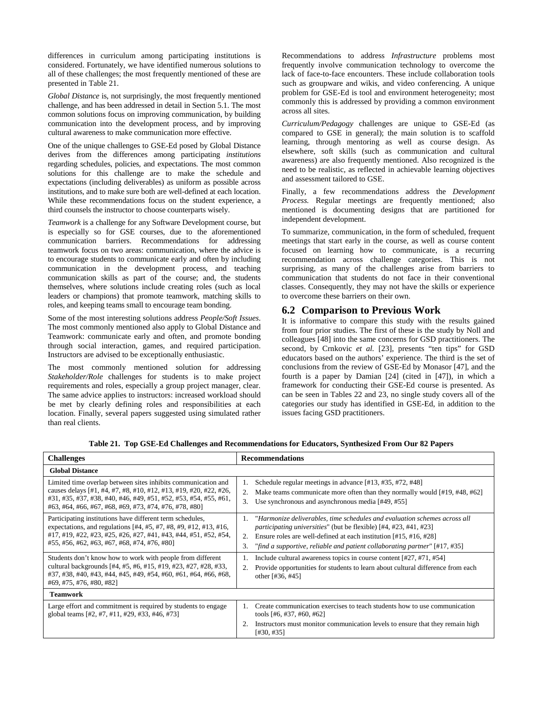differences in curriculum among participating institutions is considered. Fortunately, we have identified numerous solutions to all of these challenges; the most frequently mentioned of these are presented in Table 21.

*Global Distance* is, not surprisingly, the most frequently mentioned challenge, and has been addressed in detail in Sectio[n 5.1.](#page-8-0) The most common solutions focus on improving communication, by building communication into the development process, and by improving cultural awareness to make communication more effective.

One of the unique challenges to GSE-Ed posed by Global Distance derives from the differences among participating *institutions*  regarding schedules, policies, and expectations. The most common solutions for this challenge are to make the schedule and expectations (including deliverables) as uniform as possible across institutions, and to make sure both are well-defined at each location. While these recommendations focus on the student experience, a third counsels the instructor to choose counterparts wisely.

*Teamwork* is a challenge for any Software Development course, but is especially so for GSE courses, due to the aforementioned communication barriers. Recommendations for addressing teamwork focus on two areas: communication, where the advice is to encourage students to communicate early and often by including communication in the development process, and teaching communication skills as part of the course; and, the students themselves, where solutions include creating roles (such as local leaders or champions) that promote teamwork, matching skills to roles, and keeping teams small to encourage team bonding.

Some of the most interesting solutions address *People/Soft Issues*. The most commonly mentioned also apply to Global Distance and Teamwork: communicate early and often, and promote bonding through social interaction, games, and required participation. Instructors are advised to be exceptionally enthusiastic.

The most commonly mentioned solution for addressing *Stakeholder/Role* challenges for students is to make project requirements and roles, especially a group project manager, clear. The same advice applies to instructors: increased workload should be met by clearly defining roles and responsibilities at each location. Finally, several papers suggested using simulated rather than real clients.

Recommendations to address *Infrastructure* problems most frequently involve communication technology to overcome the lack of face-to-face encounters. These include collaboration tools such as groupware and wikis, and video conferencing. A unique problem for GSE-Ed is tool and environment heterogeneity; most commonly this is addressed by providing a common environment across all sites.

*Curriculum/Pedagogy* challenges are unique to GSE-Ed (as compared to GSE in general); the main solution is to scaffold learning, through mentoring as well as course design. As elsewhere, soft skills (such as communication and cultural awareness) are also frequently mentioned. Also recognized is the need to be realistic, as reflected in achievable learning objectives and assessment tailored to GSE.

Finally, a few recommendations address the *Development Process.* Regular meetings are frequently mentioned; also mentioned is documenting designs that are partitioned for independent development.

To summarize, communication, in the form of scheduled, frequent meetings that start early in the course, as well as course content focused on learning how to communicate, is a recurring recommendation across challenge categories. This is not surprising, as many of the challenges arise from barriers to communication that students do not face in their conventional classes. Consequently, they may not have the skills or experience to overcome these barriers on their own.

# **6.2 Comparison to Previous Work**

It is informative to compare this study with the results gained from four prior studies. The first of these is the study by Noll and colleagues [48] into the same concerns for GSD practitioners. The second, by Crnkovic *et al.* [23], presents "ten tips" for GSD educators based on the authors' experience. The third is the set of conclusions from the review of GSE-Ed by Monasor [47], and the fourth is a paper by Damian [24] (cited in [47]), in which a framework for conducting their GSE-Ed course is presented. As can be seen in Tables 22 and 23, no single study covers all of the categories our study has identified in GSE-Ed, in addition to the issues facing GSD practitioners.

| <b>Challenges</b>                                                                                                                                                                                                                                                | <b>Recommendations</b>                                                                                                                                                                                                                                                                                                        |  |
|------------------------------------------------------------------------------------------------------------------------------------------------------------------------------------------------------------------------------------------------------------------|-------------------------------------------------------------------------------------------------------------------------------------------------------------------------------------------------------------------------------------------------------------------------------------------------------------------------------|--|
| <b>Global Distance</b>                                                                                                                                                                                                                                           |                                                                                                                                                                                                                                                                                                                               |  |
| Limited time overlap between sites inhibits communication and<br>causes delays [#1, #4, #7, #8, #10, #12, #13, #19, #20, #22, #26,<br>#31, #35, #37, #38, #40, #46, #49, #51, #52, #53, #54, #55, #61,<br>#63, #64, #66, #67, #68, #69, #73, #74, #76, #78, #80] | Schedule regular meetings in advance [#13, #35, #72, #48]<br>1.<br>Make teams communicate more often than they normally would [#19, #48, #62]<br>2.<br>3.<br>Use synchronous and asynchronous media [#49, #55]                                                                                                                |  |
| Participating institutions have different term schedules,<br>expectations, and regulations $[#4, #5, #7, #8, #9, #12, #13, #16,$<br>#17, #19, #22, #23, #25, #26, #27, #41, #43, #44, #51, #52, #54,<br>#55, #56, #62, #63, #67, #68, #74, #76, #80]             | "Harmonize deliverables, time schedules and evaluation schemes across all<br>1.<br><i>participating universities</i> " (but be flexible) [#4, #23, #41, #23]<br>Ensure roles are well-defined at each institution $[#15, #16, #28]$<br>2.<br>3.<br>"find a supportive, reliable and patient collaborating partner" [#17, #35] |  |
| Students don't know how to work with people from different<br>cultural backgrounds [#4, #5, #6, #15, #19, #23, #27, #28, #33,<br>#37, #38, #40, #43, #44, #45, #49, #54, #60, #61, #64, #66, #68,<br>#69, #75, #76, #80, #82]                                    | Include cultural awareness topics in course content $[#27, #71, #54]$<br>1.<br>Provide opportunities for students to learn about cultural difference from each<br>2.<br>other [#36, #45]                                                                                                                                      |  |
| <b>Teamwork</b>                                                                                                                                                                                                                                                  |                                                                                                                                                                                                                                                                                                                               |  |
| Large effort and commitment is required by students to engage<br>global teams [#2, #7, #11, #29, #33, #46, #73]                                                                                                                                                  | Create communication exercises to teach students how to use communication<br>tools [#6, #37, #60, #62]<br>Instructors must monitor communication levels to ensure that they remain high<br>2.<br>[#30, #35]                                                                                                                   |  |

**Table 21. Top GSE-Ed Challenges and Recommendations for Educators, Synthesized From Our 82 Papers**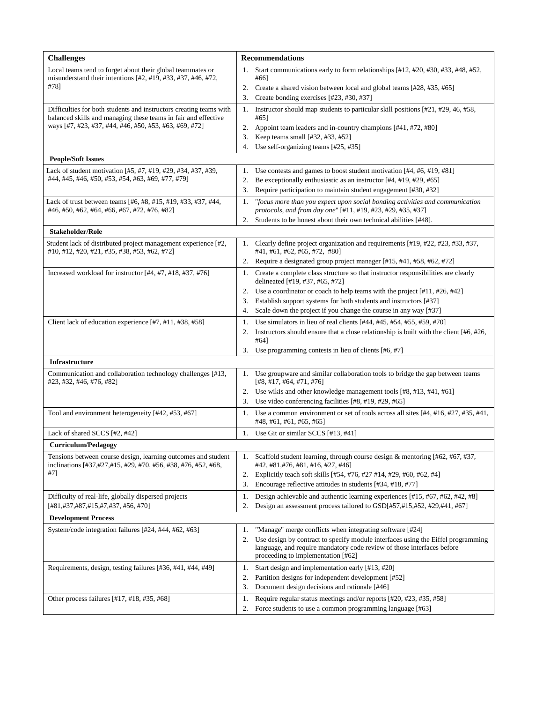| <b>Challenges</b>                                                                                                                    | <b>Recommendations</b>                                                                                                                                                                                 |
|--------------------------------------------------------------------------------------------------------------------------------------|--------------------------------------------------------------------------------------------------------------------------------------------------------------------------------------------------------|
| Local teams tend to forget about their global teammates or                                                                           | Start communications early to form relationships [#12, #20, #30, #33, #48, #52,<br>1.                                                                                                                  |
| misunderstand their intentions [#2, #19, #33, #37, #46, #72,<br>#78]                                                                 | #66]<br>2.<br>Create a shared vision between local and global teams [#28, #35, #65]                                                                                                                    |
|                                                                                                                                      | Create bonding exercises [#23, #30, #37]<br>3.                                                                                                                                                         |
| Difficulties for both students and instructors creating teams with<br>balanced skills and managing these teams in fair and effective | Instructor should map students to particular skill positions [#21, #29, 46, #58,<br>1.<br>#65]                                                                                                         |
| ways [#7, #23, #37, #44, #46, #50, #53, #63, #69, #72]                                                                               | Appoint team leaders and in-country champions [#41, #72, #80]<br>2.                                                                                                                                    |
|                                                                                                                                      | Keep teams small [#32, #33, #52]<br>3.                                                                                                                                                                 |
|                                                                                                                                      | Use self-organizing teams [#25, #35]<br>4.                                                                                                                                                             |
| <b>People/Soft Issues</b>                                                                                                            | Use contests and games to boost student motivation [#4, #6, #19, #81]                                                                                                                                  |
| Lack of student motivation [#5, #7, #19, #29, #34, #37, #39,<br>#44, #45, #46, #50, #53, #54, #63, #69, #77, #79]                    | 1.<br>Be exceptionally enthusiastic as an instructor [#4, #19, #29, #65]<br>2.                                                                                                                         |
|                                                                                                                                      | 3.<br>Require participation to maintain student engagement [#30, #32]                                                                                                                                  |
| Lack of trust between teams [#6, #8, #15, #19, #33, #37, #44,<br>#46, #50, #62, #64, #66, #67, #72, #76, #82]                        | "focus more than you expect upon social bonding activities and communication<br>1.<br>protocols, and from day one" [#11, #19, #23, #29, #35, #37]                                                      |
|                                                                                                                                      | Students to be honest about their own technical abilities [#48].<br>2.                                                                                                                                 |
| <b>Stakeholder/Role</b>                                                                                                              |                                                                                                                                                                                                        |
| Student lack of distributed project management experience [#2,<br>#10, #12, #20, #21, #35, #38, #53, #62, #72]                       | Clearly define project organization and requirements [#19, #22, #23, #33, #37,<br>1.<br>#41, #61, #62, #65, #72, #80]                                                                                  |
|                                                                                                                                      | Require a designated group project manager [#15, #41, #58, #62, #72]<br>2.                                                                                                                             |
| Increased workload for instructor [#4, #7, #18, #37, #76]                                                                            | Create a complete class structure so that instructor responsibilities are clearly<br>1.<br>delineated [#19, #37, #65, #72]                                                                             |
|                                                                                                                                      | Use a coordinator or coach to help teams with the project [#11, #26, #42]<br>2.                                                                                                                        |
|                                                                                                                                      | Establish support systems for both students and instructors [#37]<br>3.<br>Scale down the project if you change the course in any way [#37]<br>4.                                                      |
| Client lack of education experience [#7, #11, #38, #58]                                                                              | Use simulators in lieu of real clients $[#44, #45, #54, #55, #59, #70]$                                                                                                                                |
|                                                                                                                                      | 1.<br>Instructors should ensure that a close relationship is built with the client [#6, #26,<br>2.                                                                                                     |
|                                                                                                                                      | #641                                                                                                                                                                                                   |
|                                                                                                                                      | Use programming contests in lieu of clients [#6, #7]<br>3.                                                                                                                                             |
| <b>Infrastructure</b>                                                                                                                |                                                                                                                                                                                                        |
| Communication and collaboration technology challenges [#13,<br>#23, #32, #46, #76, #82]                                              | Use groupware and similar collaboration tools to bridge the gap between teams<br>1.<br>[#8, #17, #64, #71, #76]                                                                                        |
|                                                                                                                                      | Use wikis and other knowledge management tools [#8, #13, #41, #61]<br>2.                                                                                                                               |
|                                                                                                                                      | 3.<br>Use video conferencing facilities $[#8, #19, #29, #65]$                                                                                                                                          |
| Tool and environment heterogeneity [#42, #53, #67]                                                                                   | Use a common environment or set of tools across all sites $[#4, #16, #27, #35, #41,$<br>1.<br>#48, #61, #61, #65, #65]                                                                                 |
| Lack of shared SCCS [#2, #42]                                                                                                        | Use Git or similar SCCS [#13, #41]<br>1.                                                                                                                                                               |
| Curriculum/Pedagogy                                                                                                                  |                                                                                                                                                                                                        |
| Tensions between course design, learning outcomes and student<br>inclinations [#37,#27,#15, #29, #70, #56, #38, #76, #52, #68,       | 1. Scaffold student learning, through course design & mentoring [#62, #67, #37,<br>#42, #81, #76, #81, #16, #27, #46]                                                                                  |
| #7]                                                                                                                                  | Explicitly teach soft skills [#54, #76, #27 #14, #29, #60, #62, #4]<br>2.                                                                                                                              |
|                                                                                                                                      | 3.<br>Encourage reflective attitudes in students [#34, #18, #77]                                                                                                                                       |
| Difficulty of real-life, globally dispersed projects<br>[#81,#37,#87,#15,#7,#37, #56, #70]                                           | Design achievable and authentic learning experiences [#15, #67, #62, #42, #8]<br>1.<br>2.<br>Design an assessment process tailored to GSD[#57,#15,#52, #29,#41, #67]                                   |
| <b>Development Process</b>                                                                                                           |                                                                                                                                                                                                        |
| System/code integration failures [#24, #44, #62, #63]                                                                                | "Manage" merge conflicts when integrating software [#24]<br>1.                                                                                                                                         |
|                                                                                                                                      | Use design by contract to specify module interfaces using the Eiffel programming<br>2.<br>language, and require mandatory code review of those interfaces before<br>proceeding to implementation [#62] |
| Requirements, design, testing failures [#36, #41, #44, #49]                                                                          | Start design and implementation early [#13, #20]<br>1.                                                                                                                                                 |
|                                                                                                                                      | Partition designs for independent development [#52]<br>2.                                                                                                                                              |
|                                                                                                                                      | 3.<br>Document design decisions and rationale [#46]                                                                                                                                                    |
| Other process failures [#17, #18, #35, #68]                                                                                          | Require regular status meetings and/or reports [#20, #23, #35, #58]<br>1.<br>Force students to use a common programming language [#63]<br>2.                                                           |
|                                                                                                                                      |                                                                                                                                                                                                        |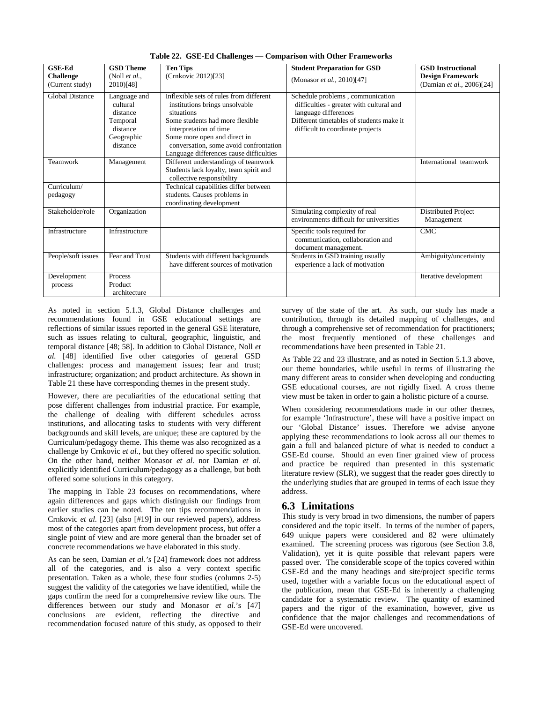| <b>GSE-Ed</b><br><b>Challenge</b><br>(Current study) | <b>GSD Theme</b><br>(Noll $et al.,$<br>2010)[48]                                       | <b>Ten Tips</b><br>(Crnkovic 2012)[23]                                                                                                                                                                                                                                    | <b>Student Preparation for GSD</b><br>(Monasor et al., 2010)[47]                                                                                                                     | <b>GSD</b> Instructional<br><b>Design Framework</b><br>(Damian et al., 2006)[24] |
|------------------------------------------------------|----------------------------------------------------------------------------------------|---------------------------------------------------------------------------------------------------------------------------------------------------------------------------------------------------------------------------------------------------------------------------|--------------------------------------------------------------------------------------------------------------------------------------------------------------------------------------|----------------------------------------------------------------------------------|
| <b>Global Distance</b>                               | Language and<br>cultural<br>distance<br>Temporal<br>distance<br>Geographic<br>distance | Inflexible sets of rules from different<br>institutions brings unsolvable<br>situations<br>Some students had more flexible<br>interpretation of time<br>Some more open and direct in<br>conversation, some avoid confrontation<br>Language differences cause difficulties | Schedule problems, communication<br>difficulties - greater with cultural and<br>language differences<br>Different timetables of students make it<br>difficult to coordinate projects |                                                                                  |
| Teamwork                                             | Management                                                                             | Different understandings of teamwork<br>Students lack loyalty, team spirit and<br>collective responsibility                                                                                                                                                               |                                                                                                                                                                                      | International teamwork                                                           |
| Curriculum/<br>pedagogy                              |                                                                                        | Technical capabilities differ between<br>students. Causes problems in<br>coordinating development                                                                                                                                                                         |                                                                                                                                                                                      |                                                                                  |
| Stakeholder/role                                     | Organization                                                                           |                                                                                                                                                                                                                                                                           | Simulating complexity of real<br>environments difficult for universities                                                                                                             | Distributed Project<br>Management                                                |
| Infrastructure                                       | Infrastructure                                                                         |                                                                                                                                                                                                                                                                           | Specific tools required for<br>communication, collaboration and<br>document management.                                                                                              | <b>CMC</b>                                                                       |
| People/soft issues                                   | Fear and Trust                                                                         | Students with different backgrounds<br>have different sources of motivation                                                                                                                                                                                               | Students in GSD training usually<br>experience a lack of motivation                                                                                                                  | Ambiguity/uncertainty                                                            |
| Development<br>process                               | Process<br>Product<br>architecture                                                     |                                                                                                                                                                                                                                                                           |                                                                                                                                                                                      | Iterative development                                                            |

**Table 22. GSE-Ed Challenges — Comparison with Other Frameworks**

As noted in section 5.1.3, Global Distance challenges and recommendations found in GSE educational settings are reflections of similar issues reported in the general GSE literature, such as issues relating to cultural, geographic, linguistic, and temporal distance [48; 58]. In addition to Global Distance, Noll *et al.* [48] identified five other categories of general GSD challenges: process and management issues; fear and trust; infrastructure; organization; and product architecture. As shown in Table 21 these have corresponding themes in the present study.

However, there are peculiarities of the educational setting that pose different challenges from industrial practice. For example, the challenge of dealing with different schedules across institutions, and allocating tasks to students with very different backgrounds and skill levels, are unique; these are captured by the Curriculum/pedagogy theme. This theme was also recognized as a challenge by Crnkovic *et al.*, but they offered no specific solution. On the other hand, neither Monasor *et al.* nor Damian *et al.* explicitly identified Curriculum/pedagogy as a challenge, but both offered some solutions in this category.

The mapping in Table 23 focuses on recommendations, where again differences and gaps which distinguish our findings from earlier studies can be noted. The ten tips recommendations in Crnkovic *et al.* [23] (also [#19] in our reviewed papers), address most of the categories apart from development process, but offer a single point of view and are more general than the broader set of concrete recommendations we have elaborated in this study.

As can be seen, Damian *et al.'s* [24] framework does not address all of the categories, and is also a very context specific presentation. Taken as a whole, these four studies (columns 2-5) suggest the validity of the categories we have identified, while the gaps confirm the need for a comprehensive review like ours. The differences between our study and Monasor *et al.*'s [47] conclusions are evident, reflecting the directive and recommendation focused nature of this study, as opposed to their

survey of the state of the art. As such, our study has made a contribution, through its detailed mapping of challenges, and through a comprehensive set of recommendation for practitioners; the most frequently mentioned of these challenges and recommendations have been presented in Table 21.

As Table 22 and 23 illustrate, and as noted in Section 5.1.3 above, our theme boundaries, while useful in terms of illustrating the many different areas to consider when developing and conducting GSE educational courses, are not rigidly fixed. A cross theme view must be taken in order to gain a holistic picture of a course.

When considering recommendations made in our other themes, for example 'Infrastructure', these will have a positive impact on our 'Global Distance' issues. Therefore we advise anyone applying these recommendations to look across all our themes to gain a full and balanced picture of what is needed to conduct a GSE-Ed course. Should an even finer grained view of process and practice be required than presented in this systematic literature review (SLR), we suggest that the reader goes directly to the underlying studies that are grouped in terms of each issue they address.

# **6.3 Limitations**

This study is very broad in two dimensions, the number of papers considered and the topic itself. In terms of the number of papers, 649 unique papers were considered and 82 were ultimately examined. The screening process was rigorous (see Section [3.8,](#page-6-0)  Validation), yet it is quite possible that relevant papers were passed over. The considerable scope of the topics covered within GSE-Ed and the many headings and site/project specific terms used, together with a variable focus on the educational aspect of the publication, mean that GSE-Ed is inherently a challenging candidate for a systematic review. The quantity of examined papers and the rigor of the examination, however, give us confidence that the major challenges and recommendations of GSE-Ed were uncovered.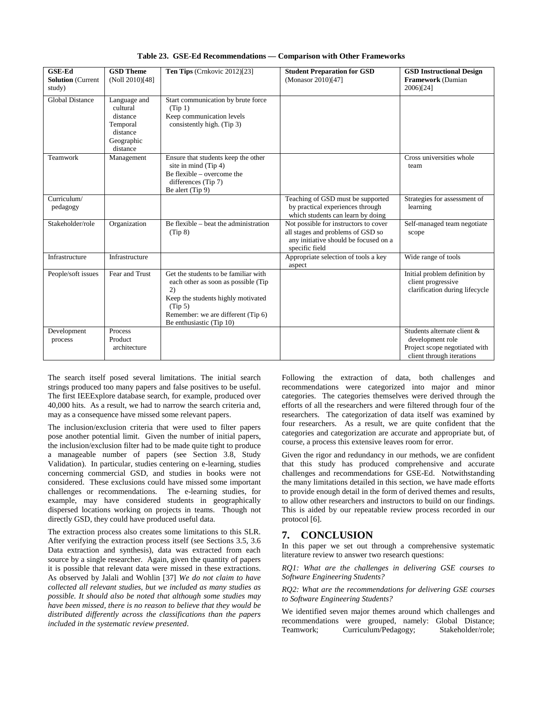| <b>GSE-Ed</b><br><b>Solution</b> (Current<br>study) | <b>GSD Theme</b><br>(Noll 2010)[48]                                                    | Ten Tips (Crnkovic 2012)[23]                                                                                                                                                                         | <b>Student Preparation for GSD</b><br>(Monasor 2010)[47]                                                                              | <b>GSD Instructional Design</b><br>Framework (Damian<br>2006)[24]                                             |
|-----------------------------------------------------|----------------------------------------------------------------------------------------|------------------------------------------------------------------------------------------------------------------------------------------------------------------------------------------------------|---------------------------------------------------------------------------------------------------------------------------------------|---------------------------------------------------------------------------------------------------------------|
| <b>Global Distance</b>                              | Language and<br>cultural<br>distance<br>Temporal<br>distance<br>Geographic<br>distance | Start communication by brute force<br>(Tip 1)<br>Keep communication levels<br>consistently high. (Tip 3)                                                                                             |                                                                                                                                       |                                                                                                               |
| Teamwork                                            | Management                                                                             | Ensure that students keep the other<br>site in mind (Tip 4)<br>Be flexible $-$ overcome the<br>differences (Tip 7)<br>Be alert (Tip 9)                                                               |                                                                                                                                       | Cross universities whole<br>team                                                                              |
| Curriculum/<br>pedagogy                             |                                                                                        |                                                                                                                                                                                                      | Teaching of GSD must be supported<br>by practical experiences through<br>which students can learn by doing                            | Strategies for assessment of<br>learning                                                                      |
| Stakeholder/role                                    | Organization                                                                           | Be flexible $-$ beat the administration<br>(Tip 8)                                                                                                                                                   | Not possible for instructors to cover<br>all stages and problems of GSD so<br>any initiative should be focused on a<br>specific field | Self-managed team negotiate<br>scope                                                                          |
| Infrastructure                                      | Infrastructure                                                                         |                                                                                                                                                                                                      | Appropriate selection of tools a key<br>aspect                                                                                        | Wide range of tools                                                                                           |
| People/soft issues                                  | Fear and Trust                                                                         | Get the students to be familiar with<br>each other as soon as possible (Tip<br>2)<br>Keep the students highly motivated<br>(Tip 5)<br>Remember: we are different (Tip 6)<br>Be enthusiastic (Tip 10) |                                                                                                                                       | Initial problem definition by<br>client progressive<br>clarification during lifecycle                         |
| Development<br>process                              | Process<br>Product<br>architecture                                                     |                                                                                                                                                                                                      |                                                                                                                                       | Students alternate client &<br>development role<br>Project scope negotiated with<br>client through iterations |

**Table 23. GSE-Ed Recommendations — Comparison with Other Frameworks**

The search itself posed several limitations. The initial search strings produced too many papers and false positives to be useful. The first IEEExplore database search, for example, produced over 40,000 hits. As a result, we had to narrow the search criteria and, may as a consequence have missed some relevant papers.

The inclusion/exclusion criteria that were used to filter papers pose another potential limit. Given the number of initial papers, the inclusion/exclusion filter had to be made quite tight to produce a manageable number of papers (see Section 3.8, Study Validation). In particular, studies centering on e-learning, studies concerning commercial GSD, and studies in books were not considered. These exclusions could have missed some important challenges or recommendations. The e-learning studies, for example, may have considered students in geographically dispersed locations working on projects in teams. Though not directly GSD, they could have produced useful data.

The extraction process also creates some limitations to this SLR. After verifying the extraction process itself (see Sections 3.5, 3.6 Data extraction and synthesis), data was extracted from each source by a single researcher. Again, given the quantity of papers it is possible that relevant data were missed in these extractions. As observed by Jalali and Wohlin [37] *We do not claim to have collected all relevant studies, but we included as many studies as possible. It should also be noted that although some studies may have been missed, there is no reason to believe that they would be distributed differently across the classifications than the papers included in the systematic review presented*.

Following the extraction of data, both challenges and recommendations were categorized into major and minor categories. The categories themselves were derived through the efforts of all the researchers and were filtered through four of the researchers. The categorization of data itself was examined by four researchers. As a result, we are quite confident that the categories and categorization are accurate and appropriate but, of course, a process this extensive leaves room for error.

Given the rigor and redundancy in our methods, we are confident that this study has produced comprehensive and accurate challenges and recommendations for GSE-Ed. Notwithstanding the many limitations detailed in this section, we have made efforts to provide enough detail in the form of derived themes and results, to allow other researchers and instructors to build on our findings. This is aided by our repeatable review process recorded in our protocol [6].

# **7. CONCLUSION**

In this paper we set out through a comprehensive systematic literature review to answer two research questions:

*RQ1: What are the challenges in delivering GSE courses to Software Engineering Students?* 

*RQ2: What are the recommendations for delivering GSE courses to Software Engineering Students?* 

We identified seven major themes around which challenges and recommendations were grouped, namely: Global Distance; Teamwork; Curriculum/Pedagogy; Stakeholder/role;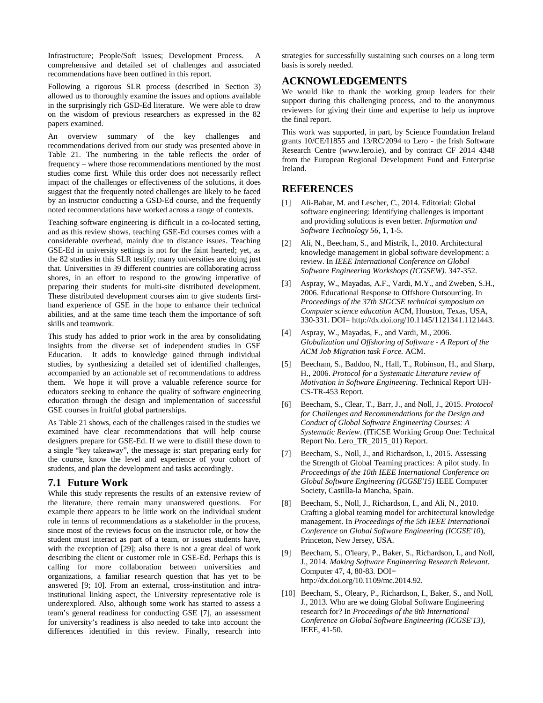Infrastructure; People/Soft issues; Development Process. A comprehensive and detailed set of challenges and associated recommendations have been outlined in this report.

Following a rigorous SLR process (described in Section 3) allowed us to thoroughly examine the issues and options available in the surprisingly rich GSD-Ed literature. We were able to draw on the wisdom of previous researchers as expressed in the 82 papers examined.

An overview summary of the key challenges and recommendations derived from our study was presented above in Table 21. The numbering in the table reflects the order of frequency – where those recommendations mentioned by the most studies come first. While this order does not necessarily reflect impact of the challenges or effectiveness of the solutions, it does suggest that the frequently noted challenges are likely to be faced by an instructor conducting a GSD-Ed course, and the frequently noted recommendations have worked across a range of contexts.

Teaching software engineering is difficult in a co-located setting, and as this review shows, teaching GSE-Ed courses comes with a considerable overhead, mainly due to distance issues. Teaching GSE-Ed in university settings is not for the faint hearted; yet, as the 82 studies in this SLR testify; many universities are doing just that. Universities in 39 different countries are collaborating across shores, in an effort to respond to the growing imperative of preparing their students for multi-site distributed development. These distributed development courses aim to give students firsthand experience of GSE in the hope to enhance their technical abilities, and at the same time teach them the importance of soft skills and teamwork.

This study has added to prior work in the area by consolidating insights from the diverse set of independent studies in GSE Education. It adds to knowledge gained through individual studies, by synthesizing a detailed set of identified challenges, accompanied by an actionable set of recommendations to address them. We hope it will prove a valuable reference source for educators seeking to enhance the quality of software engineering education through the design and implementation of successful GSE courses in fruitful global partnerships.

As Table 21 shows, each of the challenges raised in the studies we examined have clear recommendations that will help course designers prepare for GSE-Ed. If we were to distill these down to a single "key takeaway", the message is: start preparing early for the course, know the level and experience of your cohort of students, and plan the development and tasks accordingly.

# **7.1 Future Work**

While this study represents the results of an extensive review of the literature, there remain many unanswered questions. For example there appears to be little work on the individual student role in terms of recommendations as a stakeholder in the process, since most of the reviews focus on the instructor role, or how the student must interact as part of a team, or issues students have, with the exception of [29]; also there is not a great deal of work describing the client or customer role in GSE-Ed. Perhaps this is calling for more collaboration between universities and organizations, a familiar research question that has yet to be answered [9; 10]. From an external, cross-institution and intrainstitutional linking aspect, the University representative role is underexplored. Also, although some work has started to assess a team's general readiness for conducting GSE [7], an assessment for university's readiness is also needed to take into account the differences identified in this review. Finally, research into

strategies for successfully sustaining such courses on a long term basis is sorely needed.

# **ACKNOWLEDGEMENTS**

We would like to thank the working group leaders for their support during this challenging process, and to the anonymous reviewers for giving their time and expertise to help us improve the final report.

This work was supported, in part, by Science Foundation Ireland grants 10/CE/I1855 and 13/RC/2094 to Lero - the Irish Software Research Centre (www.lero.ie), and by contract CF 2014 4348 from the European Regional Development Fund and Enterprise Ireland.

# **REFERENCES**

- [1] Ali-Babar, M. and Lescher, C., 2014. Editorial: Global software engineering: Identifying challenges is important and providing solutions is even better. *Information and Software Technology 56*, 1, 1-5.
- [2] Ali, N., Beecham, S., and Mistrík, I., 2010. Architectural knowledge management in global software development: a review. In *IEEE International Conference on Global Software Engineering Workshops (ICGSEW).* 347-352.
- [3] Aspray, W., Mayadas, A.F., Vardi, M.Y., and Zweben, S.H., 2006. Educational Response to Offshore Outsourcing. In *Proceedings of the 37th SIGCSE technical symposium on Computer science education* ACM, Houston, Texas, USA, 330-331. DOI= http://dx.doi.org/10.1145/1121341.1121443.
- [4] Aspray, W., Mayadas, F., and Vardi, M., 2006. *Globalization and Offshoring of Software - A Report of the ACM Job Migration task Force.* ACM.
- [5] Beecham, S., Baddoo, N., Hall, T., Robinson, H., and Sharp, H., 2006. *Protocol for a Systematic Literature review of Motivation in Software Engineering*. Technical Report UH-CS-TR-453 Report.
- [6] Beecham, S., Clear, T., Barr, J., and Noll, J., 2015. *Protocol for Challenges and Recommendations for the Design and Conduct of Global Software Engineering Courses: A Systematic Review*. (ITiCSE Working Group One: Technical Report No. Lero\_TR\_2015\_01) Report.
- [7] Beecham, S., Noll, J., and Richardson, I., 2015. Assessing the Strength of Global Teaming practices: A pilot study. In *Proceedings of the 10th IEEE International Conference on Global Software Engineering (ICGSE'15)* IEEE Computer Society, Castilla-la Mancha, Spain.
- [8] Beecham, S., Noll, J., Richardson, I., and Ali, N., 2010. Crafting a global teaming model for architectural knowledge management. In *Proceedings of the 5th IEEE International Conference on Global Software Engineering (ICGSE'10*), Princeton, New Jersey, USA.
- [9] Beecham, S., O'leary, P., Baker, S., Richardson, I., and Noll, J., 2014. *Making Software Engineering Research Relevant*. Computer 47, 4, 80-83. DOI= http://dx.doi.org/10.1109/mc.2014.92.
- [10] Beecham, S., Oleary, P., Richardson, I., Baker, S., and Noll, J., 2013. Who are we doing Global Software Engineering research for? In *Proceedings of the 8th International Conference on Global Software Engineering (ICGSE'13)*, IEEE, 41-50.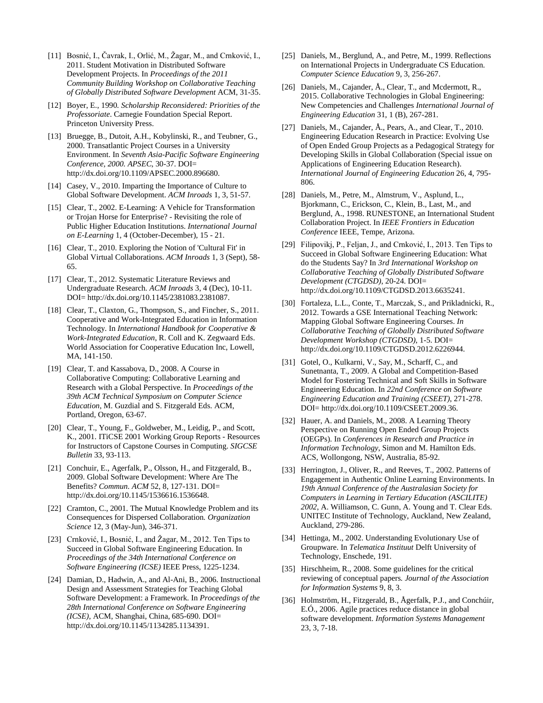- [11] Bosnić, I., Čavrak, I., Orlić, M., Žagar, M., and Crnković, I., 2011. Student Motivation in Distributed Software Development Projects. In *Proceedings of the 2011 Community Building Workshop on Collaborative Teaching of Globally Distributed Software Development* ACM, 31-35.
- [12] Boyer, E., 1990*. Scholarship Reconsidered: Priorities of the Professoriate*. Carnegie Foundation Special Report. Princeton University Press.
- [13] Bruegge, B., Dutoit, A.H., Kobylinski, R., and Teubner, G., 2000. Transatlantic Project Courses in a University Environment. In *Seventh Asia-Pacific Software Engineering Conference, 2000. APSEC*, 30-37. DOI= http://dx.doi.org/10.1109/APSEC.2000.896680.
- [14] Casey, V., 2010. Imparting the Importance of Culture to Global Software Development. *ACM Inroads* 1, 3, 51-57.
- [15] Clear, T., 2002. E-Learning: A Vehicle for Transformation or Trojan Horse for Enterprise? - Revisiting the role of Public Higher Education Institutions. *International Journal on E-Learning* 1, 4 (October-December), 15 - 21.
- [16] Clear, T., 2010. Exploring the Notion of 'Cultural Fit' in Global Virtual Collaborations. *ACM Inroads* 1, 3 (Sept), 58- 65.
- [17] Clear, T., 2012. Systematic Literature Reviews and Undergraduate Research*. ACM Inroads* 3, 4 (Dec), 10-11. DOI= http://dx.doi.org/10.1145/2381083.2381087.
- [18] Clear, T., Claxton, G., Thompson, S., and Fincher, S., 2011. Cooperative and Work-Integrated Education in Information Technology. In *International Handbook for Cooperative & Work-Integrated Education*, R. Coll and K. Zegwaard Eds. World Association for Cooperative Education Inc, Lowell, MA, 141-150.
- [19] Clear, T. and Kassabova, D., 2008. A Course in Collaborative Computing: Collaborative Learning and Research with a Global Perspective. In *Proceedings of the 39th ACM Technical Symposium on Computer Science Education*, M. Guzdial and S. Fitzgerald Eds. ACM, Portland, Oregon, 63-67.
- [20] Clear, T., Young, F., Goldweber, M., Leidig, P., and Scott, K., 2001. ITiCSE 2001 Working Group Reports - Resources for Instructors of Capstone Courses in Computing. *SIGCSE Bulletin* 33, 93-113.
- [21] Conchuir, E., Agerfalk, P., Olsson, H., and Fitzgerald, B., 2009. Global Software Development: Where Are The Benefits? *Commun. ACM* 52, 8, 127-131. DOI= http://dx.doi.org/10.1145/1536616.1536648.
- [22] Cramton, C., 2001. The Mutual Knowledge Problem and its Consequences for Dispersed Collaboration*. Organization Science* 12, 3 (May-Jun), 346-371.
- [23] Crnković, I., Bosnić, I., and Žagar, M., 2012. Ten Tips to Succeed in Global Software Engineering Education. In *Proceedings of the 34th International Conference on Software Engineering (ICSE)* IEEE Press, 1225-1234.
- [24] Damian, D., Hadwin, A., and Al-Ani, B., 2006. Instructional Design and Assessment Strategies for Teaching Global Software Development: a Framework. In *Proceedings of the 28th International Conference on Software Engineering (ICSE),* ACM, Shanghai, China, 685-690. DOI= http://dx.doi.org/10.1145/1134285.1134391.
- [25] Daniels, M., Berglund, A., and Petre, M., 1999. Reflections on International Projects in Undergraduate CS Education. *Computer Science Education* 9, 3, 256-267.
- [26] Daniels, M., Cajander, Å., Clear, T., and Mcdermott, R., 2015. Collaborative Technologies in Global Engineering: New Competencies and Challenges *International Journal of Engineering Education* 31, 1 (B), 267-281.
- [27] Daniels, M., Cajander, Å., Pears, A., and Clear, T., 2010. Engineering Education Research in Practice: Evolving Use of Open Ended Group Projects as a Pedagogical Strategy for Developing Skills in Global Collaboration (Special issue on Applications of Engineering Education Research). *International Journal of Engineering Education* 26, 4, 795- 806.
- [28] Daniels, M., Petre, M., Almstrum, V., Asplund, L., Bjorkmann, C., Erickson, C., Klein, B., Last, M., and Berglund, A., 1998. RUNESTONE, an International Student Collaboration Project. In *IEEE Frontiers in Education Conference* IEEE, Tempe, Arizona.
- [29] Filipovikj, P., Feljan, J., and Crnković, I., 2013. Ten Tips to Succeed in Global Software Engineering Education: What do the Students Say? In *3rd International Workshop on Collaborative Teaching of Globally Distributed Software Development (CTGDSD)*, 20-24. DOI= http://dx.doi.org/10.1109/CTGDSD.2013.6635241.
- [30] Fortaleza, L.L., Conte, T., Marczak, S., and Prikladnicki, R., 2012. Towards a GSE International Teaching Network: Mapping Global Software Engineering Courses. *In Collaborative Teaching of Globally Distributed Software Development Workshop (CTGDSD)*, 1-5. DOI= http://dx.doi.org/10.1109/CTGDSD.2012.6226944.
- [31] Gotel, O., Kulkarni, V., Say, M., Scharff, C., and Sunetnanta, T., 2009. A Global and Competition-Based Model for Fostering Technical and Soft Skills in Software Engineering Education. In *22nd Conference on Software Engineering Education and Training (CSEET)*, 271-278. DOI= http://dx.doi.org/10.1109/CSEET.2009.36.
- [32] Hauer, A. and Daniels, M., 2008. A Learning Theory Perspective on Running Open Ended Group Projects (OEGPs). In *Conferences in Research and Practice in Information Technology*, Simon and M. Hamilton Eds. ACS, Wollongong, NSW, Australia, 85-92.
- [33] Herrington, J., Oliver, R., and Reeves, T., 2002. Patterns of Engagement in Authentic Online Learning Environments. In *19th Annual Conference of the Australasian Society for Computers in Learning in Tertiary Education (ASCILITE) 2002*, A. Williamson, C. Gunn, A. Young and T. Clear Eds. UNITEC Institute of Technology, Auckland, New Zealand, Auckland, 279-286.
- [34] Hettinga, M., 2002. Understanding Evolutionary Use of Groupware. In *Telematica Instituut* Delft University of Technology, Enschede, 191.
- [35] Hirschheim, R., 2008. Some guidelines for the critical reviewing of conceptual papers*. Journal of the Association for Information Systems* 9, 8, 3.
- [36] Holmström, H., Fitzgerald, B., Ågerfalk, P.J., and Conchúir, E.Ó., 2006. Agile practices reduce distance in global software development. *Information Systems Management* 23, 3, 7-18.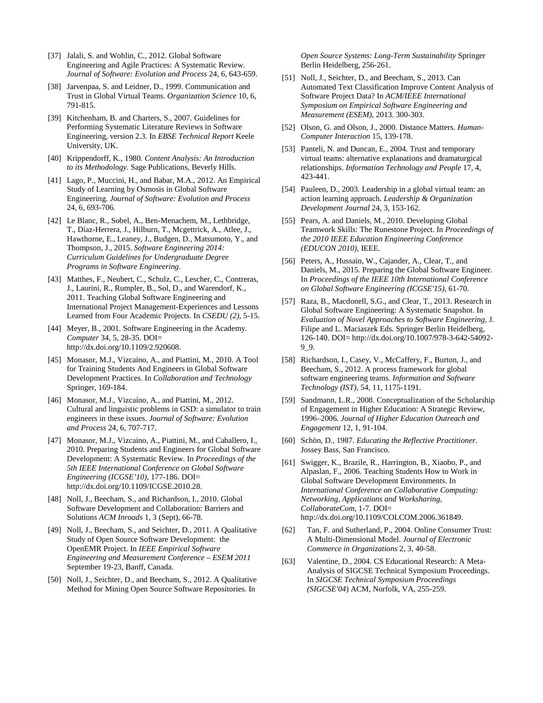- [37] Jalali, S. and Wohlin, C., 2012. Global Software Engineering and Agile Practices: A Systematic Review. *Journal of Software: Evolution and Process* 24, 6, 643-659.
- [38] Jarvenpaa, S. and Leidner, D., 1999. Communication and Trust in Global Virtual Teams. *Organization Science* 10, 6, 791-815.
- [39] Kitchenham, B. and Charters, S., 2007. Guidelines for Performing Systematic Literature Reviews in Software Engineering, version 2.3. In *EBSE Technical Report* Keele University, UK.
- [40] Krippendorff, K., 1980*. Content Analysis: An Introduction to its Methodology*. Sage Publications, Beverly Hills.
- [41] Lago, P., Muccini, H., and Babar, M.A., 2012. An Empirical Study of Learning by Osmosis in Global Software Engineering. *Journal of Software: Evolution and Process* 24, 6, 693-706.
- [42] Le Blanc, R., Sobel, A., Ben-Menachem, M., Lethbridge, T., Díaz-Herrera, J., Hilburn, T., Mcgettrick, A., Atlee, J., Hawthorne, E., Leaney, J., Budgen, D., Matsumoto, Y., and Thompson, J., 2015. *Software Engineering 2014: Curriculum Guidelines for Undergraduate Degree Programs in Software Engineering*.
- [43] Matthes, F., Neubert, C., Schulz, C., Lescher, C., Contreras, J., Laurini, R., Rumpler, B., Sol, D., and Warendorf, K., 2011. Teaching Global Software Engineering and International Project Management-Experiences and Lessons Learned from Four Academic Projects. In *CSEDU (2),* 5-15.
- [44] Meyer, B., 2001. Software Engineering in the Academy. *Computer* 34, 5, 28-35. DOI= http://dx.doi.org/10.1109/2.920608.
- [45] Monasor, M.J., Vizcaíno, A., and Piattini, M., 2010. A Tool for Training Students And Engineers in Global Software Development Practices. In *Collaboration and Technology* Springer, 169-184.
- [46] Monasor, M.J., Vizcaíno, A., and Piattini, M., 2012. Cultural and linguistic problems in GSD: a simulator to train engineers in these issues. *Journal of Software: Evolution and Process* 24, 6, 707-717.
- [47] Monasor, M.J., Vizcaino, A., Piattini, M., and Caballero, I., 2010. Preparing Students and Engineers for Global Software Development: A Systematic Review. In *Proceedings of the 5th IEEE International Conference on Global Software Engineering (ICGSE'10)*, 177-186. DOI= http://dx.doi.org/10.1109/ICGSE.2010.28.
- [48] Noll, J., Beecham, S., and Richardson, I., 2010. Global Software Development and Collaboration: Barriers and Solutions *ACM Inroads* 1, 3 (Sept), 66-78.
- [49] Noll, J., Beecham, S., and Seichter, D., 2011. A Qualitative Study of Open Source Software Development: the OpenEMR Project. In *IEEE Empirical Software Engineering and Measurement Conference – ESEM 2011* September 19-23, Banff, Canada.
- [50] Noll, J., Seichter, D., and Beecham, S., 2012. A Qualitative Method for Mining Open Source Software Repositories. In

*Open Source Systems: Long-Term Sustainability* Springer Berlin Heidelberg, 256-261.

- [51] Noll, J., Seichter, D., and Beecham, S., 2013. Can Automated Text Classification Improve Content Analysis of Software Project Data? In *ACM/IEEE International Symposium on Empirical Software Engineering and Measurement (ESEM)*, 2013. 300-303.
- [52] Olson, G. and Olson, J., 2000. Distance Matters. *Human-Computer Interaction* 15, 139-178.
- [53] Panteli, N. and Duncan, E., 2004. Trust and temporary virtual teams: alternative explanations and dramaturgical relationships. *Information Technology and People* 17, 4, 423-441.
- [54] Pauleen, D., 2003. Leadership in a global virtual team: an action learning approach*. Leadership & Organization Development Journal* 24, 3, 153-162.
- [55] Pears, A. and Daniels, M., 2010. Developing Global Teamwork Skills: The Runestone Project. In *Proceedings of the 2010 IEEE Education Engineering Conference (EDUCON 2010)*, IEEE.
- [56] Peters, A., Hussain, W., Cajander, A., Clear, T., and Daniels, M., 2015. Preparing the Global Software Engineer. In *Proceedings of the IEEE 10th International Conference on Global Software Engineering (ICGSE'15)*, 61-70.
- [57] Raza, B., Macdonell, S.G., and Clear, T., 2013. Research in Global Software Engineering: A Systematic Snapshot. In *Evaluation of Novel Approaches to Software Engineering*, J. Filipe and L. Maciaszek Eds. Springer Berlin Heidelberg, 126-140. DOI= http://dx.doi.org/10.1007/978-3-642-54092- 9\_9.
- [58] Richardson, I., Casey, V., McCaffery, F., Burton, J., and Beecham, S., 2012. A process framework for global software engineering teams*. Information and Software Technology (IST),* 54, 11, 1175-1191.
- [59] Sandmann, L.R., 2008. Conceptualization of the Scholarship of Engagement in Higher Education: A Strategic Review, 1996–2006*. Journal of Higher Education Outreach and Engagement* 12, 1, 91-104.
- [60] Schön, D., 1987. *Educating the Reflective Practitioner*. Jossey Bass, San Francisco.
- [61] Swigger, K., Brazile, R., Harrington, B., Xiaobo, P., and Alpaslan, F., 2006. Teaching Students How to Work in Global Software Development Environments. In *International Conference on Collaborative Computing: Networking, Applications and Worksharing, CollaborateCom*, 1-7. DOI= http://dx.doi.org/10.1109/COLCOM.2006.361849.
- [62] Tan, F. and Sutherland, P., 2004. Online Consumer Trust: A Multi-Dimensional Model. *Journal of Electronic Commerce in Organizations* 2, 3, 40-58.
- [63] Valentine, D., 2004. CS Educational Research: A Meta-Analysis of SIGCSE Technical Symposium Proceedings. In *SIGCSE Technical Symposium Proceedings (SIGCSE'04*) ACM, Norfolk, VA, 255-259.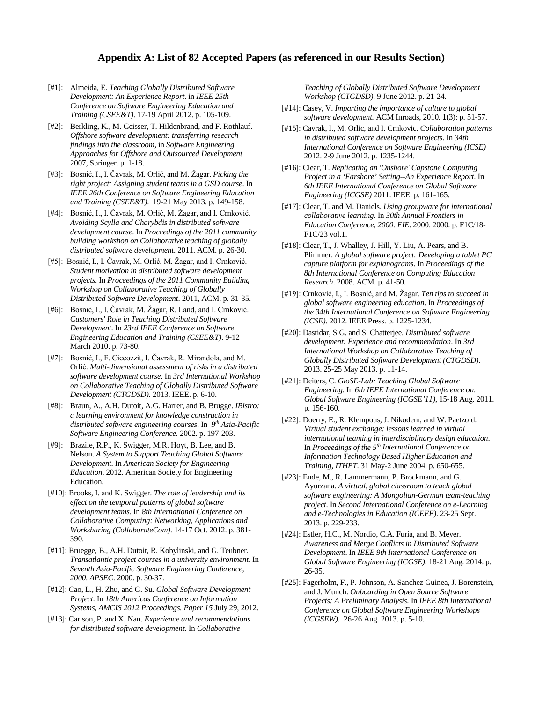## **Appendix A: List of 82 Accepted Papers (as referenced in our Results Section)**

- [#1]: Almeida, E. *Teaching Globally Distributed Software Development: An Experience Report*. in *IEEE 25th Conference on Software Engineering Education and Training (CSEE&T)*. 17-19 April 2012. p. 105-109.
- [#2]: Berkling, K., M. Geisser, T. Hildenbrand, and F. Rothlauf. *Offshore software development: transferring research findings into the classroom*, in *Software Engineering Approaches for Offshore and Outsourced Development* 2007, Springer. p. 1-18.
- [#3]: Bosnić, I., I. Čavrak, M. Orlić, and M. Žagar. *Picking the right project: Assigning student teams in a GSD course*. In *IEEE 26th Conference on Software Engineering Education and Training (CSEE&T)*. 19-21 May 2013. p. 149-158.
- [#4]: Bosnić, I., I. Čavrak, M. Orlić, M. Žagar, and I. Crnković. *Avoiding Scylla and Charybdis in distributed software development course*. In *Proceedings of the 2011 community building workshop on Collaborative teaching of globally distributed software development*. 2011. ACM. p. 26-30.
- [#5]: Bosnić, I., I. Čavrak, M. Orlić, M. Žagar, and I. Crnković. *Student motivation in distributed software development projects*. In *Proceedings of the 2011 Community Building Workshop on Collaborative Teaching of Globally Distributed Software Development*. 2011, ACM. p. 31-35.
- [#6]: Bosnić, I., I. Čavrak, M. Žagar, R. Land, and I. Crnković. *Customers' Role in Teaching Distributed Software Development*. In *23rd IEEE Conference on Software Engineering Education and Training (CSEE&T)*. 9-12 March 2010. p. 73-80.
- [#7]: Bosnić, I., F. Ciccozzit, I. Čavrak, R. Mirandola, and M. Orlić. *Multi-dimensional assessment of risks in a distributed software development course*. In *3rd International Workshop on Collaborative Teaching of Globally Distributed Software Development (CTGDSD)*. 2013. IEEE. p. 6-10.
- [#8]: Braun, A., A.H. Dutoit, A.G. Harrer, and B. Brugge. *IBistro: a learning environment for knowledge construction in distributed software engineering courses*. In *9th Asia-Pacific Software Engineering Conference*. 2002. p. 197-203.
- [#9]: Brazile, R.P., K. Swigger, M.R. Hoyt, B. Lee, and B. Nelson. *A System to Support Teaching Global Software Development*. In *American Society for Engineering Education*. 2012. American Society for Engineering Education.
- [#10]: Brooks, I. and K. Swigger. *The role of leadership and its effect on the temporal patterns of global software development teams*. In *8th International Conference on Collaborative Computing: Networking, Applications and Worksharing (CollaborateCom)*. 14-17 Oct. 2012. p. 381- 390.
- [#11]: Bruegge, B., A.H. Dutoit, R. Kobylinski, and G. Teubner. *Transatlantic project courses in a university environment*. In *Seventh Asia-Pacific Software Engineering Conference, 2000. APSEC*. 2000. p. 30-37.
- [#12]: Cao, L., H. Zhu, and G. Su. *Global Software Development Project*. In *18th Americas Conference on Information Systems, AMCIS 2012 Proceedings. Paper 15* July 29, 2012.
- [#13]: Carlson, P. and X. Nan. *Experience and recommendations for distributed software development*. In *Collaborative*

*Teaching of Globally Distributed Software Development Workshop (CTGDSD)*. 9 June 2012. p. 21-24.

- [#14]: Casey, V. *Imparting the importance of culture to global software development.* ACM Inroads, 2010. **1**(3): p. 51-57.
- [#15]: Cavrak, I., M. Orlic, and I. Crnkovic. *Collaboration patterns in distributed software development projects*. In *34th International Conference on Software Engineering (ICSE)*  2012. 2-9 June 2012. p. 1235-1244.
- [#16]: Clear, T. *Replicating an 'Onshore' Capstone Computing Project in a 'Farshore' Setting--An Experience Report*. In *6th IEEE International Conference on Global Software Engineering (ICGSE)* 2011. IEEE. p. 161-165.
- [#17]: Clear, T. and M. Daniels. *Using groupware for international collaborative learning*. In *30th Annual Frontiers in Education Conference, 2000. FIE*. 2000. 2000. p. F1C/18- F1C/23 vol.1.
- [#18]: Clear, T., J. Whalley, J. Hill, Y. Liu, A. Pears, and B. Plimmer. *A global software project: Developing a tablet PC capture platform for explanograms*. In *Proceedings of the 8th International Conference on Computing Education Research*. 2008. ACM. p. 41-50.
- [#19]: Crnković, I., I. Bosnić, and M. Žagar. *Ten tips to succeed in global software engineering education*. In *Proceedings of the 34th International Conference on Software Engineering (ICSE)*. 2012. IEEE Press. p. 1225-1234.
- [#20]: Dastidar, S.G. and S. Chatterjee. *Distributed software development: Experience and recommendation*. In *3rd International Workshop on Collaborative Teaching of Globally Distributed Software Development (CTGDSD)*. 2013. 25-25 May 2013. p. 11-14.
- [#21]: Deiters, C. *GloSE-Lab: Teaching Global Software Engineering*. In *6th IEEE International Conference on*. *Global Software Engineering (ICGSE'11),* 15-18 Aug. 2011. p. 156-160.
- [#22]: Doerry, E., R. Klempous, J. Nikodem, and W. Paetzold. *Virtual student exchange: lessons learned in virtual international teaming in interdisciplinary design education*. In *Proceedings of the 5th International Conference on Information Technology Based Higher Education and Training, ITHET*. 31 May-2 June 2004. p. 650-655.
- [#23]: Ende, M., R. Lammermann, P. Brockmann, and G. Ayurzana. *A virtual, global classroom to teach global software engineering: A Mongolian-German team-teaching project*. In *Second International Conference on e-Learning and e-Technologies in Education (ICEEE)*. 23-25 Sept. 2013. p. 229-233.
- [#24]: Estler, H.C., M. Nordio, C.A. Furia, and B. Meyer. *Awareness and Merge Conflicts in Distributed Software Development*. In *IEEE 9th International Conference on Global Software Engineering (ICGSE)*. 18-21 Aug. 2014. p. 26-35.
- [#25]: Fagerholm, F., P. Johnson, A. Sanchez Guinea, J. Borenstein, and J. Munch. *Onboarding in Open Source Software Projects: A Preliminary Analysis*. In *IEEE 8th International Conference on Global Software Engineering Workshops (ICGSEW)*. 26-26 Aug. 2013. p. 5-10.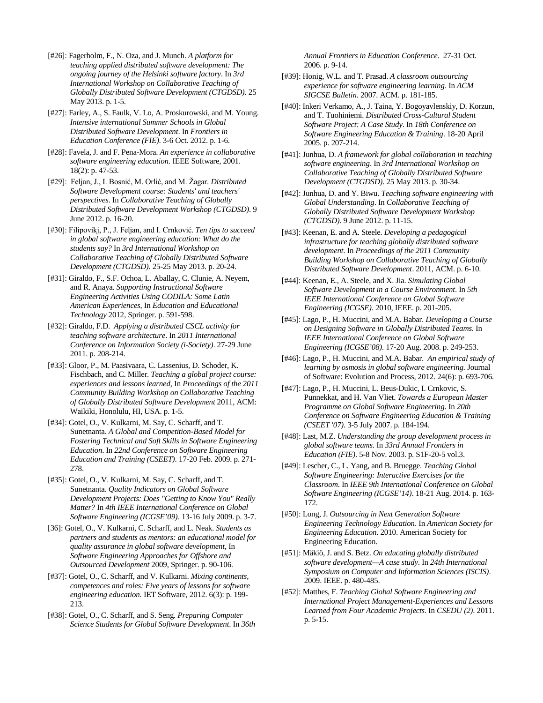- [#26]: Fagerholm, F., N. Oza, and J. Munch. *A platform for teaching applied distributed software development: The ongoing journey of the Helsinki software factory*. In *3rd International Workshop on Collaborative Teaching of Globally Distributed Software Development (CTGDSD)*. 25 May 2013. p. 1-5.
- [#27]: Farley, A., S. Faulk, V. Lo, A. Proskurowski, and M. Young. *Intensive international Summer Schools in Global Distributed Software Development*. In *Frontiers in Education Conference (FIE)*. 3-6 Oct. 2012. p. 1-6.
- [#28]: Favela, J. and F. Pena-Mora. *An experience in collaborative software engineering education.* IEEE Software, 2001. 18(2): p. 47-53.
- [#29]: Feljan, J., I. Bosnić, M. Orlić, and M. Žagar. *Distributed Software Development course: Students' and teachers' perspectives*. In *Collaborative Teaching of Globally Distributed Software Development Workshop (CTGDSD)*. 9 June 2012. p. 16-20.
- [#30]: Filipovikj, P., J. Feljan, and I. Crnković. *Ten tips to succeed in global software engineering education: What do the students say?* In *3rd International Workshop on Collaborative Teaching of Globally Distributed Software Development (CTGDSD)*. 25-25 May 2013. p. 20-24.
- [#31]: Giraldo, F., S.F. Ochoa, L. Aballay, C. Clunie, A. Neyem, and R. Anaya. *Supporting Instructional Software Engineering Activities Using CODILA: Some Latin American Experiences*, In *Education and Educational Technology* 2012, Springer. p. 591-598.
- [#32]: Giraldo, F.D. *Applying a distributed CSCL activity for teaching software architecture*. In *2011 International Conference on Information Society (i-Society)*. 27-29 June 2011. p. 208-214.
- [#33]: Gloor, P., M. Paasivaara, C. Lassenius, D. Schoder, K. Fischbach, and C. Miller. *Teaching a global project course: experiences and lessons learned*, In *Proceedings of the 2011 Community Building Workshop on Collaborative Teaching of Globally Distributed Software Development* 2011, ACM: Waikiki, Honolulu, HI, USA. p. 1-5.
- [#34]: Gotel, O., V. Kulkarni, M. Say, C. Scharff, and T. Sunetnanta. *A Global and Competition-Based Model for Fostering Technical and Soft Skills in Software Engineering Education*. In *22nd Conference on Software Engineering Education and Training (CSEET)*. 17-20 Feb. 2009. p. 271- 278.
- [#35]: Gotel, O., V. Kulkarni, M. Say, C. Scharff, and T. Sunetnanta. *Quality Indicators on Global Software Development Projects: Does "Getting to Know You" Really Matter?* In *4th IEEE International Conference on Global Software Engineering (ICGSE'09)*. 13-16 July 2009. p. 3-7.
- [36]: Gotel, O., V. Kulkarni, C. Scharff, and L. Neak. *Students as partners and students as mentors: an educational model for quality assurance in global software development*, In *Software Engineering Approaches for Offshore and Outsourced Development* 2009, Springer. p. 90-106.
- [#37]: Gotel, O., C. Scharff, and V. Kulkarni. *Mixing continents, competences and roles: Five years of lessons for software engineering education.* IET Software, 2012. 6(3): p. 199- 213.
- [#38]: Gotel, O., C. Scharff, and S. Seng. *Preparing Computer Science Students for Global Software Development*. In *36th*

*Annual Frontiers in Education Conference*. 27-31 Oct. 2006. p. 9-14.

- [#39]: Honig, W.L. and T. Prasad. *A classroom outsourcing experience for software engineering learning*. In *ACM SIGCSE Bulletin*. 2007. ACM. p. 181-185.
- [#40]: Inkeri Verkamo, A., J. Taina, Y. Bogoyavlenskiy, D. Korzun, and T. Tuohiniemi. *Distributed Cross-Cultural Student Software Project: A Case Study*. In *18th Conference on Software Engineering Education & Training*. 18-20 April 2005. p. 207-214.
- [#41]: Junhua, D. *A framework for global collaboration in teaching software engineering*. In *3rd International Workshop on Collaborative Teaching of Globally Distributed Software Development (CTGDSD)*. 25 May 2013. p. 30-34.
- [#42]: Junhua, D. and Y. Biwu. *Teaching software engineering with Global Understanding*. In *Collaborative Teaching of Globally Distributed Software Development Workshop (CTGDSD)*. 9 June 2012. p. 11-15.
- [#43]: Keenan, E. and A. Steele. *Developing a pedagogical infrastructure for teaching globally distributed software development*. In *Proceedings of the 2011 Community Building Workshop on Collaborative Teaching of Globally Distributed Software Development*. 2011, ACM. p. 6-10.
- [#44]: Keenan, E., A. Steele, and X. Jia. *Simulating Global Software Development in a Course Environment*. In *5th IEEE International Conference on Global Software Engineering (ICGSE)*. 2010, IEEE. p. 201-205.
- [#45]: Lago, P., H. Muccini, and M.A. Babar. *Developing a Course on Designing Software in Globally Distributed Teams*. In *IEEE International Conference on Global Software Engineering (ICGSE'08)*. 17-20 Aug. 2008. p. 249-253.
- [#46]: Lago, P., H. Muccini, and M.A. Babar. *An empirical study of learning by osmosis in global software engineering.* Journal of Software: Evolution and Process, 2012. 24(6): p. 693-706.
- [#47]: Lago, P., H. Muccini, L. Beus-Dukic, I. Crnkovic, S. Punnekkat, and H. Van Vliet. *Towards a European Master Programme on Global Software Engineering*. In *20th Conference on Software Engineering Education & Training (CSEET '07)*. 3-5 July 2007. p. 184-194.
- [#48]: Last, M.Z. *Understanding the group development process in global software teams*. In *33rd Annual Frontiers in Education (FIE)*. 5-8 Nov. 2003. p. S1F-20-5 vol.3.
- [#49]: Lescher, C., L. Yang, and B. Bruegge. *Teaching Global Software Engineering: Interactive Exercises for the Classroom*. In *IEEE 9th International Conference on Global Software Engineering (ICGSE'14)*. 18-21 Aug. 2014. p. 163- 172.
- [#50]: Long, J. *Outsourcing in Next Generation Software Engineering Technology Education*. In *American Society for Engineering Education*. 2010. American Society for Engineering Education.
- [#51]: Mäkiö, J. and S. Betz. *On educating globally distributed software development—A case study*. In *24th International Symposium on Computer and Information Sciences (ISCIS)*. 2009. IEEE. p. 480-485.
- [#52]: Matthes, F. *Teaching Global Software Engineering and International Project Management-Experiences and Lessons Learned from Four Academic Projects*. In *CSEDU (2)*. 2011. p. 5-15.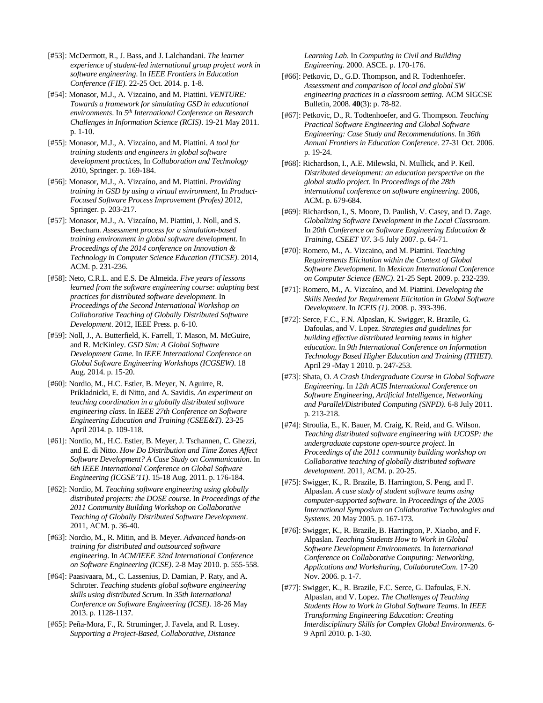- [#53]: McDermott, R., J. Bass, and J. Lalchandani. *The learner experience of student-led international group project work in software engineering*. In *IEEE Frontiers in Education Conference (FIE)*. 22-25 Oct. 2014. p. 1-8.
- [#54]: Monasor, M.J., A. Vizcaino, and M. Piattini. *VENTURE: Towards a framework for simulating GSD in educational environments*. In *5th International Conference on Research Challenges in Information Science (RCIS)*. 19-21 May 2011. p. 1-10.
- [#55]: Monasor, M.J., A. Vizcaíno, and M. Piattini. *A tool for training students and engineers in global software development practices*, In *Collaboration and Technology* 2010, Springer. p. 169-184.
- [#56]: Monasor, M.J., A. Vizcaíno, and M. Piattini. *Providing training in GSD by using a virtual environment*, In *Product-Focused Software Process Improvement (Profes)* 2012, Springer. p. 203-217.
- [#57]: Monasor, M.J., A. Vizcaíno, M. Piattini, J. Noll, and S. Beecham. *Assessment process for a simulation-based training environment in global software development*. In *Proceedings of the 2014 conference on Innovation & Technology in Computer Science Education (ITiCSE)*. 2014, ACM. p. 231-236.
- [#58]: Neto, C.R.L. and E.S. De Almeida. *Five years of lessons learned from the software engineering course: adapting best practices for distributed software development*. In *Proceedings of the Second International Workshop on Collaborative Teaching of Globally Distributed Software Development*. 2012, IEEE Press. p. 6-10.
- [#59]: Noll, J., A. Butterfield, K. Farrell, T. Mason, M. McGuire, and R. McKinley. *GSD Sim: A Global Software Development Game*. In *IEEE International Conference on Global Software Engineering Workshops (ICGSEW)*. 18 Aug. 2014. p. 15-20.
- [#60]: Nordio, M., H.C. Estler, B. Meyer, N. Aguirre, R. Prikladnicki, E. di Nitto, and A. Savidis. *An experiment on teaching coordination in a globally distributed software engineering class*. In *IEEE 27th Conference on Software Engineering Education and Training (CSEE&T)*. 23-25 April 2014. p. 109-118.
- [#61]: Nordio, M., H.C. Estler, B. Meyer, J. Tschannen, C. Ghezzi, and E. di Nitto. *How Do Distribution and Time Zones Affect Software Development? A Case Study on Communication*. In *6th IEEE International Conference on Global Software Engineering (ICGSE'11)*. 15-18 Aug. 2011. p. 176-184.
- [#62]: Nordio, M. *Teaching software engineering using globally distributed projects: the DOSE course*. In *Proceedings of the 2011 Community Building Workshop on Collaborative Teaching of Globally Distributed Software Development*. 2011, ACM. p. 36-40.
- [#63]: Nordio, M., R. Mitin, and B. Meyer. *Advanced hands-on training for distributed and outsourced software engineering*. In *ACM/IEEE 32nd International Conference on Software Engineering (ICSE)*. 2-8 May 2010. p. 555-558.
- [#64]: Paasivaara, M., C. Lassenius, D. Damian, P. Raty, and A. Schroter. *Teaching students global software engineering skills using distributed Scrum*. In *35th International Conference on Software Engineering (ICSE)*. 18-26 May 2013. p. 1128-1137.
- [#65]: Peña-Mora, F., R. Struminger, J. Favela, and R. Losey. *Supporting a Project-Based, Collaborative, Distance*

*Learning Lab*. In *Computing in Civil and Building Engineering*. 2000. ASCE. p. 170-176.

- [#66]: Petkovic, D., G.D. Thompson, and R. Todtenhoefer. *Assessment and comparison of local and global SW engineering practices in a classroom setting.* ACM SIGCSE Bulletin, 2008. **40**(3): p. 78-82.
- [#67]: Petkovic, D., R. Todtenhoefer, and G. Thompson. *Teaching Practical Software Engineering and Global Software Engineering: Case Study and Recommendations*. In *36th Annual Frontiers in Education Conference*. 27-31 Oct. 2006. p. 19-24.
- [#68]: Richardson, I., A.E. Milewski, N. Mullick, and P. Keil. *Distributed development: an education perspective on the global studio project*. In *Proceedings of the 28th international conference on software engineering*. 2006, ACM. p. 679-684.
- [#69]: Richardson, I., S. Moore, D. Paulish, V. Casey, and D. Zage. *Globalizing Software Development in the Local Classroom*. In *20th Conference on Software Engineering Education & Training, CSEET '07*. 3-5 July 2007. p. 64-71.
- [#70]: Romero, M., A. Vizcaino, and M. Piattini. *Teaching Requirements Elicitation within the Context of Global Software Development*. In *Mexican International Conference on Computer Science (ENC)*. 21-25 Sept. 2009. p. 232-239.
- [#71]: Romero, M., A. Vizcaíno, and M. Piattini. *Developing the Skills Needed for Requirement Elicitation in Global Software Development*. In *ICEIS (1)*. 2008. p. 393-396.
- [#72]: Serce, F.C., F.N. Alpaslan, K. Swigger, R. Brazile, G. Dafoulas, and V. Lopez. *Strategies and guidelines for building effective distributed learning teams in higher education*. In *9th International Conference on Information Technology Based Higher Education and Training (ITHET)*. April 29 -May 1 2010. p. 247-253.
- [#73]: Shata, O. *A Crash Undergraduate Course in Global Software Engineering*. In *12th ACIS International Conference on Software Engineering, Artificial Intelligence, Networking and Parallel/Distributed Computing (SNPD)*. 6-8 July 2011. p. 213-218.
- [#74]: Stroulia, E., K. Bauer, M. Craig, K. Reid, and G. Wilson. *Teaching distributed software engineering with UCOSP: the undergraduate capstone open-source project*. In *Proceedings of the 2011 community building workshop on Collaborative teaching of globally distributed software development*. 2011, ACM. p. 20-25.
- [#75]: Swigger, K., R. Brazile, B. Harrington, S. Peng, and F. Alpaslan. *A case study of student software teams using computer-supported software*. In *Proceedings of the 2005 International Symposium on Collaborative Technologies and Systems*. 20 May 2005. p. 167-173.
- [#76]: Swigger, K., R. Brazile, B. Harrington, P. Xiaobo, and F. Alpaslan. *Teaching Students How to Work in Global Software Development Environments*. In *International Conference on Collaborative Computing: Networking, Applications and Worksharing, CollaborateCom*. 17-20 Nov. 2006. p. 1-7.
- [#77]: Swigger, K., R. Brazile, F.C. Serce, G. Dafoulas, F.N. Alpaslan, and V. Lopez. *The Challenges of Teaching Students How to Work in Global Software Teams*. In *IEEE Transforming Engineering Education: Creating Interdisciplinary Skills for Complex Global Environments*. 6- 9 April 2010. p. 1-30.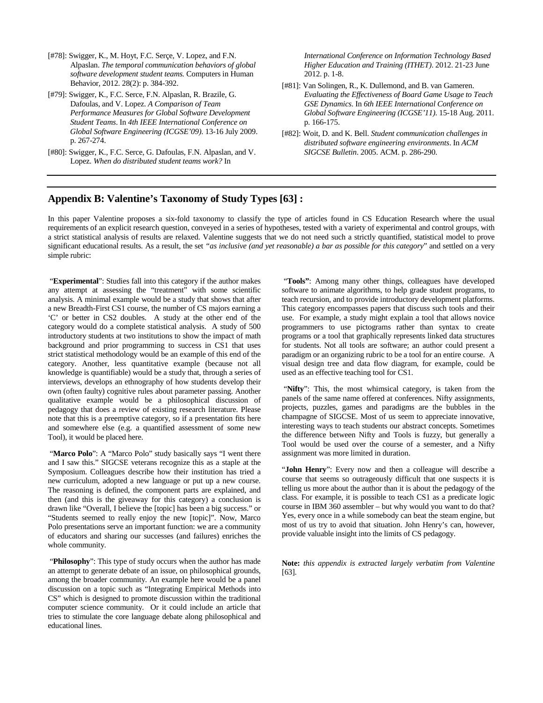- [#78]: Swigger, K., M. Hoyt, F.C. Serçe, V. Lopez, and F.N. Alpaslan. *The temporal communication behaviors of global software development student teams.* Computers in Human Behavior, 2012. 28(2): p. 384-392.
- [#79]: Swigger, K., F.C. Serce, F.N. Alpaslan, R. Brazile, G. Dafoulas, and V. Lopez. *A Comparison of Team Performance Measures for Global Software Development Student Teams*. In *4th IEEE International Conference on Global Software Engineering (ICGSE'09)*. 13-16 July 2009. p. 267-274.
- [#80]: Swigger, K., F.C. Serce, G. Dafoulas, F.N. Alpaslan, and V. Lopez. *When do distributed student teams work?* In

*International Conference on Information Technology Based Higher Education and Training (ITHET)*. 2012. 21-23 June 2012. p. 1-8.

- [#81]: Van Solingen, R., K. Dullemond, and B. van Gameren. *Evaluating the Effectiveness of Board Game Usage to Teach GSE Dynamics*. In *6th IEEE International Conference on Global Software Engineering (ICGSE'11)*. 15-18 Aug. 2011. p. 166-175.
- [#82]: Woit, D. and K. Bell. *Student communication challenges in distributed software engineering environments*. In *ACM SIGCSE Bulletin*. 2005. ACM. p. 286-290.

# **Appendix B: Valentine's Taxonomy of Study Types [63] :**

In this paper Valentine proposes a six-fold taxonomy to classify the type of articles found in CS Education Research where the usual requirements of an explicit research question, conveyed in a series of hypotheses, tested with a variety of experimental and control groups, with a strict statistical analysis of results are relaxed. Valentine suggests that we do not need such a strictly quantified, statistical model to prove significant educational results. As a result, the set *"as inclusive (and yet reasonable) a bar as possible for this category*" and settled on a very simple rubric:

"**Experimental**": Studies fall into this category if the author makes any attempt at assessing the "treatment" with some scientific analysis. A minimal example would be a study that shows that after a new Breadth-First CS1 course, the number of CS majors earning a 'C' or better in CS2 doubles. A study at the other end of the category would do a complete statistical analysis. A study of 500 introductory students at two institutions to show the impact of math background and prior programming to success in CS1 that uses strict statistical methodology would be an example of this end of the category. Another, less quantitative example (because not all knowledge is quantifiable) would be a study that, through a series of interviews, develops an ethnography of how students develop their own (often faulty) cognitive rules about parameter passing. Another qualitative example would be a philosophical discussion of pedagogy that does a review of existing research literature. Please note that this is a preemptive category, so if a presentation fits here and somewhere else (e.g. a quantified assessment of some new Tool), it would be placed here.

"Marco Polo": A "Marco Polo" study basically says "I went there and I saw this." SIGCSE veterans recognize this as a staple at the Symposium. Colleagues describe how their institution has tried a new curriculum, adopted a new language or put up a new course. The reasoning is defined, the component parts are explained, and then (and this is the giveaway for this category) a conclusion is drawn like "Overall, I believe the [topic] has been a big success." or "Students seemed to really enjoy the new [topic]". Now, Marco Polo presentations serve an important function: we are a community of educators and sharing our successes (and failures) enriches the whole community.

"Philosophy": This type of study occurs when the author has made an attempt to generate debate of an issue, on philosophical grounds, among the broader community. An example here would be a panel discussion on a topic such as "Integrating Empirical Methods into CS" which is designed to promote discussion within the traditional computer science community. Or it could include an article that tries to stimulate the core language debate along philosophical and educational lines.

"**Tools"**: Among many other things, colleagues have developed software to animate algorithms, to help grade student programs, to teach recursion, and to provide introductory development platforms. This category encompasses papers that discuss such tools and their use. For example, a study might explain a tool that allows novice programmers to use pictograms rather than syntax to create programs or a tool that graphically represents linked data structures for students. Not all tools are software; an author could present a paradigm or an organizing rubric to be a tool for an entire course. A visual design tree and data flow diagram, for example, could be used as an effective teaching tool for CS1.

"**Nifty**": This, the most whimsical category, is taken from the panels of the same name offered at conferences. Nifty assignments, projects, puzzles, games and paradigms are the bubbles in the champagne of SIGCSE. Most of us seem to appreciate innovative, interesting ways to teach students our abstract concepts. Sometimes the difference between Nifty and Tools is fuzzy, but generally a Tool would be used over the course of a semester, and a Nifty assignment was more limited in duration.

"**John Henry**": Every now and then a colleague will describe a course that seems so outrageously difficult that one suspects it is telling us more about the author than it is about the pedagogy of the class. For example, it is possible to teach CS1 as a predicate logic course in IBM 360 assembler – but why would you want to do that? Yes, every once in a while somebody can beat the steam engine, but most of us try to avoid that situation. John Henry's can, however, provide valuable insight into the limits of CS pedagogy.

**Note:** *this appendix is extracted largely verbatim from Valentine*  [63]*.*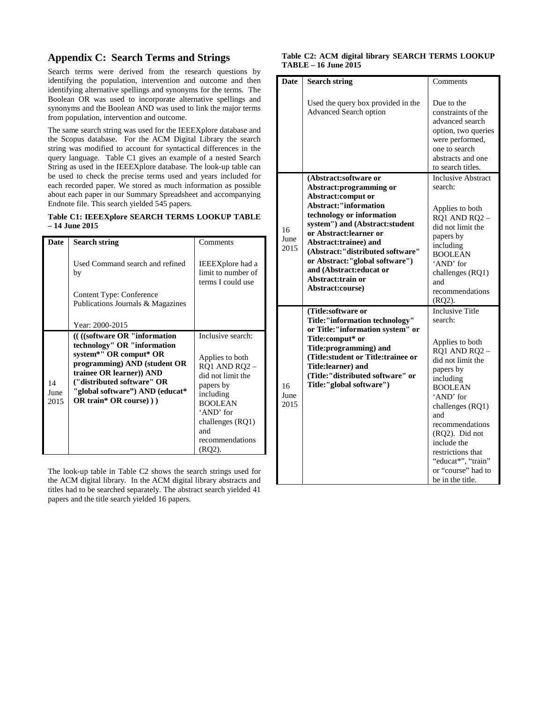# **Appendix C: Search Terms and Strings**

Search terms were derived from the research questions by identifying the population, intervention and outcome and then identifying alternative spellings and synonyms for the terms. The Boolean OR was used to incorporate alternative spellings and synonyms and the Boolean AND was used to link the major terms from population, intervention and outcome.

The same search string was used for the IEEEXplore database and the Scopus database. For the ACM Digital Library the search string was modified to account for syntactical differences in the query language. Table C1 gives an example of a nested Search String as used in the IEEEXplore database. The look-up table can be used to check the precise terms used and years included for each recorded paper. We stored as much information as possible about each paper in our Summary Spreadsheet and accompanying Endnote file. This search yielded 545 papers.

**Table C1: IEEEXplore SEARCH TERMS LOOKUP TABLE – 14 June 2015**

| Date               | <b>Search string</b>                                                                                                                                                                                                                            | Comments                                                                                                                                                                                           |
|--------------------|-------------------------------------------------------------------------------------------------------------------------------------------------------------------------------------------------------------------------------------------------|----------------------------------------------------------------------------------------------------------------------------------------------------------------------------------------------------|
|                    | Used Command search and refined<br>by                                                                                                                                                                                                           | IEEEXplore had a<br>limit to number of<br>terms I could use                                                                                                                                        |
|                    | Content Type: Conference<br>Publications Journals & Magazines                                                                                                                                                                                   |                                                                                                                                                                                                    |
|                    | Year: 2000-2015                                                                                                                                                                                                                                 |                                                                                                                                                                                                    |
| 14<br>June<br>2015 | ((((software OR "information)<br>technology" OR "information<br>system*" OR comput* OR<br>programming) AND (student OR<br>trainee OR learner)) AND<br>("distributed software" OR<br>"global software") AND (educat*<br>OR train* OR course) ) ) | Inclusive search:<br>Applies to both<br><b>RO1 AND RO2 -</b><br>did not limit the<br>papers by<br>including<br><b>BOOLEAN</b><br>'AND' for<br>challenges (RQ1)<br>and<br>recommendations<br>(RQ2). |

The look-up table in Table C2 shows the search strings used for the ACM digital library. In the ACM digital library abstracts and titles had to be searched separately. The abstract search yielded 41 papers and the title search yielded 16 papers.

**Table C2: ACM digital library SEARCH TERMS LOOKUP TABLE – 16 June 2015**

| <b>Date</b>        | <b>Search string</b>                                                                                                                                                                                                                                                                                                   | Comments                                                                                                                                                                                                                                                                                                                |
|--------------------|------------------------------------------------------------------------------------------------------------------------------------------------------------------------------------------------------------------------------------------------------------------------------------------------------------------------|-------------------------------------------------------------------------------------------------------------------------------------------------------------------------------------------------------------------------------------------------------------------------------------------------------------------------|
|                    | Used the query box provided in the<br><b>Advanced Search option</b>                                                                                                                                                                                                                                                    | Due to the<br>constraints of the<br>advanced search<br>option, two queries<br>were performed,<br>one to search<br>abstracts and one<br>to search titles.                                                                                                                                                                |
|                    | (Abstract:software or<br>Abstract:programming or                                                                                                                                                                                                                                                                       | <b>Inclusive Abstract</b><br>search:                                                                                                                                                                                                                                                                                    |
| 16<br>June<br>2015 | <b>Abstract:comput or</b><br><b>Abstract:</b> "information<br>technology or information<br>system") and (Abstract:student<br>or Abstract:learner or<br>Abstract:trainee) and<br>(Abstract:"distributed software"<br>or Abstract:"global software")<br>and (Abstract:educat or<br>Abstract:train or<br>Abstract:course) | Applies to both<br>RQ1 AND RQ2 -<br>did not limit the<br>papers by<br>including<br><b>BOOLEAN</b><br>'AND' for<br>challenges (RQ1)<br>and<br>recommendations<br>$(RQ2)$ .                                                                                                                                               |
| 16<br>June<br>2015 | (Title:software or<br>Title: "information technology"<br>or Title: "information system" or<br>Title:comput* or<br>Title:programming) and<br>(Title:student or Title:trainee or<br>Title:learner) and<br>(Title:"distributed software" or<br>Title:"global software")                                                   | <b>Inclusive Title</b><br>search:<br>Applies to both<br>RQ1 AND RQ2 -<br>did not limit the<br>papers by<br>including<br><b>BOOLEAN</b><br>'AND' for<br>challenges (RQ1)<br>and<br>recommendations<br>(RQ2). Did not<br>include the<br>restrictions that<br>"educat*", "train"<br>or "course" had to<br>be in the title. |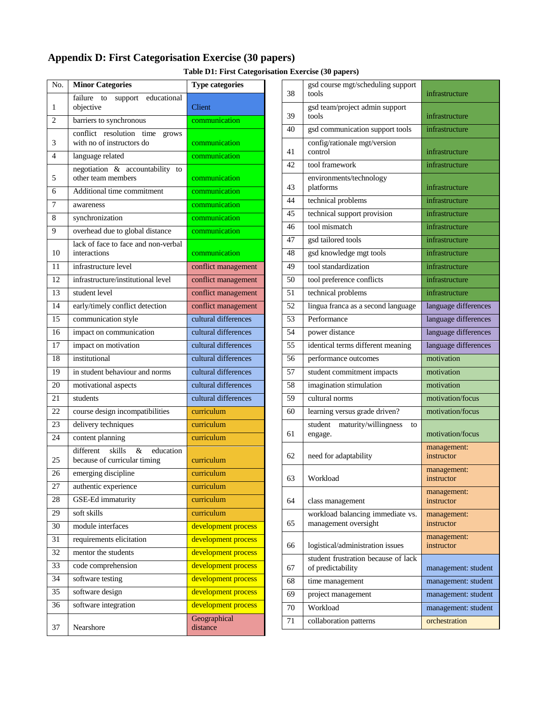# **Appendix D: First Categorisation Exercise (30 papers)**

|  |  | Table D1: First Categorisation Exercise (30 papers) |  |  |  |
|--|--|-----------------------------------------------------|--|--|--|
|--|--|-----------------------------------------------------|--|--|--|

| No.                      | <b>Minor Categories</b>                                               | <b>Type categories</b>   |
|--------------------------|-----------------------------------------------------------------------|--------------------------|
|                          | failure<br>educational<br>support<br>to                               |                          |
| 1                        | objective                                                             | Client                   |
| $\overline{2}$           | barriers to synchronous                                               | communication            |
| 3                        | conflict resolution<br>time<br>grows<br>with no of instructors do     | communication            |
| $\overline{\mathcal{L}}$ | language related                                                      | communication            |
| 5                        | negotiation & accountability to<br>other team members                 | communication            |
| 6                        | Additional time commitment                                            | communication            |
| 7                        | awareness                                                             | communication            |
| 8                        | synchronization                                                       | communication            |
| 9                        | overhead due to global distance                                       | communication            |
| 10                       | lack of face to face and non-verbal<br>interactions                   | communication            |
| 11                       | infrastructure level                                                  | conflict management      |
| 12                       | infrastructure/institutional level                                    | conflict management      |
| 13                       | student level                                                         | conflict management      |
| 14                       | early/timely conflict detection                                       | conflict management      |
| 15                       | communication style                                                   | cultural differences     |
| 16                       | impact on communication                                               | cultural differences     |
| 17                       | impact on motivation                                                  | cultural differences     |
| 18                       | institutional                                                         | cultural differences     |
| 19                       | in student behaviour and norms                                        | cultural differences     |
| 20                       | motivational aspects                                                  | cultural differences     |
| 21                       | students                                                              | cultural differences     |
| 22                       | course design incompatibilities                                       | curriculum               |
| 23                       | delivery techniques                                                   | curriculum               |
| 24                       | content planning                                                      | curriculum               |
| 25                       | different<br>skills<br>education<br>&<br>because of curricular timing | curriculum               |
| 26                       | emerging discipline                                                   | curriculum               |
| 27                       | authentic experience                                                  | curriculum               |
| 28                       | GSE-Ed immaturity                                                     | curriculum               |
| 29                       | soft skills                                                           | curriculum               |
| 30                       | module interfaces                                                     | development process      |
| 31                       | requirements elicitation                                              | development process      |
| 32                       | mentor the students                                                   | development process      |
| 33                       | code comprehension                                                    | development process      |
| 34                       | software testing                                                      | development process      |
| 35                       | software design                                                       | development process      |
| 36                       | software integration                                                  | development process      |
| 37                       | Nearshore                                                             | Geographical<br>distance |

| 38 | gsd course mgt/scheduling support<br>tools               | infrastructure            |
|----|----------------------------------------------------------|---------------------------|
| 39 | gsd team/project admin support<br>tools                  | infrastructure            |
| 40 | gsd communication support tools                          | infrastructure            |
|    | config/rationale mgt/version                             |                           |
| 41 | control                                                  | infrastructure            |
| 42 | tool framework                                           | infrastructure            |
| 43 | environments/technology<br>platforms                     | infrastructure            |
| 44 | technical problems                                       | infrastructure            |
| 45 | technical support provision                              | infrastructure            |
| 46 | tool mismatch                                            | infrastructure            |
| 47 | gsd tailored tools                                       | infrastructure            |
| 48 | gsd knowledge mgt tools                                  | infrastructure            |
| 49 | tool standardization                                     | infrastructure            |
| 50 | tool preference conflicts                                | infrastructure            |
| 51 | technical problems                                       | infrastructure            |
| 52 | lingua franca as a second language                       | language differences      |
| 53 | Performance                                              | language differences      |
| 54 | power distance                                           | language differences      |
| 55 | identical terms different meaning                        | language differences      |
| 56 | performance outcomes                                     | motivation                |
| 57 | student commitment impacts                               | motivation                |
| 58 | imagination stimulation                                  | motivation                |
| 59 | cultural norms                                           | motivation/focus          |
| 60 | learning versus grade driven?                            | motivation/focus          |
| 61 | student<br>maturity/willingness<br>to<br>engage.         | motivation/focus          |
| 62 | need for adaptability                                    | management:<br>instructor |
| 63 | Workload                                                 | management:<br>instructor |
| 64 | class management                                         | management:<br>instructor |
| 65 | workload balancing immediate vs.<br>management oversight | management:<br>instructor |
| 66 | logistical/administration issues                         | management:<br>instructor |
| 67 | student frustration because of lack<br>of predictability | management: student       |
| 68 | time management                                          | management: student       |
| 69 | project management                                       | management: student       |
| 70 | Workload                                                 | management: student       |
| 71 | collaboration patterns                                   | orchestration             |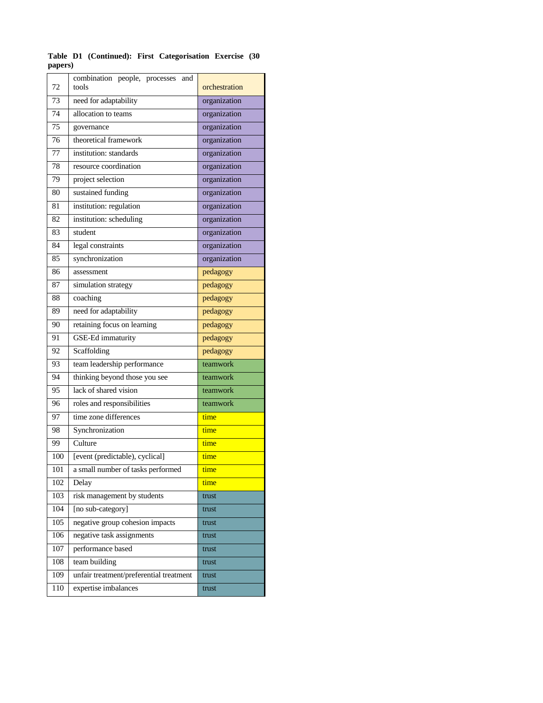| 72              | combination people, processes<br>and<br>tools | orchestration |
|-----------------|-----------------------------------------------|---------------|
| 73              | need for adaptability                         | organization  |
| $\overline{74}$ | allocation to teams                           | organization  |
| 75              | governance                                    | organization  |
| 76              | theoretical framework                         | organization  |
| 77              | institution: standards                        | organization  |
| 78              | resource coordination                         | organization  |
| 79              | project selection                             | organization  |
| 80              | sustained funding                             | organization  |
| 81              | institution: regulation                       | organization  |
| 82              | institution: scheduling                       | organization  |
| 83              | student                                       | organization  |
| 84              | legal constraints                             | organization  |
| 85              | synchronization                               | organization  |
| 86              | assessment                                    | pedagogy      |
| 87              | simulation strategy                           | pedagogy      |
| 88              | coaching                                      | pedagogy      |
| 89              | need for adaptability                         | pedagogy      |
| 90              | retaining focus on learning                   | pedagogy      |
| 91              | GSE-Ed immaturity                             | pedagogy      |
| 92              | Scaffolding                                   | pedagogy      |
| 93              | team leadership performance                   | teamwork      |
| 94              | thinking beyond those you see                 | teamwork      |
| 95              | lack of shared vision                         | teamwork      |
| 96              | roles and responsibilities                    | teamwork      |
| 97              | time zone differences                         | time          |
| 98              | Synchronization                               | time          |
| 99              | Culture                                       | time          |
| 100             | [event (predictable), cyclical]               | time          |
| 101             | a small number of tasks performed             | time          |
| 102             | Delay                                         | time          |
| 103             | risk management by students                   | trust         |
| 104             | [no sub-category]                             | trust         |
| 105             | negative group cohesion impacts               | trust         |
| 106             | negative task assignments                     | trust         |
| 107             | performance based                             | trust         |
| 108             | team building                                 | trust         |
| 109             | unfair treatment/preferential treatment       | trust         |
| 110             | expertise imbalances                          | trust         |

**Table D1 (Continued): First Categorisation Exercise (30 papers)**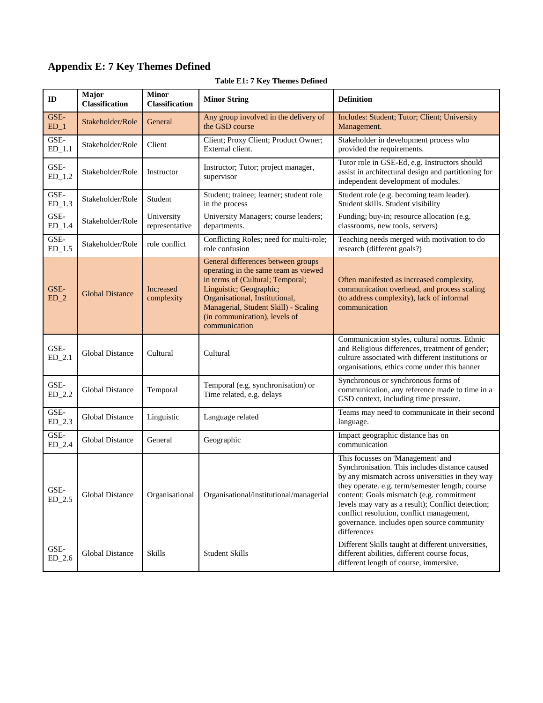# **Appendix E: 7 Key Themes Defined**

| ID               | Major<br>Classification | <b>Minor</b><br>Classification | <b>Minor String</b>                                                                                                                                                                                                                                                   | <b>Definition</b>                                                                                                                                                                                                                                                                                                                                                                                                                                          |
|------------------|-------------------------|--------------------------------|-----------------------------------------------------------------------------------------------------------------------------------------------------------------------------------------------------------------------------------------------------------------------|------------------------------------------------------------------------------------------------------------------------------------------------------------------------------------------------------------------------------------------------------------------------------------------------------------------------------------------------------------------------------------------------------------------------------------------------------------|
| GSE-<br>$ED_1$   | Stakeholder/Role        | General                        | Any group involved in the delivery of<br>the GSD course                                                                                                                                                                                                               | Includes: Student; Tutor; Client; University<br>Management.                                                                                                                                                                                                                                                                                                                                                                                                |
| GSE-<br>$ED_1.1$ | Stakeholder/Role        | Client                         | Client; Proxy Client; Product Owner;<br>External client.                                                                                                                                                                                                              | Stakeholder in development process who<br>provided the requirements.                                                                                                                                                                                                                                                                                                                                                                                       |
| GSE-<br>$ED_1.2$ | Stakeholder/Role        | Instructor                     | Instructor; Tutor; project manager,<br>supervisor                                                                                                                                                                                                                     | Tutor role in GSE-Ed, e.g. Instructors should<br>assist in architectural design and partitioning for<br>independent development of modules.                                                                                                                                                                                                                                                                                                                |
| GSE-<br>$ED_1.3$ | Stakeholder/Role        | Student                        | Student; trainee; learner; student role<br>in the process                                                                                                                                                                                                             | Student role (e.g. becoming team leader).<br>Student skills. Student visibility                                                                                                                                                                                                                                                                                                                                                                            |
| GSE-<br>$ED_1.4$ | Stakeholder/Role        | University<br>representative   | University Managers; course leaders;<br>departments.                                                                                                                                                                                                                  | Funding; buy-in; resource allocation (e.g.<br>classrooms, new tools, servers)                                                                                                                                                                                                                                                                                                                                                                              |
| GSE-<br>$ED_1.5$ | Stakeholder/Role        | role conflict                  | Conflicting Roles; need for multi-role;<br>role confusion                                                                                                                                                                                                             | Teaching needs merged with motivation to do<br>research (different goals?)                                                                                                                                                                                                                                                                                                                                                                                 |
| GSE-<br>$ED_2$   | <b>Global Distance</b>  | Increased<br>complexity        | General differences between groups<br>operating in the same team as viewed<br>in terms of (Cultural; Temporal;<br>Linguistic; Geographic;<br>Organisational, Institutional,<br>Managerial, Student Skill) - Scaling<br>(in communication), levels of<br>communication | Often manifested as increased complexity,<br>communication overhead, and process scaling<br>(to address complexity), lack of informal<br>communication                                                                                                                                                                                                                                                                                                     |
| GSE-<br>$ED_2.1$ | <b>Global Distance</b>  | Cultural                       | Cultural                                                                                                                                                                                                                                                              | Communication styles, cultural norms. Ethnic<br>and Religious differences, treatment of gender;<br>culture associated with different institutions or<br>organisations, ethics come under this banner                                                                                                                                                                                                                                                       |
| GSE-<br>$ED_2.2$ | <b>Global Distance</b>  | Temporal                       | Temporal (e.g. synchronisation) or<br>Time related, e.g. delays                                                                                                                                                                                                       | Synchronous or synchronous forms of<br>communication, any reference made to time in a<br>GSD context, including time pressure.                                                                                                                                                                                                                                                                                                                             |
| GSE-<br>$ED_2.3$ | <b>Global Distance</b>  | Linguistic                     | Language related                                                                                                                                                                                                                                                      | Teams may need to communicate in their second<br>language.                                                                                                                                                                                                                                                                                                                                                                                                 |
| GSE-<br>ED_2.4   | <b>Global Distance</b>  | General                        | Geographic                                                                                                                                                                                                                                                            | Impact geographic distance has on<br>communication                                                                                                                                                                                                                                                                                                                                                                                                         |
| GSE-<br>$ED_2.5$ | Global Distance         | Organisational                 | Organisational/institutional/managerial                                                                                                                                                                                                                               | This focusses on 'Management' and<br>Synchronisation. This includes distance caused<br>by any mismatch across universities in they way<br>they operate. e.g. term/semester length, course<br>content; Goals mismatch (e.g. commitment<br>levels may vary as a result); Conflict detection;<br>conflict resolution, conflict management,<br>governance. includes open source community<br>differences<br>Different Skills taught at different universities, |
| GSE-<br>$ED_2.6$ | <b>Global Distance</b>  | Skills                         | <b>Student Skills</b>                                                                                                                                                                                                                                                 | different abilities, different course focus,<br>different length of course, immersive.                                                                                                                                                                                                                                                                                                                                                                     |

# **Table E1: 7 Key Themes Defined**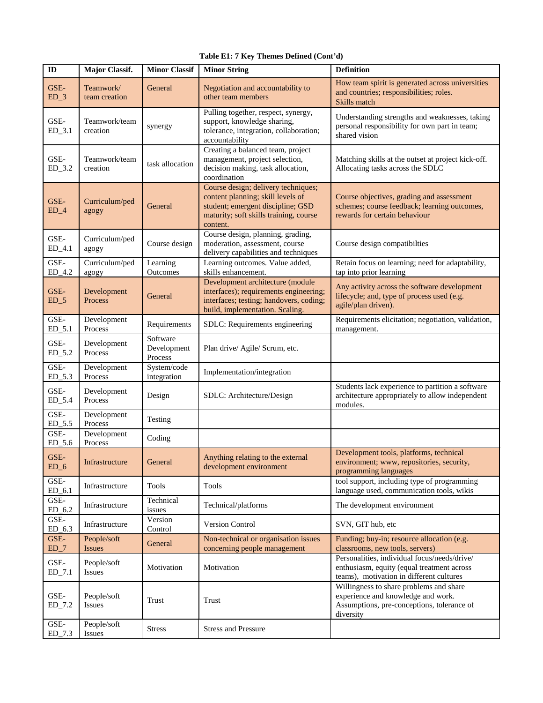| Table E1: 7 Key Themes Defined (Cont'd) |  |  |  |  |  |
|-----------------------------------------|--|--|--|--|--|
|-----------------------------------------|--|--|--|--|--|

| $\overline{ID}$  | <b>Major Classif.</b>        | <b>Minor Classif</b>               | <b>Minor String</b>                                                                                                                                                 | <b>Definition</b>                                                                                                                        |
|------------------|------------------------------|------------------------------------|---------------------------------------------------------------------------------------------------------------------------------------------------------------------|------------------------------------------------------------------------------------------------------------------------------------------|
| GSE-<br>$ED_3$   | Teamwork/<br>team creation   | General                            | Negotiation and accountability to<br>other team members                                                                                                             | How team spirit is generated across universities<br>and countries; responsibilities; roles.<br>Skills match                              |
| GSE-<br>$ED_3.1$ | Teamwork/team<br>creation    | synergy                            | Pulling together, respect, synergy,<br>support, knowledge sharing,<br>tolerance, integration, collaboration;<br>accountability                                      | Understanding strengths and weaknesses, taking<br>personal responsibility for own part in team;<br>shared vision                         |
| GSE-<br>ED_3.2   | Teamwork/team<br>creation    | task allocation                    | Creating a balanced team, project<br>management, project selection,<br>decision making, task allocation,<br>coordination                                            | Matching skills at the outset at project kick-off.<br>Allocating tasks across the SDLC                                                   |
| GSE-<br>$ED_4$   | Curriculum/ped<br>agogy      | General                            | Course design; delivery techniques;<br>content planning; skill levels of<br>student; emergent discipline; GSD<br>maturity; soft skills training, course<br>content. | Course objectives, grading and assessment<br>schemes; course feedback; learning outcomes,<br>rewards for certain behaviour               |
| GSE-<br>$ED_4.1$ | Curriculum/ped<br>agogy      | Course design                      | Course design, planning, grading,<br>moderation, assessment, course<br>delivery capabilities and techniques                                                         | Course design compatibilties                                                                                                             |
| GSE-<br>$ED_4.2$ | Curriculum/ped<br>agogy      | Learning<br>Outcomes               | Learning outcomes. Value added,<br>skills enhancement.                                                                                                              | Retain focus on learning; need for adaptability,<br>tap into prior learning                                                              |
| GSE-<br>$ED_5$   | Development<br>Process       | General                            | Development architecture (module<br>interfaces); requirements engineering;<br>interfaces; testing; handovers, coding;<br>build, implementation. Scaling.            | Any activity across the software development<br>lifecycle; and, type of process used (e.g.<br>agile/plan driven).                        |
| GSE-<br>$ED_5.1$ | Development<br>Process       | Requirements                       | SDLC: Requirements engineering                                                                                                                                      | Requirements elicitation; negotiation, validation,<br>management.                                                                        |
| GSE-<br>$ED_5.2$ | Development<br>Process       | Software<br>Development<br>Process | Plan drive/ Agile/ Scrum, etc.                                                                                                                                      |                                                                                                                                          |
| GSE-<br>$ED_5.3$ | Development<br>Process       | System/code<br>integration         | Implementation/integration                                                                                                                                          |                                                                                                                                          |
| GSE-<br>$ED_5.4$ | Development<br>Process       | Design                             | SDLC: Architecture/Design                                                                                                                                           | Students lack experience to partition a software<br>architecture appropriately to allow independent<br>modules.                          |
| GSE-<br>$ED_5.5$ | Development<br>Process       | Testing                            |                                                                                                                                                                     |                                                                                                                                          |
| GSE-<br>$ED_5.6$ | Development<br>Process       | Coding                             |                                                                                                                                                                     |                                                                                                                                          |
| GSE-<br>$ED_6$   | Infrastructure               | General                            | Anything relating to the external<br>development environment                                                                                                        | Development tools, platforms, technical<br>environment; www, repositories, security,<br>programming languages                            |
| GSE-<br>$ED_6.1$ | Infrastructure               | Tools                              | Tools                                                                                                                                                               | tool support, including type of programming<br>language used, communication tools, wikis                                                 |
| GSE-<br>$ED_6.2$ | Infrastructure               | Technical<br>issues                | Technical/platforms                                                                                                                                                 | The development environment                                                                                                              |
| GSE-<br>$ED_6.3$ | Infrastructure               | Version<br>Control                 | Version Control                                                                                                                                                     | SVN, GIT hub, etc                                                                                                                        |
| GSE-<br>$ED_7$   | People/soft<br><b>Issues</b> | General                            | Non-technical or organisation issues<br>concerning people management                                                                                                | Funding; buy-in; resource allocation (e.g.<br>classrooms, new tools, servers)                                                            |
| GSE-<br>$ED_7.1$ | People/soft<br><b>Issues</b> | Motivation                         | Motivation                                                                                                                                                          | Personalities, individual focus/needs/drive/<br>enthusiasm, equity (equal treatment across<br>teams), motivation in different cultures   |
| GSE-<br>$ED_7.2$ | People/soft<br><b>Issues</b> | Trust                              | Trust                                                                                                                                                               | Willingness to share problems and share<br>experience and knowledge and work.<br>Assumptions, pre-conceptions, tolerance of<br>diversity |
| GSE-<br>$ED_7.3$ | People/soft<br>Issues        | <b>Stress</b>                      | <b>Stress and Pressure</b>                                                                                                                                          |                                                                                                                                          |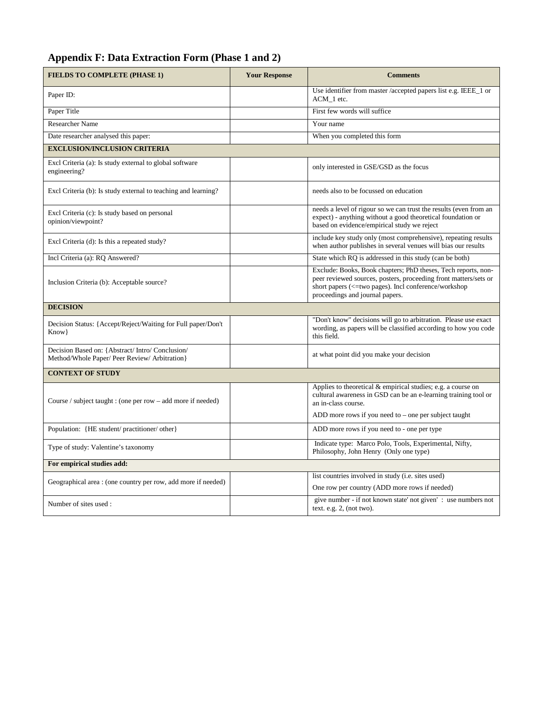# **Appendix F: Data Extraction Form (Phase 1 and 2)**

| <b>FIELDS TO COMPLETE (PHASE 1)</b>                                                               | <b>Your Response</b> | <b>Comments</b>                                                                                                                                                                                                               |
|---------------------------------------------------------------------------------------------------|----------------------|-------------------------------------------------------------------------------------------------------------------------------------------------------------------------------------------------------------------------------|
| Paper ID:                                                                                         |                      | Use identifier from master /accepted papers list e.g. IEEE_1 or<br>ACM 1 etc.                                                                                                                                                 |
| Paper Title                                                                                       |                      | First few words will suffice                                                                                                                                                                                                  |
| <b>Researcher Name</b>                                                                            |                      | Your name                                                                                                                                                                                                                     |
| Date researcher analysed this paper:                                                              |                      | When you completed this form                                                                                                                                                                                                  |
| <b>EXCLUSION/INCLUSION CRITERIA</b>                                                               |                      |                                                                                                                                                                                                                               |
| Excl Criteria (a): Is study external to global software<br>engineering?                           |                      | only interested in GSE/GSD as the focus                                                                                                                                                                                       |
| Excl Criteria (b): Is study external to teaching and learning?                                    |                      | needs also to be focussed on education                                                                                                                                                                                        |
| Excl Criteria (c): Is study based on personal<br>opinion/viewpoint?                               |                      | needs a level of rigour so we can trust the results (even from an<br>expect) - anything without a good theoretical foundation or<br>based on evidence/empirical study we reject                                               |
| Excl Criteria (d): Is this a repeated study?                                                      |                      | include key study only (most comprehensive), repeating results<br>when author publishes in several venues will bias our results                                                                                               |
| Incl Criteria (a): RQ Answered?                                                                   |                      | State which RQ is addressed in this study (can be both)                                                                                                                                                                       |
| Inclusion Criteria (b): Acceptable source?                                                        |                      | Exclude: Books, Book chapters; PhD theses, Tech reports, non-<br>peer reviewed sources, posters, proceeding front matters/sets or<br>short papers (<= two pages). Incl conference/workshop<br>proceedings and journal papers. |
| <b>DECISION</b>                                                                                   |                      |                                                                                                                                                                                                                               |
| Decision Status: {Accept/Reject/Waiting for Full paper/Don't<br>Know}                             |                      | "Don't know" decisions will go to arbitration. Please use exact<br>wording, as papers will be classified according to how you code<br>this field.                                                                             |
| Decision Based on: {Abstract/ Intro/ Conclusion/<br>Method/Whole Paper/ Peer Review/ Arbitration} |                      | at what point did you make your decision                                                                                                                                                                                      |
| <b>CONTEXT OF STUDY</b>                                                                           |                      |                                                                                                                                                                                                                               |
| Course / subject taught : (one per row $-$ add more if needed)                                    |                      | Applies to theoretical $\&$ empirical studies; e.g. a course on<br>cultural awareness in GSD can be an e-learning training tool or<br>an in-class course.                                                                     |
|                                                                                                   |                      | ADD more rows if you need to – one per subject taught                                                                                                                                                                         |
| Population: {HE student/ practitioner/ other}                                                     |                      | ADD more rows if you need to - one per type                                                                                                                                                                                   |
| Type of study: Valentine's taxonomy                                                               |                      | Indicate type: Marco Polo, Tools, Experimental, Nifty,<br>Philosophy, John Henry (Only one type)                                                                                                                              |
| For empirical studies add:                                                                        |                      |                                                                                                                                                                                                                               |
| Geographical area : (one country per row, add more if needed)                                     |                      | list countries involved in study (i.e. sites used)<br>One row per country (ADD more rows if needed)                                                                                                                           |
| Number of sites used:                                                                             |                      | give number - if not known state' not given': use numbers not<br>text. e.g. $2$ , (not two).                                                                                                                                  |